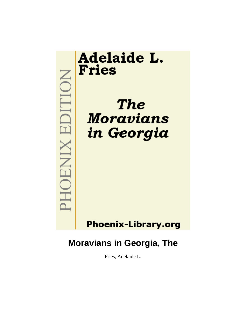

# **Moravians in Georgia, The**

Fries, Adelaide L.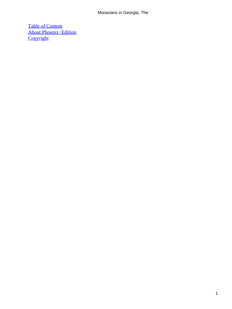### Moravians in Georgia, The

[Table of Content](#page-130-0) [About Phoenix−Edition](#page-131-0) **[Copyright](#page-132-0)**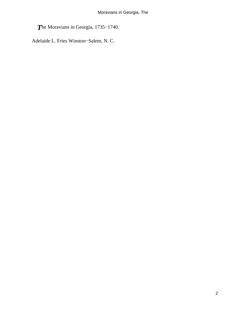*T*he Moravians in Georgia, 1735−1740.

Adelaide L. Fries Winston−Salem, N. C.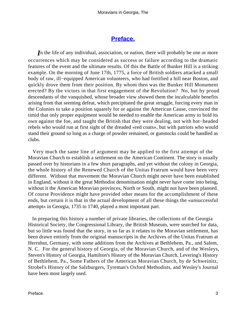# **[Preface.](#page-130-0)**

*I*n the life of any individual, association, or nation, there will probably be one or more occurrences which may be considered as success or failure according to the dramatic features of the event and the ultimate results. Of this the Battle of Bunker Hill is a striking example. On the morning of June 17th, 1775, a force of British soldiers attacked a small body of raw, ill−equipped American volunteers, who had fortified a hill near Boston, and quickly drove them from their position. By whom then was the Bunker Hill Monument erected? By the victors in that first engagement of the Revolution? No, but by proud descendants of the vanquished, whose broader view showed them the incalculable benefits arising from that seeming defeat, which precipitated the great struggle, forcing every man in the Colonies to take a position squarely for or against the American Cause, convinced the timid that only proper equipment would be needed to enable the American army to hold its own against the foe, and taught the British that they were dealing, not with hot−headed rebels who would run at first sight of the dreaded «red coats», but with patriots who would stand their ground so long as a charge of powder remained, or gunstocks could be handled as clubs.

 Very much the same line of argument may be applied to the first attempt of the Moravian Church to establish a settlement on the American Continent. The story is usually passed over by historians in a few short paragraphs, and yet without the colony in Georgia, the whole history of the Renewed Church of the Unitas Fratrum would have been very different. Without that movement the Moravian Church might never have been established in England, without it the great Methodist denomination might never have come into being, without it the American Moravian provinces, North or South, might not have been planned. Of course Providence might have provided other means for the accomplishment of these ends, but certain it is that in the actual development of all these things the «unsuccessful attempt» in Georgia, 1735 to 1740, played a most important part.

 In preparing this history a number of private libraries, the collections of the Georgia Historical Society, the Congressional Library, the British Museum, were searched for data, but so little was found that the story, in so far as it relates to the Moravian settlement, has been drawn entirely from the original manuscripts in the Archives of the Unitas Fratrum at Herrnhut, Germany, with some additions from the Archives at Bethlehem, Pa., and Salem, N. C. For the general history of Georgia, of the Moravian Church, and of the Wesleys, Steven's History of Georgia, Hamilton's History of the Moravian Church, Levering's History of Bethlehem, Pa., Some Fathers of the American Moravian Church, by de Schweinitz, Strobel's History of the Salzburgers, Tyreman's Oxford Methodists, and Wesley's Journal have been most largely used.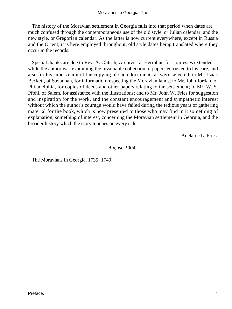The history of the Moravian settlement in Georgia falls into that period when dates are much confused through the contemporaneous use of the old style, or Julian calendar, and the new style, or Gregorian calendar. As the latter is now current everywhere, except in Russia and the Orient, it is here employed throughout, old style dates being translated where they occur in the records.

 Special thanks are due to Rev. A. Glitsch, Archivist at Herrnhut, for courtesies extended while the author was examining the invaluable collection of papers entrusted to his care, and also for his supervision of the copying of such documents as were selected; to Mr. Isaac Beckett, of Savannah, for information respecting the Moravian lands; to Mr. John Jordan, of Philadelphia, for copies of deeds and other papers relating to the settlement; to Mr. W. S. Pfohl, of Salem, for assistance with the illustrations; and to Mr. John W. Fries for suggestion and inspiration for the work, and the constant encouragement and sympathetic interest without which the author's courage would have failed during the tedious years of gathering material for the book, which is now presented to those who may find in it something of explanation, something of interest, concerning the Moravian settlement in Georgia, and the broader history which the story touches on every side.

Adelaide L. Fries.

*August, 1904.* 

The Moravians in Georgia, 1735−1740.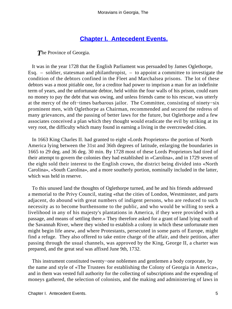# **[Chapter I. Antecedent Events.](#page-130-0)**

**The Province of Georgia.** 

 It was in the year 1728 that the English Parliament was persuaded by James Oglethorpe, Esq. – soldier, statesman and philanthropist, – to appoint a committee to investigate the condition of the debtors confined in the Fleet and Marchalsea prisons. The lot of these debtors was a most pitiable one, for a creditor had power to imprison a man for an indefinite term of years, and the unfortunate debtor, held within the four walls of his prison, could earn no money to pay the debt that was owing, and unless friends came to his rescue, was utterly at the mercy of the oft−times barbarous jailor. The Committee, consisting of ninety−six prominent men, with Oglethorpe as Chairman, recommended and secured the redress of many grievances, and the passing of better laws for the future, but Oglethorpe and a few associates conceived a plan which they thought would eradicate the evil by striking at its very root, the difficulty which many found in earning a living in the overcrowded cities.

 In 1663 King Charles II. had granted to eight «Lords Proprietors» the portion of North America lying between the 31st and 36th degrees of latitude, enlarging the boundaries in 1665 to 29 deg. and 36 deg. 30 min. By 1728 most of these Lords Proprietors had tired of their attempt to govern the colonies they had established in «Carolina», and in 1729 seven of the eight sold their interest to the English crown, the district being divided into «North Carolina», «South Carolina», and a more southerly portion, nominally included in the latter, which was held in reserve.

 To this unused land the thoughts of Oglethorpe turned, and he and his friends addressed a memorial to the Privy Council, stating «that the cities of London, Westminster, and parts adjacent, do abound with great numbers of indigent persons, who are reduced to such necessity as to become burthensome to the public, and who would be willing to seek a livelihood in any of his majesty's plantations in America, if they were provided with a passage, and means of settling there.» They therefore asked for a grant of land lying south of the Savannah River, where they wished to establish a colony in which these unfortunate men might begin life anew, and where Protestants, persecuted in some parts of Europe, might find a refuge. They also offered to take entire charge of the affair, and their petition, after passing through the usual channels, was approved by the King, George II, a charter was prepared, and the great seal was affixed June 9th, 1732.

 This instrument constituted twenty−one noblemen and gentlemen a body corporate, by the name and style of «The Trustees for establishing the Colony of Georgia in America», and in them was vested full authority for the collecting of subscriptions and the expending of moneys gathered, the selection of colonists, and the making and administering of laws in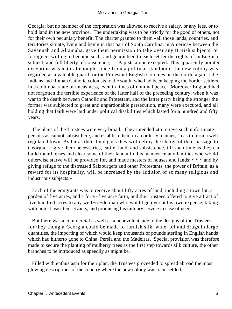Georgia; but no member of the corporation was allowed to receive a salary, or any fees, or to hold land in the new province. The undertaking was to be strictly for the good of others, not for their own pecuniary benefit. The charter granted to them «all those lands, countries, and territories situate, lying and being in that part of South Carolina, in America» between the Savannah and Altamaha, gave them permission to take over any British subjects, or foreigners willing to become such, and guaranteed to each settler the rights of an English subject, and full liberty of conscience, – Papists alone excepted. This apparently pointed exception was natural enough, since from a political standpoint the new colony was regarded as a valuable guard for the Protestant English Colonies on the north, against the Indians and Roman Catholic colonists to the south, who had been keeping the border settlers in a continual state of uneasiness, even in times of nominal peace. Moreover England had not forgotten the terrible experience of the latter half of the preceding century, when it was war to the death between Catholic and Protestant, and the latter party being the stronger the former was subjected to great and unpardonable persecution, many were executed, and all holding that faith were laid under political disabilities which lasted for a hundred and fifty years.

 The plans of the Trustees were very broad. They intended «to relieve such unfortunate persons as cannot subsist here, and establish them in an orderly manner, so as to form a well regulated town. As far as their fund goes they will defray the charge of their passage to Georgia – give them necessaries, cattle, land, and subsistence, till such time as they can build their houses and clear some of their land.» In this manner «many families who would otherwise starve will be provided for, and made masters of houses and lands; \* \* \* and by giving refuge to the distressed Salzburgers and other Protestants, the power of Britain, as a reward for its hospitality, will be increased by the addition of so many religious and industrious subjects.»

 Each of the emigrants was to receive about fifty acres of land, including a town lot, a garden of five acres, and a forty−five acre farm, and the Trustees offered to give a tract of five hundred acres to any well−to−do man who would go over at his own expense, taking with him at least ten servants, and promising his military service in case of need.

 But there was a commercial as well as a benevolent side to the designs of the Trustees, for they thought Georgia could be made to furnish silk, wine, oil and drugs in large quantities, the importing of which would keep thousands of pounds sterling in English hands which had hitherto gone to China, Persia and the Madeiras. Special provision was therefore made to secure the planting of mulberry trees as the first step towards silk culture, the other branches to be introduced as speedily as might be.

 Filled with enthusiasm for their plan, the Trustees proceeded to spread abroad the most glowing descriptions of the country where the new colony was to be settled.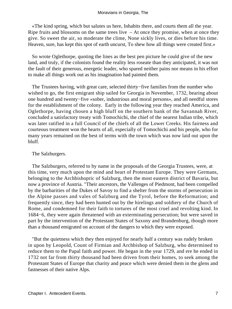«The kind spring, which but salutes us here, Inhabits there, and courts them all the year. Ripe fruits and blossoms on the same trees live  $-$  At once they promise, when at once they give. So sweet the air, so moderate the clime, None sickly lives, or dies before his time. Heaven, sure, has kept this spot of earth uncurst, To shew how all things were created first.»

 So wrote Oglethorpe, quoting the lines as the best pen picture he could give of the new land, and truly, if the colonists found the reality less roseate than they anticipated, it was not the fault of their generous, energetic leader, who spared neither pains nor means in his effort to make all things work out as his imagination had painted them.

The Trustees having, with great care, selected thirty–five families from the number who wished to go, the first emigrant ship sailed for Georgia in November, 1732, bearing about one hundred and twenty−five «sober, industrious and moral persons», and all needful stores for the establishment of the colony. Early in the following year they reached America, and Oglethorpe, having chosen a high bluff on the southern bank of the Savannah River, concluded a satisfactory treaty with Tomochichi, the chief of the nearest Indian tribe, which was later ratified in a full Council of the chiefs of all the Lower Creeks. His fairness and courteous treatment won the hearts of all, especially of Tomochichi and his people, who for many years remained on the best of terms with the town which was now laid out upon the bluff.

### The Salzburgers.

 The Salzburgers, referred to by name in the proposals of the Georgia Trustees, were, at this time, very much upon the mind and heart of Protestant Europe. They were Germans, belonging to the Archbishopric of Salzburg, then the most eastern district of Bavaria, but now a province of Austria. "Their ancestors, the Vallenges of Piedmont, had been compelled by the barbarities of the Dukes of Savoy to find a shelter from the storms of persecution in the Alpine passes and vales of Salzburg and the Tyrol, before the Reformation; and frequently since, they had been hunted out by the hirelings and soldiery of the Church of Rome, and condemned for their faith to tortures of the most cruel and revolting kind. In 1684−6, they were again threatened with an exterminating persecution; but were saved in part by the intervention of the Protestant States of Saxony and Brandenburg, though more than a thousand emigrated on account of the dangers to which they were exposed.

 "But the quietness which they then enjoyed for nearly half a century was rudely broken in upon by Leopold, Count of Firmian and Archbishop of Salzburg, who determined to reduce them to the Papal faith and power. He began in the year 1729, and ere he ended in 1732 not far from thirty thousand had been driven from their homes, to seek among the Protestant States of Europe that charity and peace which were denied them in the glens and fastnesses of their native Alps.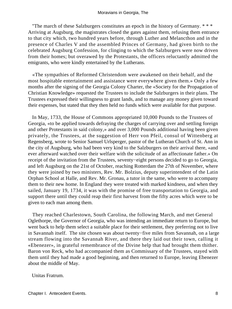"The march of these Salzburgers constitutes an epoch in the history of Germany. \* \* \* Arriving at Augsburg, the magistrates closed the gates against them, refusing them entrance to that city which, two hundred years before, through Luther and Melancthon and in the presence of Charles V and the assembled Princes of Germany, had given birth to the celebrated Augsburg Confession, for clinging to which the Salzburgers were now driven from their homes; but overawed by the Protestants, the officers reluctantly admitted the emigrants, who were kindly entertained by the Lutherans.

 «The sympathies of Reformed Christendom were awakened on their behalf, and the most hospitable entertainment and assistance were everywhere given them.» Only a few months after the signing of the Georgia Colony Charter, the «Society for the Propagation of Christian Knowledge» requested the Trustees to include the Salzburgers in their plans. The Trustees expressed their willingness to grant lands, and to manage any money given toward their expenses, but stated that they then held no funds which were available for that purpose.

 In May, 1733, the House of Commons appropriated 10,000 Pounds to the Trustees of Georgia, «to be applied towards defraying the charges of carrying over and settling foreign and other Protestants in said colony,» and over 3,000 Pounds additional having been given privately, the Trustees, at the suggestion of Herr von Pfeil, consul of Wittenberg at Regensberg, wrote to Senior Samuel Urlsperger, pastor of the Lutheran Church of St. Ann in the city of Augsburg, who had been very kind to the Salzburgers on their arrival there, «and ever afterward watched over their welfare with the solicitude of an affectionate father.» On receipt of the invitation from the Trustees, seventy−eight persons decided to go to Georgia, and left Augsburg on the 21st of October, reaching Rotterdam the 27th of November, where they were joined by two ministers, Rev. Mr. Bolzius, deputy superintendent of the Latin Orphan School at Halle, and Rev. Mr. Gronau, a tutor in the same, who were to accompany them to their new home. In England they were treated with marked kindness, and when they sailed, January 19, 1734, it was with the promise of free transportation to Georgia, and support there until they could reap their first harvest from the fifty acres which were to be given to each man among them.

 They reached Charlestown, South Carolina, the following March, and met General Oglethorpe, the Governor of Georgia, who was intending an immediate return to Europe, but went back to help them select a suitable place for their settlement, they preferring not to live in Savannah itself. The site chosen was about twenty−five miles from Savannah, on a large stream flowing into the Savannah River, and there they laid out their town, calling it «Ebenezer», in grateful remembrance of the Divine help that had brought them thither. Baron von Reck, who had accompanied them as Commissary of the Trustees, stayed with them until they had made a good beginning, and then returned to Europe, leaving Ebenezer about the middle of May.

Unitas Fratrum.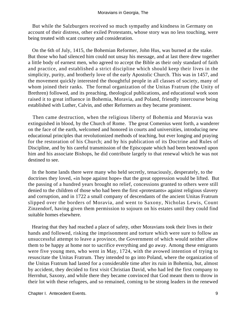But while the Salzburgers received so much sympathy and kindness in Germany on account of their distress, other exiled Protestants, whose story was no less touching, were being treated with scant courtesy and consideration.

 On the 6th of July, 1415, the Bohemian Reformer, John Hus, was burned at the stake. But those who had silenced him could not unsay his message, and at last there drew together a little body of earnest men, who agreed to accept the Bible as their only standard of faith and practice, and established a strict discipline which should keep their lives in the simplicity, purity, and brotherly love of the early Apostolic Church. This was in 1457, and the movement quickly interested the thoughtful people in all classes of society, many of whom joined their ranks. The formal organization of the Unitas Fratrum (the Unity of Brethren) followed, and its preaching, theological publications, and educational work soon raised it to great influence in Bohemia, Moravia, and Poland, friendly intercourse being established with Luther, Calvin, and other Reformers as they became prominent.

 Then came destruction, when the religious liberty of Bohemia and Moravia was extinguished in blood, by the Church of Rome. The great Comenius went forth, a wanderer on the face of the earth, welcomed and honored in courts and universities, introducing new educational principles that revolutionized methods of teaching, but ever longing and praying for the restoration of his Church; and by his publication of its Doctrine and Rules of Discipline, and by his careful transmission of the Episcopate which had been bestowed upon him and his associate Bishops, he did contribute largely to that renewal which he was not destined to see.

 In the home lands there were many who held secretly, tenaciously, desperately, to the doctrines they loved, «in hope against hope» that the great oppression would be lifted. But the passing of a hundred years brought no relief, concessions granted to others were still denied to the children of those who had been the first «protestants» against religious slavery and corruption, and in 1722 a small company of descendants of the ancient Unitas Fratrum slipped over the borders of Moravia, and went to Saxony, Nicholas Lewis, Count Zinzendorf, having given them permission to sojourn on his estates until they could find suitable homes elsewhere.

 Hearing that they had reached a place of safety, other Moravians took their lives in their hands and followed, risking the imprisonment and torture which were sure to follow an unsuccessful attempt to leave a province, the Government of which would neither allow them to be happy at home nor to sacrifice everything and go away. Among these emigrants were five young men, who went in May, 1724, with the avowed intention of trying to resuscitate the Unitas Fratrum. They intended to go into Poland, where the organization of the Unitas Fratrum had lasted for a considerable time after its ruin in Bohemia, but, almost by accident, they decided to first visit Christian David, who had led the first company to Herrnhut, Saxony, and while there they became convinced that God meant them to throw in their lot with these refugees, and so remained, coming to be strong leaders in the renewed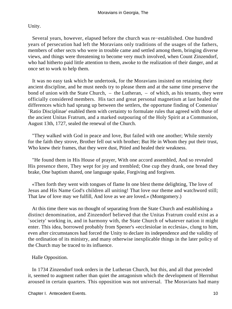Unity.

 Several years, however, elapsed before the church was re−established. One hundred years of persecution had left the Moravians only traditions of the usages of the fathers, members of other sects who were in trouble came and settled among them, bringing diverse views, and things were threatening to become very much involved, when Count Zinzendorf, who had hitherto paid little attention to them, awoke to the realization of their danger, and at once set to work to help them.

 It was no easy task which he undertook, for the Moravians insisted on retaining their ancient discipline, and he must needs try to please them and at the same time preserve the bond of union with the State Church,  $-$  the Lutheran,  $-$  of which, as his tenants, they were officially considered members. His tact and great personal magnetism at last healed the differences which had sprung up between the settlers, the opportune finding of Comenius' `Ratio Disciplinae' enabled them with certainty to formulate rules that agreed with those of the ancient Unitas Fratrum, and a marked outpouring of the Holy Spirit at a Communion, August 13th, 1727, sealed the renewal of the Church.

 "They walked with God in peace and love, But failed with one another; While sternly for the faith they strove, Brother fell out with brother; But He in Whom they put their trust, Who knew their frames, that they were dust, Pitied and healed their weakness.

 "He found them in His House of prayer, With one accord assembled, And so revealed His presence there, They wept for joy and trembled; One cup they drank, one bread they brake, One baptism shared, one language spake, Forgiving and forgiven.

 «Then forth they went with tongues of flame In one blest theme delighting, The love of Jesus and His Name God's children all uniting! That love our theme and watchword still; That law of love may we fulfill, And love as we are loved.» (Montgomery.)

 At this time there was no thought of separating from the State Church and establishing a distinct denomination, and Zinzendorf believed that the Unitas Fratrum could exist as a `society' working in, and in harmony with, the State Church of whatever nation it might enter. This idea, borrowed probably from Spener's «ecclesiolae in ecclesia», clung to him, even after circumstances had forced the Unity to declare its independence and the validity of the ordination of its ministry, and many otherwise inexplicable things in the later policy of the Church may be traced to its influence.

Halle Opposition.

 In 1734 Zinzendorf took orders in the Lutheran Church, but this, and all that preceded it, seemed to augment rather than quiet the antagonism which the development of Herrnhut aroused in certain quarters. This opposition was not universal. The Moravians had many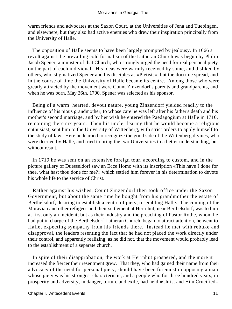warm friends and advocates at the Saxon Court, at the Universities of Jena and Tuebingen, and elsewhere, but they also had active enemies who drew their inspiration principally from the University of Halle.

 The opposition of Halle seems to have been largely prompted by jealousy. In 1666 a revolt against the prevailing cold formalism of the Lutheran Church was begun by Philip Jacob Spener, a minister of that Church, who strongly urged the need for real personal piety on the part of each individual. His ideas were warmly received by some, and disliked by others, who stigmatized Spener and his disciples as «Pietists», but the doctrine spread, and in the course of time the University of Halle became its centre. Among those who were greatly attracted by the movement were Count Zinzendorf's parents and grandparents, and when he was born, May 26th, 1700, Spener was selected as his sponsor.

 Being of a warm−hearted, devout nature, young Zinzendorf yielded readily to the influence of his pious grandmother, to whose care he was left after his father's death and his mother's second marriage, and by her wish he entered the Paedagogium at Halle in 1710, remaining there six years. Then his uncle, fearing that he would become a religious enthusiast, sent him to the University of Wittenberg, with strict orders to apply himself to the study of law. Here he learned to recognize the good side of the Wittenberg divines, who were decried by Halle, and tried to bring the two Universities to a better understanding, but without result.

 In 1719 he was sent on an extensive foreign tour, according to custom, and in the picture gallery of Duesseldorf saw an Ecce Homo with its inscription «This have I done for thee, what hast thou done for me?» which settled him forever in his determination to devote his whole life to the service of Christ.

 Rather against his wishes, Count Zinzendorf then took office under the Saxon Government, but about the same time he bought from his grandmother the estate of Berthelsdorf, desiring to establish a centre of piety, resembling Halle. The coming of the Moravian and other refugees and their settlement at Herrnhut, near Berthelsdorf, was to him at first only an incident; but as their industry and the preaching of Pastor Rothe, whom he had put in charge of the Berthelsdorf Lutheran Church, began to attract attention, he went to Halle, expecting sympathy from his friends there. Instead he met with rebuke and disapproval, the leaders resenting the fact that he had not placed the work directly under their control, and apparently realizing, as he did not, that the movement would probably lead to the establishment of a separate church.

 In spite of their disapprobation, the work at Herrnhut prospered, and the more it increased the fiercer their resentment grew. That they, who had gained their name from their advocacy of the need for personal piety, should have been foremost in opposing a man whose piety was his strongest characteristic, and a people who for three hundred years, in prosperity and adversity, in danger, torture and exile, had held «Christ and Him Crucified»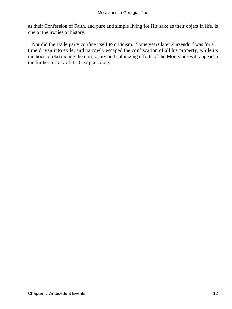as their Confession of Faith, and pure and simple living for His sake as their object in life, is one of the ironies of history.

 Nor did the Halle party confine itself to criticism. Some years later Zinzendorf was for a time driven into exile, and narrowly escaped the confiscation of all his property, while its methods of obstructing the missionary and colonizing efforts of the Moravians will appear in the further history of the Georgia colony.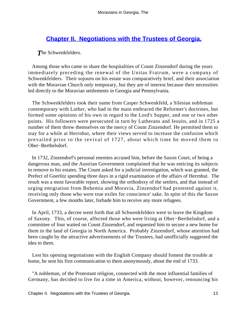# **[Chapter II. Negotiations with the Trustees of Georgia.](#page-130-0)**

*T*he Schwenkfelders.

 Among those who came to share the hospitalities of Count Zinzendorf during the years immediately preceding the renewal of the Unitas Fratrum, were a company of Schwenkfelders. Their sojourn on his estate was comparatively brief, and their association with the Moravian Church only temporary, but they are of interest because their necessities led directly to the Moravian settlements in Georgia and Pennsylvania.

 The Schwenkfelders took their name from Casper Schwenkfeld, a Silesian nobleman contemporary with Luther, who had in the main embraced the Reformer's doctrines, but formed some opinions of his own in regard to the Lord's Supper, and one or two other points. His followers were persecuted in turn by Lutherans and Jesuits, and in 1725 a number of them threw themselves on the mercy of Count Zinzendorf. He permitted them to stay for a while at Herrnhut, where their views served to increase the confusion which prevailed prior to the revival of 1727, about which time he moved them to Ober−Berthelsdorf.

 In 1732, Zinzendorf's personal enemies accused him, before the Saxon Court, of being a dangerous man, and the Austrian Government complained that he was enticing its subjects to remove to his estates. The Count asked for a judicial investigation, which was granted, the Prefect of Goerlitz spending three days in a rigid examination of the affairs of Herrnhut. The result was a most favorable report, showing the orthodoxy of the settlers, and that instead of urging emigration from Bohemia and Moravia, Zinzendorf had protested against it, receiving only those who were true exiles for conscience' sake. In spite of this the Saxon Government, a few months later, forbade him to receive any more refugees.

 In April, 1733, a decree went forth that all Schwenkfelders were to leave the Kingdom of Saxony. This, of course, affected those who were living at Ober−Berthelsdorf, and a committee of four waited on Count Zinzendorf, and requested him to secure a new home for them in the land of Georgia in North America. Probably Zinzendorf, whose attention had been caught by the attractive advertisements of the Trustees, had unofficially suggested the idea to them.

 Lest his opening negotiations with the English Company should foment the trouble at home, he sent his first communication to them anonymously, about the end of 1733.

 "A nobleman, of the Protestant religion, connected with the most influential families of Germany, has decided to live for a time in America, without, however, renouncing his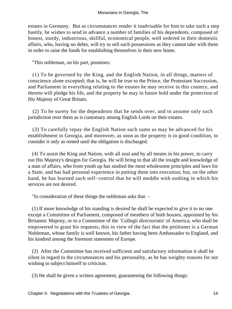estates in Germany. But as circumstances render it inadvisable for him to take such a step hastily, he wishes to send in advance a number of families of his dependents, composed of honest, sturdy, industrious, skillful, economical people, well ordered in their domestic affairs, who, having no debts, will try to sell such possessions as they cannot take with them in order to raise the funds for establishing themselves in their new home.

"This nobleman, on his part, promises:

 (1) To be governed by the King, and the English Nation, in all things, matters of conscience alone excepted; that is, he will be true to the Prince, the Protestant Succession, and Parliament in everything relating to the estates he may receive in this country, and thereto will pledge his life, and the property he may in future hold under the protection of His Majesty of Great Britain.

 (2) To be surety for the dependents that he sends over, and to assume only such jurisdiction over them as is customary among English Lords on their estates.

 (3) To carefully repay the English Nation such sums as may be advanced for his establishment in Georgia, and moreover, as soon as the property is in good condition, to consider it only as rented until the obligation is discharged.

 (4) To assist the King and Nation, with all zeal and by all means in his power, to carry out His Majesty's designs for Georgia. He will bring to that all the insight and knowledge of a man of affairs, who from youth up has studied the most wholesome principles and laws for a State, and has had personal experience in putting them into execution; but, on the other hand, he has learned such self−control that he will meddle with nothing in which his services are not desired.

"In consideration of these things the nobleman asks that –

 (1) If more knowledge of his standing is desired he shall be expected to give it to no one except a Committee of Parliament, composed of members of both houses, appointed by his Britannic Majesty, or to a Committee of the `Collegii directoriatis' of America, who shall be empowered to grant his requests; this in view of the fact that the petitioner is a German Nobleman, whose family is well known, his father having been Ambassador to England, and his kindred among the foremost statesmen of Europe.

 (2) After the Committee has received sufficient and satisfactory information it shall be silent in regard to the circumstances and his personality, as he has weighty reasons for not wishing to subject himself to criticism.

(3) He shall be given a written agreement, guaranteeing the following things: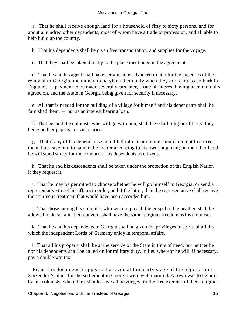a. That he shall receive enough land for a household of fifty to sixty persons, and for about a hundred other dependents, most of whom have a trade or profession, and all able to help build up the country.

b. That his dependents shall be given free transportation, and supplies for the voyage.

c. That they shall be taken directly to the place mentioned in the agreement.

 d. That he and his agent shall have certain sums advanced to him for the expenses of the removal to Georgia, the money to be given them only when they are ready to embark in England, – payment to be made several years later, a rate of interest having been mutually agreed on, and the estate in Georgia being given for security if necessary.

 e. All that is needed for the building of a village for himself and his dependents shall be furnished them, – but as an interest bearing loan.

 f. That he, and the colonists who will go with him, shall have full religious liberty, they being neither papists nor visionaries.

 g. That if any of his dependents should fall into error no one should attempt to correct them, but leave him to handle the matter according to his own judgment; on the other hand he will stand surety for the conduct of his dependents as citizens.

 h. That he and his descendents shall be taken under the protection of the English Nation if they request it.

 i. That he may be permitted to choose whether he will go himself to Georgia, or send a representative to set his affairs in order, and if the latter, then the representative shall receive the courteous treatment that would have been accorded him.

 j. That those among his colonists who wish to preach the gospel to the heathen shall be allowed to do so; and their converts shall have the same religious freedom as his colonists.

 k. That he and his dependents in Georgia shall be given the privileges in spiritual affairs which the independent Lords of Germany enjoy in temporal affairs.

 l. That all his property shall be at the service of the State in time of need, but neither he nor his dependents shall be called on for military duty, in lieu whereof he will, if necessary, pay a double war tax."

 From this document it appears that even at this early stage of the negotiations Zinzendorf's plans for the settlement in Georgia were well matured. A town was to be built by his colonists, where they should have all privileges for the free exercise of their religion;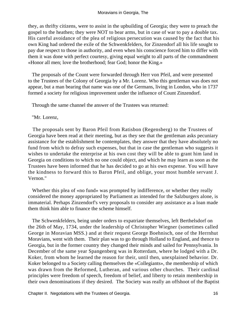they, as thrifty citizens, were to assist in the upbuilding of Georgia; they were to preach the gospel to the heathen; they were NOT to bear arms, but in case of war to pay a double tax. His careful avoidance of the plea of religious persecution was caused by the fact that his own King had ordered the exile of the Schwenkfelders, for Zinzendorf all his life sought to pay due respect to those in authority, and even when his conscience forced him to differ with them it was done with perfect courtesy, giving equal weight to all parts of the commandment «Honor all men; love the brotherhood; fear God; honor the King.»

 The proposals of the Count were forwarded through Herr von Pfeil, and were presented to the Trustees of the Colony of Georgia by a Mr. Lorenz. Who this gentleman was does not appear, but a man bearing that name was one of the Germans, living in London, who in 1737 formed a society for religious improvement under the influence of Count Zinzendorf.

Through the same channel the answer of the Trustees was returned:

### "Mr. Lorenz,

 The proposals sent by Baron Pfeil from Ratisbon (Regensberg) to the Trustees of Georgia have been read at their meeting, but as they see that the gentleman asks pecuniary assistance for the establishment he contemplates, they answer that they have absolutely no fund from which to defray such expenses, but that in case the gentleman who suggests it wishes to undertake the enterprise at his own cost they will be able to grant him land in Georgia on conditions to which no one could object, and which he may learn as soon as the Trustees have been informed that he has decided to go at his own expense. You will have the kindness to forward this to Baron Pfeil, and oblige, your most humble servant J. Vernon."

Whether this plea of «no fund» was prompted by indifference, or whether they really considered the money appropriated by Parliament as intended for the Salzburgers alone, is immaterial. Perhaps Zinzendorf's very proposals to consider any assistance as a loan made them think him able to finance the scheme himself.

 The Schwenkfelders, being under orders to expatriate themselves, left Berthelsdorf on the 26th of May, 1734, under the leadership of Christopher Wiegner (sometimes called George in Moravian MSS.) and at their request George Boehnisch, one of the Herrnhut Moravians, went with them. Their plan was to go through Holland to England, and thence to Georgia, but in the former country they changed their minds and sailed for Pennsylvania. In December of the same year Spangenberg was in Rotterdam, where he lodged with a Dr. Koker, from whom he learned the reason for their, until then, unexplained behavior. Dr. Koker belonged to a Society calling themselves the «Collegiants», the membership of which was drawn from the Reformed, Lutheran, and various other churches. Their cardinal principles were freedom of speech, freedom of belief, and liberty to retain membership in their own denominations if they desired. The Society was really an offshoot of the Baptist

Chapter II. Negotiations with the Trustees of Georgia. 16 and 16 and 16 and 16 and 16 and 16 and 16 and 16 and 16 and 16 and 16 and 16 and 16 and 16 and 16 and 16 and 16 and 16 and 16 and 16 and 16 and 16 and 16 and 16 and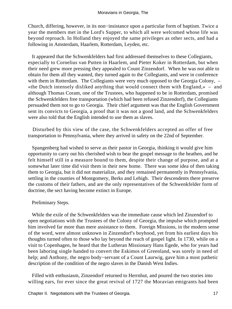Church, differing, however, in its non−insistance upon a particular form of baptism. Twice a year the members met in the Lord's Supper, to which all were welcomed whose life was beyond reproach. In Holland they enjoyed the same privileges as other sects, and had a following in Amsterdam, Haarlem, Rotterdam, Leyden, etc.

 It appeared that the Schwenkfelders had first addressed themselves to these Collegiants, especially to Cornelius van Putten in Haarlem, and Pieter Koker in Rotterdam, but when their need grew more pressing they appealed to Count Zinzendorf. When he was not able to obtain for them all they wanted, they turned again to the Collegiants, and were in conference with them in Rotterdam. The Collegiants were very much opposed to the Georgia Colony,  $-$ «the Dutch intensely disliked anything that would connect them with England,» – and although Thomas Coram, one of the Trustees, who happened to be in Rotterdam, promised the Schwenkfelders free transportation (which had been refused Zinzendorf), the Collegiants persuaded them not to go to Georgia. Their chief argument was that the English Government sent its convicts to Georgia, a proof that it was not a good land, and the Schwenkfelders were also told that the English intended to use them as slaves.

 Disturbed by this view of the case, the Schwenkfelders accepted an offer of free transportation to Pennsylvania, where they arrived in safety on the 22nd of September.

 Spangenberg had wished to serve as their pastor in Georgia, thinking it would give him opportunity to carry out his cherished wish to bear the gospel message to the heathen, and he felt himself still in a measure bound to them, despite their change of purpose, and at a somewhat later time did visit them in their new home. There was some idea of then taking them to Georgia, but it did not materialize, and they remained permanently in Pennsylvania, settling in the counties of Montgomery, Berks and Lehigh. Their descendents there preserve the customs of their fathers, and are the only representatives of the Schwenkfelder form of doctrine, the sect having become extinct in Europe.

### Preliminary Steps.

 While the exile of the Schwenkfelders was the immediate cause which led Zinzendorf to open negotiations with the Trustees of the Colony of Georgia, the impulse which prompted him involved far more than mere assistance to them. Foreign Missions, in the modern sense of the word, were almost unknown in Zinzendorf's boyhood, yet from his earliest days his thoughts turned often to those who lay beyond the reach of gospel light. In 1730, while on a visit to Copenhagen, he heard that the Lutheran Missionary Hans Egede, who for years had been laboring single handed to convert the Eskimos of Greenland, was sorely in need of help; and Anthony, the negro body−servant of a Count Laurwig, gave him a most pathetic description of the condition of the negro slaves in the Danish West Indies.

 Filled with enthusiasm, Zinzendorf returned to Herrnhut, and poured the two stories into willing ears, for ever since the great revival of 1727 the Moravian emigrants had been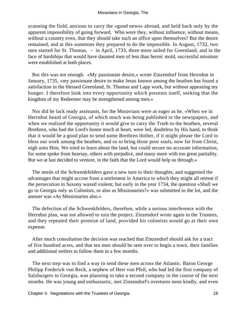scanning the field, anxious to carry the «good news» abroad, and held back only by the apparent impossibility of going forward. Who were they, without influence, without means, without a country even, that they should take such an office upon themselves? But the desire remained, and at this summons they prepared to do the impossible. In August, 1732, two men started for St. Thomas, – in April, 1733, three more sailed for Greenland, and in the face of hardships that would have daunted men of less than heroic mold, successful missions were established at both places.

 But this was not enough. «My passionate desire,» wrote Zinzendorf from Herrnhut in January, 1735, «my passionate desire to make Jesus known among the heathen has found a satisfaction in the blessed Greenland, St. Thomas and Lapp work, but without appeasing my hunger. I therefore look into every opportunity which presents itself, seeking that the kingdom of my Redeemer may be strengthened among men.»

 Nor did he lack ready assistants, for the Moravians were as eager as he. «When we in Herrnhut heard of Georgia, of which much was being published in the newspapers, and when we realized the opportunity it would give to carry the Truth to the heathen, several Brethren, who had the Lord's honor much at heart, were led, doubtless by His hand, to think that it would be a good plan to send some Brethren thither, if it might please the Lord to bless our work among the heathen, and so to bring those poor souls, now far from Christ, nigh unto Him. We tried to learn about the land, but could secure no accurate information, for some spoke from hearsay, others with prejudice, and many more with too great partiality. But we at last decided to venture, in the faith that the Lord would help us through.»

 The needs of the Schwenkfelders gave a new turn to their thoughts, and suggested the advantages that might accrue from a settlement in America to which they might all retreat if the persecution in Saxony waxed violent; but early in the year 1734, the question «Shall we go to Georgia only as Colonists, or also as Missionaries?» was submitted to the lot, and the answer was «As Missionaries also.»

 The defection of the Schwenkfelders, therefore, while a serious interference with the Herrnhut plan, was not allowed to ruin the project. Zinzendorf wrote again to the Trustees, and they repeated their promise of land, provided his colonists would go at their own expense.

 After much consultation the decision was reached that Zinzendorf should ask for a tract of five hundred acres, and that ten men should be sent over to begin a town, their families and additional settlers to follow them in a few months.

 The next step was to find a way to send these men across the Atlantic. Baron George Philipp Frederick von Reck, a nephew of Herr von Pfeil, who had led the first company of Salzburgers to Georgia, was planning to take a second company in the course of the next months. He was young and enthusiastic, met Zinzendorf's overtures most kindly, and even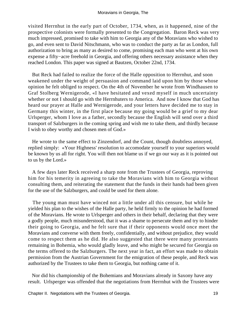visited Herrnhut in the early part of October, 1734, when, as it happened, nine of the prospective colonists were formally presented to the Congregation. Baron Reck was very much impressed, promised to take with him to Georgia any of the Moravians who wished to go, and even sent to David Nitschmann, who was to conduct the party as far as London, full authorization to bring as many as desired to come, promising each man who went at his own expense a fifty−acre freehold in Georgia, and offering others necessary assistance when they reached London. This paper was signed at Bautzen, October 22nd, 1734.

 But Reck had failed to realize the force of the Halle opposition to Herrnhut, and soon weakened under the weight of persuasion and command laid upon him by those whose opinion he felt obliged to respect. On the 4th of November he wrote from Windhausen to Graf Stolberg Wernigerode, «I have hesitated and vexed myself in much uncertainty whether or not I should go with the Herrnhuters to America. And now I know that God has heard our prayer at Halle and Wernigerode, and your letters have decided me to stay in Germany this winter, in the first place because my going would be a grief to my dear Urlsperger, whom I love as a father, secondly because the English will send over a third transport of Salzburgers in the coming spring and wish me to take them, and thirdly because I wish to obey worthy and chosen men of God.»

 He wrote to the same effect to Zinzendorf, and the Count, though doubtless annoyed, replied simply: «Your Highness' resolution to accomodate yourself to your superiors would be known by us all for right. You will then not blame us if we go our way as it is pointed out to us by the Lord.»

 A few days later Reck received a sharp note from the Trustees of Georgia, reproving him for his temerity in agreeing to take the Moravians with him to Georgia without consulting them, and reiterating the statement that the funds in their hands had been given for the use of the Salzburgers, and could be used for them alone.

 The young man must have winced not a little under all this censure, but while he yielded his plan to the wishes of the Halle party, he held firmly to the opinion he had formed of the Moravians. He wrote to Urlsperger and others in their behalf, declaring that they were a godly people, much misunderstood, that it was a shame to persecute them and try to hinder their going to Georgia, and he felt sure that if their opponents would once meet the Moravians and converse with them freely, confidentially, and without prejudice, they would come to respect them as he did. He also suggested that there were many protestants remaining in Bohemia, who would gladly leave, and who might be secured for Georgia on the terms offered to the Salzburgers. The next year in fact, an effort was made to obtain permission from the Austrian Government for the emigration of these people, and Reck was authorized by the Trustees to take them to Georgia, but nothing came of it.

 Nor did his championship of the Bohemians and Moravians already in Saxony have any result. Urlsperger was offended that the negotiations from Herrnhut with the Trustees were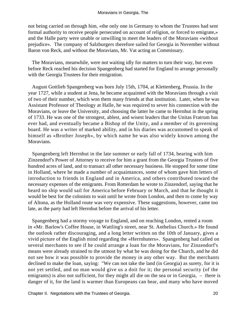not being carried on through him, «the only one in Germany to whom the Trustees had sent formal authority to receive people persecuted on account of religion, or forced to emigrate,» and the Halle party were unable or unwilling to meet the leaders of the Moravians «without prejudice». The company of Salzburgers therefore sailed for Georgia in November without Baron von Reck, and without the Moravians, Mr. Vat acting as Commissary.

 The Moravians, meanwhile, were not waiting idly for matters to turn their way, but even before Reck reached his decision Spangenberg had started for England to arrange personally with the Georgia Trustees for their emigration.

 August Gottlieb Spangenberg was born July 15th, 1704, at Klettenberg, Prussia. In the year 1727, while a student at Jena, he became acquainted with the Moravians through a visit of two of their number, which won them many friends at that institution. Later, when he was Assistant Professor of Theology at Halle, he was required to sever his connection with the Moravians, or leave the University, and choosing the latter he came to Herrnhut in the spring of 1733. He was one of the strongest, ablest, and wisest leaders that the Unitas Fratrum has ever had, and eventually became a Bishop of the Unity, and a member of its governing board. He was a writer of marked ability, and in his diaries was accustomed to speak of himself as «Brother Joseph», by which name he was also widely known among the Moravians.

 Spangenberg left Herrnhut in the late summer or early fall of 1734, bearing with him Zinzendorf's Power of Attorney to receive for him a grant from the Georgia Trustees of five hundred acres of land, and to transact all other necessary business. He stopped for some time in Holland, where he made a number of acquaintances, some of whom gave him letters of introduction to friends in England and in America, and others contributed toward the necessary expenses of the emigrants. From Rotterdam he wrote to Zinzendorf, saying that he heard no ship would sail for America before February or March, and that he thought it would be best for the colonists to wait until he wrote from London, and then to come by way of Altona, as the Holland route was very expensive. These suggestions, however, came too late, as the party had left Herrnhut before the arrival of his letter.

 Spangenberg had a stormy voyage to England, and on reaching London, rented a room in «Mr. Barlow's Coffee House, in Wattling's street, near St. Anthelius Church.» He found the outlook rather discouraging, and a long letter written on the 10th of January, gives a vivid picture of the English mind regarding the «Herrnhuters». Spangenberg had called on several merchants to see if he could arrange a loan for the Moravians, for Zinzendorf's means were already strained to the utmost by what he was doing for the Church, and he did not see how it was possible to provide the money in any other way. But the merchants declined to make the loan, saying: "We can not take the land (in Georgia) as surety, for it is not yet settled, and no man would give us a doit for it; the personal security (of the emigrants) is also not sufficient, for they might all die on the sea or in Georgia, – there is danger of it, for the land is warmer than Europeans can bear, and many who have moved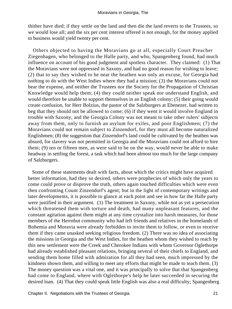thither have died; if they settle on the land and then die the land reverts to the Trustees, so we would lose all; and the six per cent interest offered is not enough, for the money applied to business would yield twenty per cent.

 Others objected to having the Moravians go at all, especially Court Preacher Ziegenhagen, who belonged to the Halle party, and who, Spangenberg found, had much influence on account of his good judgment and spotless character. They claimed: (1) That the Moravians were not oppressed in Saxony, and had no good reason for wishing to leave; (2) that to say they wished to be near the heathen was only an excuse, for Georgia had nothing to do with the West Indies where they had a mission; (3) the Moravians could not bear the expense, and neither the Trustees nor the Society for the Propagation of Christian Knowledge would help them; (4) they could neither speak nor understand English, and would therefore be unable to support themselves in an English colony; (5) their going would create confusion, for Herr Bolzius, the pastor of the Salzburgers at Ebenezer, had written to beg that they should not be allowed to come; (6) if they went it would involve England in trouble with Saxony, and the Georgia Colony was not meant to take other rulers' subjects away from them, only to furnish an asylum for exiles, and poor Englishmen; (7) the Moravians could not remain subject to Zinzendorf, for they must all become naturalized Englishmen; (8) the suggestion that Zinzendorf's land could be cultivated by the heathen was absurd, for slavery was not permitted in Georgia and the Moravians could not afford to hire them; (9) ten or fifteen men, as were said to be on the way, would never be able to make headway in settling the forest, a task which had been almost too much for the large company of Salzburgers.

 Some of these statements dealt with facts, about which the critics might have acquired better information, had they so desired, others were prophecies of which only the years to come could prove or disprove the truth, others again touched difficulties which were even then confronting Count Zinzendorf's agent; but in the light of contemporary writings and later developments, it is possible to glance at each point and see in how far the Halle party were justified in their argument. (1) The treatment in Saxony, while not as yet a persecution which threatened them with torture and death, had many unpleasant features, and the constant agitation against them might at any time crystalize into harsh measures, for those members of the Herrnhut community who had left friends and relatives in the homelands of Bohemia and Moravia were already forbidden to invite them to follow, or even to receive them if they came unasked seeking religious freedom. (2) There was no idea of associating the missions in Georgia and the West Indies, for the heathen whom they wished to reach by this new settlement were the Creek and Cherokee Indians with whom Governor Oglethorpe had already established pleasant relations, bringing several of their chiefs to England, and sending them home filled with admiration for all they had seen, much impressed by the kindness shown them, and willing to meet any efforts that might be made to teach them. (3) The money question was a vital one, and it was principally to solve that that Spangenberg had come to England, where with Oglethorpe's help he later succeeded in securing the desired loan. (4) That they could speak little English was also a real difficulty; Spangenberg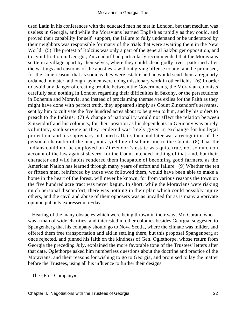used Latin in his conferences with the educated men he met in London, but that medium was useless in Georgia, and while the Moravians learned English as rapidly as they could, and proved their capability for self−support, the failure to fully understand or be understood by their neighbors was responsible for many of the trials that were awaiting them in the New World. (5) The protest of Bolzius was only a part of the general Salzburger opposition, and to avoid friction in Georgia, Zinzendorf had particularly recommended that the Moravians settle in a village apart by themselves, where they could «lead godly lives, patterned after the writings and customs of the apostles,» without giving offense to any; and he promised, for the same reason, that as soon as they were established he would send them a regularly ordained minister, although laymen were doing missionary work in other fields. (6) In order to avoid any danger of creating trouble between the Governments, the Moravian colonists carefully said nothing in London regarding their difficulties in Saxony, or the persecutions in Bohemia and Moravia, and instead of proclaiming themselves exiles for the Faith as they might have done with perfect truth, they appeared simply as Count Zinzendorf's servants, sent by him to cultivate the five hundred acres about to be given to him, and by his orders to preach to the Indians. (7) A change of nationality would not affect the relation between Zinzendorf and his colonists, for their position as his dependents in Germany was purely voluntary, such service as they rendered was freely given in exchange for his legal protection, and his supremacy in Church affairs then and later was a recognition of the personal character of the man, not a yielding of submission to the Count. (8) That the Indians could not be employed on Zinzendorf's estate was quite true, not so much on account of the law against slavery, for the Count intended nothing of that kind, but their character and wild habits rendered them incapable of becoming good farmers, as the American Nation has learned through many years of effort and failure. (9) Whether the ten or fifteen men, reinforced by those who followed them, would have been able to make a home in the heart of the forest, will never be known, for from various reasons the town on the five hundred acre tract was never begun. In short, while the Moravians were risking much personal discomfort, there was nothing in their plan which could possibly injure others, and the cavil and abuse of their opposers was as uncalled for as is many a «private opinion publicly expressed» to−day.

 Hearing of the many obstacles which were being thrown in their way, Mr. Coram, who was a man of wide charities, and interested in other colonies besides Georgia, suggested to Spangenberg that his company should go to Nova Scotia, where the climate was milder, and offered them free transportation and aid in settling there, but this proposal Spangenberg at once rejected, and pinned his faith on the kindness of Gen. Oglethorpe, whose return from Georgia the preceding July, explained the more favorable tone of the Trustees' letters after that date. Oglethorpe asked him numberless questions about the doctrine and practice of the Moravians, and their reasons for wishing to go to Georgia, and promised to lay the matter before the Trustees, using all his influence to further their designs.

The «First Company».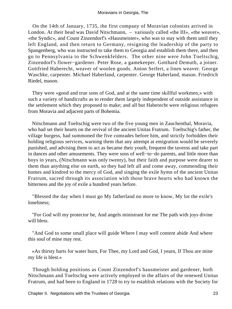On the 14th of January, 1735, the first company of Moravian colonists arrived in London. At their head was David Nitschmann, – variously called «the III», «the weaver», «the Syndic», and Count Zinzendorf's «Hausmeister», who was to stay with them until they left England, and then return to Germany, resigning the leadership of the party to Spangenberg, who was instructed to take them to Georgia and establish them there, and then go to Pennsylvania to the Schwenkfelders. The other nine were John Toeltschig, Zinzendorf's flower−gardener. Peter Rose, a gamekeeper. Gotthard Demuth, a joiner. Gottfried Haberecht, weaver of woolen goods. Anton Seifert, a linen weaver. George Waschke, carpenter. Michael Haberland, carpenter. George Haberland, mason. Friedrich Riedel, mason.

 They were «good and true sons of God, and at the same time skillful workmen,» with such a variety of handicrafts as to render them largely independent of outside assistance in the settlement which they proposed to make; and all but Haberecht were religious refugees from Moravia and adjacent parts of Bohemia.

 Nitschmann and Toeltschig were two of the five young men in Zauchenthal, Moravia, who had set their hearts on the revival of the ancient Unitas Fratrum. Toeltschig's father, the village burgess, had summoned the five comrades before him, and strictly forbidden their holding religious services, warning them that any attempt at emigration would be severely punished, and advising them to act as became their youth, frequent the taverns and take part in dances and other amusements. They were sons of well−to−do parents, and little more than boys in years, (Nitschmann was only twenty), but their faith and purpose were dearer to them than anything else on earth, so they had left all and come away, commending their homes and kindred to the mercy of God, and singing the exile hymn of the ancient Unitas Fratrum, sacred through its association with those brave hearts who had known the bitterness and the joy of exile a hundred years before.

 "Blessed the day when I must go My fatherland no more to know, My lot the exile's loneliness;

 "For God will my protector be, And angels ministrant for me The path with joys divine will bless.

 "And God to some small place will guide Where I may well content abide And where this soul of mine may rest.

 «As thirsty harts for water burn, For Thee, my Lord and God, I yearn, If Thou are mine my life is blest.»

 Though holding positions as Count Zinzendorf's hausmeister and gardener, both Nitschmann and Toeltschig were actively employed in the affairs of the renewed Unitas Fratrum, and had been to England in 1728 to try to establish relations with the Society for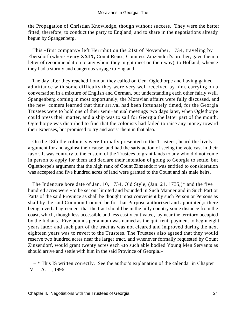the Propagation of Christian Knowledge, though without success. They were the better fitted, therefore, to conduct the party to England, and to share in the negotiations already begun by Spangenberg.

 This «first company» left Herrnhut on the 21st of November, 1734, traveling by Ebersdorf (where Henry **XXIX,** Count Reuss, Countess Zinzendorf's brother, gave them a letter of recommendation to any whom they might meet on their way), to Holland, whence they had a stormy and dangerous voyage to England.

 The day after they reached London they called on Gen. Oglethorpe and having gained admittance with some difficulty they were very well received by him, carrying on a conversation in a mixture of English and German, but understanding each other fairly well. Spangenberg coming in most opportunely, the Moravian affairs were fully discussed, and the new−comers learned that their arrival had been fortunately timed, for the Georgia Trustees were to hold one of their semi−annual meetings two days later, when Oglethorpe could press their matter, and a ship was to sail for Georgia the latter part of the month. Oglethorpe was disturbed to find that the colonists had failed to raise any money toward their expenses, but promised to try and assist them in that also.

 On the 18th the colonists were formally presented to the Trustees, heard the lively argument for and against their cause, and had the satisfaction of seeing the vote cast in their favor. It was contrary to the custom of the Trustees to grant lands to any who did not come in person to apply for them and declare their intention of going to Georgia to settle, but Oglethorpe's argument that the high rank of Count Zinzendorf was entitled to consideration was accepted and five hundred acres of land were granted to the Count and his male heirs.

 The Indenture bore date of Jan. 10, 1734, Old Style, (Jan. 21, 1735,)\* and the five hundred acres were «to be set out limited and bounded in Such Manner and in Such Part or Parts of the said Province as shall be thought most convenient by such Person or Persons as shall by the said Common Council be for that Purpose authorized and appointed,» there being a verbal agreement that the tract should be in the hilly country some distance from the coast, which, though less accessible and less easily cultivated, lay near the territory occupied by the Indians. Five pounds per annum was named as the quit rent, payment to begin eight years later; and such part of the tract as was not cleared and improved during the next eighteen years was to revert to the Trustees. The Trustees also agreed that they would reserve two hundred acres near the larger tract, and whenever formally requested by Count Zinzendorf, would grant twenty acres each «to such able bodied Young Men Servants as should arrive and settle with him in the said Province of Georgia.»

 $-$  \* This IS written correctly. See the author's explanation of the calendar in Chapter IV. – A. L., 1996. –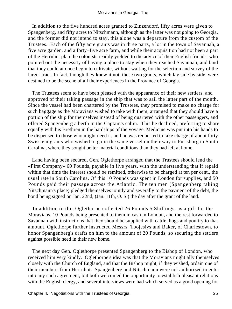In addition to the five hundred acres granted to Zinzendorf, fifty acres were given to Spangenberg, and fifty acres to Nitschmann, although as the latter was not going to Georgia, and the former did not intend to stay, this alone was a departure from the custom of the Trustees. Each of the fifty acre grants was in three parts, a lot in the town of Savannah, a five acre garden, and a forty−five acre farm, and while their acquisition had not been a part of the Herrnhut plan the colonists readily yielded to the advice of their English friends, who pointed out the necessity of having a place to stay when they reached Savannah, and land that they could at once begin to cultivate, without waiting for the selection and survey of the larger tract. In fact, though they knew it not, these two grants, which lay side by side, were destined to be the scene of all their experiences in the Province of Georgia.

 The Trustees seem to have been pleased with the appearance of their new settlers, and approved of their taking passage in the ship that was to sail the latter part of the month. Since the vessel had been chartered by the Trustees, they promised to make no charge for such baggage as the Moravians wished to take with them, arranged that they should have a portion of the ship for themselves instead of being quartered with the other passengers, and offered Spangenberg a berth in the Captain's cabin. This he declined, preferring to share equally with his Brethren in the hardships of the voyage. Medicine was put into his hands to be dispensed to those who might need it, and he was requested to take charge of about forty Swiss emigrants who wished to go in the same vessel on their way to Purisburg in South Carolina, where they sought better material conditions than they had left at home.

 Land having been secured, Gen. Oglethorpe arranged that the Trustees should lend the «First Company» 60 Pounds, payable in five years, with the understanding that if repaid within that time the interest should be remitted, otherwise to be charged at ten per cent., the usual rate in South Carolina. Of this 10 Pounds was spent in London for supplies, and 50 Pounds paid their passage across the Atlantic. The ten men (Spangenberg taking Nitschmann's place) pledged themselves jointly and severally to the payment of the debt, the bond being signed on Jan. 22nd, (Jan. 11th, O. S.) the day after the grant of the land.

 In addition to this Oglethorpe collected 26 Pounds 5 Shillings, as a gift for the Moravians, 10 Pounds being presented to them in cash in London, and the rest forwarded to Savannah with instructions that they should be supplied with cattle, hogs and poultry to that amount. Oglethorpe further instructed Messrs. Toojesiys and Baker, of Charlestown, to honor Spangenberg's drafts on him to the amount of 20 Pounds, so securing the settlers against possible need in their new home.

 The next day Gen. Oglethorpe presented Spangenberg to the Bishop of London, who received him very kindly. Oglethorpe's idea was that the Moravians might ally themselves closely with the Church of England, and that the Bishop might, if they wished, ordain one of their members from Herrnhut. Spangenberg and Nitschmann were not authorized to enter into any such agreement, but both welcomed the opportunity to establish pleasant relations with the English clergy, and several interviews were had which served as a good opening for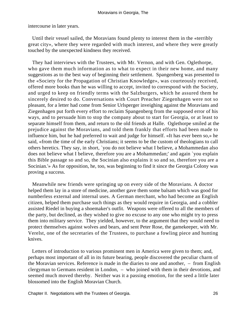intercourse in later years.

 Until their vessel sailed, the Moravians found plenty to interest them in the «terribly great city», where they were regarded with much interest, and where they were greatly touched by the unexpected kindness they received.

 They had interviews with the Trustees, with Mr. Vernon, and with Gen. Oglethorpe, who gave them much information as to what to expect in their new home, and many suggestions as to the best way of beginning their settlement. Spangenberg was presented to the «Society for the Propagation of Christian Knowledge», was courteously received, offered more books than he was willing to accept, invited to correspond with the Society, and urged to keep on friendly terms with the Salzburgers, which he assured them he sincerely desired to do. Conversations with Court Preacher Ziegenhagen were not so pleasant, for a letter had come from Senior Urlsperger inveighing against the Moravians and Ziegenhagen put forth every effort to reclaim Spangenberg from the supposed error of his ways, and to persuade him to stop the company about to start for Georgia, or at least to separate himself from them, and return to the old friends at Halle. Oglethorpe smiled at the prejudice against the Moravians, and told them frankly that efforts had been made to influence him, but he had preferred to wait and judge for himself. «It has ever been so,» he said, «from the time of the early Christians; it seems to be the custom of theologians to call others heretics. They say, in short, `you do not believe what I believe, a Mohammedan also does not believe what I believe, therefore you are a Mohammedan;' and again `you explain this Bible passage so and so, the Socinian also explains it so and so, therefore you are a Socinian.'» As for opposition, he, too, was beginning to find it since the Georgia Colony was proving a success.

 Meanwhile new friends were springing up on every side of the Moravians. A doctor helped them lay in a store of medicine, another gave them some balsam which was good for numberless external and internal uses. A German merchant, who had become an English citizen, helped them purchase such things as they would require in Georgia, and a cobbler assisted Riedel in buying a shoemaker's outfit. Weapons were offered to all the members of the party, but declined, as they wished to give no excuse to any one who might try to press them into military service. They yielded, however, to the argument that they would need to protect themselves against wolves and bears, and sent Peter Rose, the gamekeeper, with Mr. Verelst, one of the secretaries of the Trustees, to purchase a fowling piece and hunting knives.

 Letters of introduction to various prominent men in America were given to them; and, perhaps most important of all in its future bearing, people discovered the peculiar charm of the Moravian services. Reference is made in the diaries to one and another, – from English clergyman to Germans resident in London, – who joined with them in their devotions, and seemed much moved thereby. Neither was it a passing emotion, for the seed a little later blossomed into the English Moravian Church.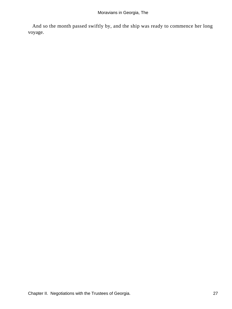And so the month passed swiftly by, and the ship was ready to commence her long voyage.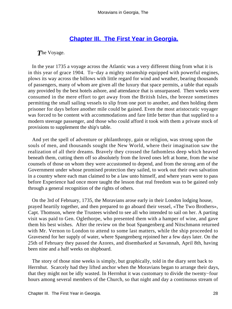## **[Chapter III. The First Year in Georgia.](#page-130-0)**

*T*he Voyage.

 In the year 1735 a voyage across the Atlantic was a very different thing from what it is in this year of grace 1904. To−day a mighty steamship equipped with powerful engines, plows its way across the billows with little regard for wind and weather, bearing thousands of passengers, many of whom are given all the luxury that space permits, a table that equals any provided by the best hotels ashore, and attendance that is unsurpassed. Then weeks were consumed in the mere effort to get away from the British Isles, the breeze sometimes permitting the small sailing vessels to slip from one port to another, and then holding them prisoner for days before another mile could be gained. Even the most aristocratic voyager was forced to be content with accommodations and fare little better than that supplied to a modern steerage passenger, and those who could afford it took with them a private stock of provisions to supplement the ship's table.

 And yet the spell of adventure or philanthropy, gain or religion, was strong upon the souls of men, and thousands sought the New World, where their imagination saw the realization of all their dreams. Bravely they crossed the fathomless deep which heaved beneath them, cutting them off so absolutely from the loved ones left at home, from the wise counsels of those on whom they were accustomed to depend, and from the strong arm of the Government under whose promised protection they sailed, to work out their own salvation in a country where each man claimed to be a law unto himself, and where years were to pass before Experience had once more taught the lesson that real freedom was to be gained only through a general recognition of the rights of others.

 On the 3rd of February, 1735, the Moravians arose early in their London lodging house, prayed heartily together, and then prepared to go aboard their vessel, «The Two Brothers», Capt. Thomson, where the Trustees wished to see all who intended to sail on her. A parting visit was paid to Gen. Oglethorpe, who presented them with a hamper of wine, and gave them his best wishes. After the review on the boat Spangenberg and Nitschmann returned with Mr. Vernon to London to attend to some last matters, while the ship proceeded to Gravesend for her supply of water, where Spangenberg rejoined her a few days later. On the 25th of February they passed the Azores, and disembarked at Savannah, April 8th, having been nine and a half weeks on shipboard.

 The story of those nine weeks is simply, but graphically, told in the diary sent back to Herrnhut. Scarcely had they lifted anchor when the Moravians began to arrange their days, that they might not be idly wasted. In Herrnhut it was customary to divide the twenty−four hours among several members of the Church, so that night and day a continuous stream of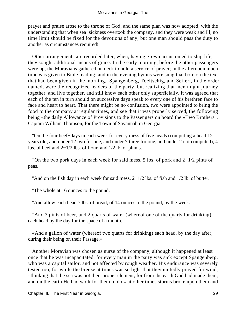prayer and praise arose to the throne of God, and the same plan was now adopted, with the understanding that when sea−sickness overtook the company, and they were weak and ill, no time limit should be fixed for the devotions of any, but one man should pass the duty to another as circumstances required!

 Other arrangements are recorded later, when, having grown accustomed to ship life, they sought additional means of grace. In the early morning, before the other passengers were up, the Moravians gathered on deck to hold a service of prayer; in the afternoon much time was given to Bible reading; and in the evening hymns were sung that bore on the text that had been given in the morning. Spangenberg, Toeltschig, and Seifert, in the order named, were the recognized leaders of the party, but realizing that men might journey together, and live together, and still know each other only superficially, it was agreed that each of the ten in turn should on successive days speak to every one of his brethren face to face and heart to heart. That there might be no confusion, two were appointed to bring the food to the company at regular times, and see that it was properly served, the following being «the daily Allowance of Provisions to the Passengers on board the »Two Brothers", Captain William Thomson, for the Town of Savannah in Georgia.

 "On the four beef−days in each week for every mess of five heads (computing a head 12 years old, and under 12 two for one, and under 7 three for one, and under 2 not computed), 4 lbs. of beef and 2−1/2 lbs. of flour, and 1/2 lb. of plums.

 "On the two pork days in each week for said mess, 5 lbs. of pork and 2−1/2 pints of peas.

"And on the fish day in each week for said mess, 2−1/2 lbs. of fish and 1/2 lb. of butter.

"The whole at 16 ounces to the pound.

"And allow each head 7 lbs. of bread, of 14 ounces to the pound, by the week.

 "And 3 pints of beer, and 2 quarts of water (whereof one of the quarts for drinking), each head by the day for the space of a month.

 «And a gallon of water (whereof two quarts for drinking) each head, by the day after, during their being on their Passage.»

 Another Moravian was chosen as nurse of the company, although it happened at least once that he was incapacitated, for every man in the party was sick except Spangenberg, who was a capital sailor, and not affected by rough weather. His endurance was severely tested too, for while the breeze at times was so light that they unitedly prayed for wind, «thinking that the sea was not their proper element, for from the earth God had made them, and on the earth He had work for them to do,» at other times storms broke upon them and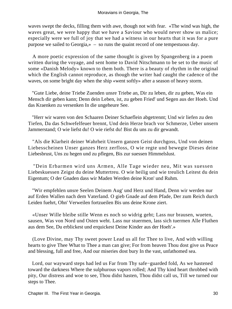waves swept the decks, filling them with awe, though not with fear. «The wind was high, the waves great, we were happy that we have a Saviour who would never show us malice; especially were we full of joy that we had a witness in our hearts that it was for a pure purpose we sailed to Georgia,» – so runs the quaint record of one tempestuous day.

 A more poetic expression of the same thought is given by Spangenberg in a poem written during the voyage, and sent home to David Nitschmann to be set to the music of some «Danish Melody» known to them both. There is a beauty of rhythm in the original which the English cannot reproduce, as though the writer had caught the cadence of the waves, on some bright day when the ship «went softly» after a season of heavy storm.

 "Gute Liebe, deine Triebe Zuenden unsre Triebe an, Dir zu leben, dir zu geben, Was ein Mensch dir geben kann; Denn dein Leben, ist, zu geben Fried' und Segen aus der Hoeh. Und das Kraenken zu versenken In die ungeheure See.

 "Herr wir waren von den Schaaren Deiner Schaeflein abgetrennt; Und wir liefen zu den Tiefen, Da das Schwefelfeuer brennt, Und dein Herze brach vor Schmerze, Ueber unsern Jammerstand; O wie liefst du! O wie riefst du! Bist du uns zu dir gewandt.

 "Als die Klarheit deiner Wahrheit Unsern ganzen Geist durchgoss, Und von deinen Liebesscheinen Unser ganzes Herz zerfloss, O wie regte und bewegte Dieses deine Liebesbrust, Uns zu hegen und zu pflegen, Bis zur suessen Himmelslust.

 "Dein Erbarmen wird uns Armen, Alle Tage wieder neu, Mit was suessen Liebeskuessen Zeigst du deine Muttertreu. O wie heilig und wie treulich Leitest du dein Eigentum; O der Gnaden dass wir Maden Werden deine Kron' und Ruhm.

 "Wir empfehlen unsre Seelen Deinem Aug' und Herz und Hand, Denn wir werden nur auf Erden Wallen nach dem Vaterland. O gieb Gnade auf dem Pfade, Der zum Reich durch Leiden fuehrt, Ohn' Verweilen fortzueilen Bis uns deine Krone ziert.

 «Unser Wille bleibe stille Wenn es noch so widrig geht; Lass nur brausen, wueten, sausen, Was von Nord und Osten weht. Lass nur stuermen, lass sich tuermen Alle Fluthen aus dem See, Du erblickest und erquickest Deine Kinder aus der Hoeh'.»

 (Love Divine, may Thy sweet power Lead us all for Thee to live, And with willing hearts to give Thee What to Thee a man can give; For from heaven Thou dost give us Peace and blessing, full and free, And our miseries dost bury In the vast, unfathomed sea.

 Lord, our wayward steps had led us Far from Thy safe−guarded fold, As we hastened toward the darkness Where the sulphurous vapors rolled; And Thy kind heart throbbed with pity, Our distress and woe to see, Thou didst hasten, Thou didst call us, Till we turned our steps to Thee.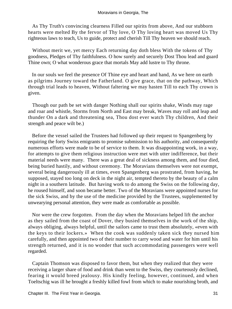As Thy Truth's convincing clearness Filled our spirits from above, And our stubborn hearts were melted By the fervor of Thy love, O Thy loving heart was moved Us Thy righteous laws to teach, Us to guide, protect and cherish Till Thy heaven we should reach.

 Without merit we, yet mercy Each returning day doth bless With the tokens of Thy goodness, Pledges of Thy faithfulness. O how surely and securely Dost Thou lead and guard Thine own; O what wonderous grace that mortals May add lustre to Thy throne.

 In our souls we feel the presence Of Thine eye and heart and hand, As we here on earth as pilgrims Journey toward the Fatherland. O give grace, that on the pathway, Which through trial leads to heaven, Without faltering we may hasten Till to each Thy crown is given.

 Though our path be set with danger Nothing shall our spirits shake, Winds may rage and roar and whistle, Storms from North and East may break, Waves may roll and leap and thunder On a dark and threatening sea, Thou dost ever watch Thy children, And their strength and peace wilt be.)

 Before the vessel sailed the Trustees had followed up their request to Spangenberg by requiring the forty Swiss emigrants to promise submission to his authority, and consequently numerous efforts were made to be of service to them. It was disappointing work, in a way, for attempts to give them religious instruction were met with utter indifference, but their material needs were many. There was a great deal of sickness among them, and four died, being buried hastily, and without ceremony. The Moravians themselves were not exempt, several being dangerously ill at times, even Spangenberg was prostrated, from having, he supposed, stayed too long on deck in the night air, tempted thereto by the beauty of a calm night in a southern latitude. But having work to do among the Swiss on the following day, he roused himself, and soon became better. Two of the Moravians were appointed nurses for the sick Swiss, and by the use of the medicine provided by the Trustees, supplemented by unwearying personal attention, they were made as comfortable as possible.

 Nor were the crew forgotten. From the day when the Moravians helped lift the anchor as they sailed from the coast of Dover, they busied themselves in the work of the ship, always obliging, always helpful, until the sailors came to trust them absolutely, «even with the keys to their lockers.» When the cook was suddenly taken sick they nursed him carefully, and then appointed two of their number to carry wood and water for him until his strength returned, and it is no wonder that such accommodating passengers were well regarded.

 Captain Thomson was disposed to favor them, but when they realized that they were receiving a larger share of food and drink than went to the Swiss, they courteously declined, fearing it would breed jealousy. His kindly feeling, however, continued, and when Toeltschig was ill he brought a freshly killed fowl from which to make nourishing broth, and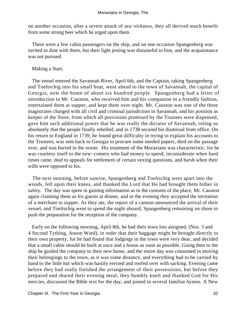on another occasion, after a severe attack of sea−sickness, they all derived much benefit from some strong beer which he urged upon them.

 There were a few cabin passengers on the ship, and on one occasion Spangenberg was invited to dine with them, but their light jesting was distasteful to him, and the acquaintance was not pursued.

#### Making a Start.

 The vessel entered the Savannah River, April 6th, and the Captain, taking Spangenberg and Toeltschig into his small boat, went ahead to the town of Savannah, the capital of Georgia, now the home of about six hundred people. Spangenberg had a letter of introduction to Mr. Causton, who received him and his companion in a friendly fashion, entertained them at supper, and kept them over night. Mr. Causton was one of the three magistrates charged with all civil and criminal jurisdiction in Savannah, and his position as keeper of the Store, from which all provisions promised by the Trustees were dispensed, gave him such additional power that he was really the dictator of Savannah, ruling so absolutely that the people finally rebelled, and in 1738 secured his dismissal from office. On his return to England in 1739, he found great difficulty in trying to explain his accounts to the Trustees, was sent back to Georgia to procure some needed papers, died on the passage over, and was buried in the ocean. His treatment of the Moravians was characteristic, for he was courtesy itself to the new−comers who had money to spend, inconsiderate when hard times came, deaf to appeals for settlement of certain vexing questions, and harsh when their wills were opposed to his.

 The next morning, before sunrise, Spangenberg and Toeltschig went apart into the woods, fell upon their knees, and thanked the Lord that He had brought them hither in safety. The day was spent in gaining information as to the customs of the place, Mr. Causton again claiming them as his guests at dinner, and in the evening they accepted the invitation of a merchant to supper. As they ate, the report of a cannon announced the arrival of their vessel, and Toeltschig went to spend the night aboard, Spangenberg remaining on shore to push the preparation for the reception of the company.

 Early on the following morning, April 8th, he had their town lots assigned, (Nos. 3 and 4 Second Tything, Anson Ward), in order that their baggage might be brought directly to their own property, for he had found that lodgings in the town were very dear, and decided that a small cabin should be built at once and a house as soon as possible. Going then to the ship he guided the company to their new home, and the entire day was consumed in moving their belongings to the town, as it was some distance, and everything had to be carried by hand to the little hut which was hastily erected and roofed over with sacking. Evening came before they had really finished the arrangement of their possessions, but before they prepared and shared their evening meal, they humbly knelt and thanked God for His mercies, discussed the Bible text for the day, and joined in several familiar hymns. A New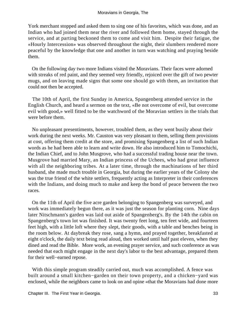York merchant stopped and asked them to sing one of his favorites, which was done, and an Indian who had joined them near the river and followed them home, stayed through the service, and at parting beckoned them to come and visit him. Despite their fatigue, the «Hourly Intercession» was observed throughout the night, their slumbers rendered more peaceful by the knowledge that one and another in turn was watching and praying beside them.

 On the following day two more Indians visited the Moravians. Their faces were adorned with streaks of red paint, and they seemed very friendly, rejoiced over the gift of two pewter mugs, and on leaving made signs that some one should go with them, an invitation that could not then be accepted.

 The 10th of April, the first Sunday in America, Spangenberg attended service in the English Church, and heard a sermon on the text, «Be not overcome of evil, but overcome evil with good,» well fitted to be the watchword of the Moravian settlers in the trials that were before them.

 No unpleasant presentiments, however, troubled them, as they went busily about their work during the next weeks. Mr. Causton was very pleasant to them, selling them provisions at cost, offering them credit at the store, and promising Spangenberg a list of such Indian words as he had been able to learn and write down. He also introduced him to Tomochichi, the Indian Chief, and to John Musgrove, who had a successful trading house near the town. Musgrove had married Mary, an Indian princess of the Uchees, who had great influence with all the neighboring tribes. At a later time, through the machinations of her third husband, she made much trouble in Georgia, but during the earlier years of the Colony she was the true friend of the white settlers, frequently acting as Interpreter in their conferences with the Indians, and doing much to make and keep the bond of peace between the two races.

 On the 11th of April the five acre garden belonging to Spangenberg was surveyed, and work was immediately begun there, as it was just the season for planting corn. Nine days later Nitschmann's garden was laid out aside of Spangenberg's. By the 14th the cabin on Spangenberg's town lot was finished. It was twenty feet long, ten feet wide, and fourteen feet high, with a little loft where they slept, their goods, with a table and benches being in the room below. At daybreak they rose, sang a hymn, and prayed together, breakfasted at eight o'clock, the daily text being read aloud, then worked until half past eleven, when they dined and read the Bible. More work, an evening prayer service, and such conference as was needed that each might engage in the next day's labor to the best advantage, prepared them for their well−earned repose.

 With this simple program steadily carried out, much was accomplished. A fence was built around a small kitchen−garden on their town property, and a chicken−yard was enclosed, while the neighbors came to look on and opine «that the Moravians had done more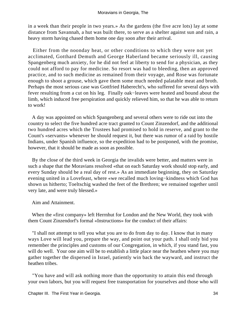in a week than their people in two years.» As the gardens (the five acre lots) lay at some distance from Savannah, a hut was built there, to serve as a shelter against sun and rain, a heavy storm having chased them home one day soon after their arrival.

 Either from the noonday heat, or other conditions to which they were not yet acclimated, Gotthard Demuth and George Haberland became seriously ill, causing Spangenberg much anxiety, for he did not feel at liberty to send for a physician, as they could not afford to pay for medicine. So resort was had to bleeding, then an approved practice, and to such medicine as remained from their voyage, and Rose was fortunate enough to shoot a grouse, which gave them some much needed palatable meat and broth. Perhaps the most serious case was Gottfried Haberecht's, who suffered for several days with fever resulting from a cut on his leg. Finally oak−leaves were heated and bound about the limb, which induced free perspiration and quickly relieved him, so that he was able to return to work!

 A day was appointed on which Spangenberg and several others were to ride out into the country to select the five hundred acre tract granted to Count Zinzendorf, and the additional two hundred acres which the Trustees had promised to hold in reserve, and grant to the Count's «servants» whenever he should request it, but there was rumor of a raid by hostile Indians, under Spanish influence, so the expedition had to be postponed, with the promise, however, that it should be made as soon as possible.

 By the close of the third week in Georgia the invalids were better, and matters were in such a shape that the Moravians resolved «that on each Saturday work should stop early, and every Sunday should be a real day of rest.» As an immediate beginning, they on Saturday evening united in a Lovefeast, where «we recalled much loving−kindness which God has shown us hitherto; Toeltschig washed the feet of the Brethren; we remained together until very late, and were truly blessed.»

Aim and Attainment.

 When the «first company» left Herrnhut for London and the New World, they took with them Count Zinzendorf's formal «Instructions» for the conduct of their affairs:

 "I shall not attempt to tell you what you are to do from day to day. I know that in many ways Love will lead you, prepare the way, and point out your path. I shall only bid you remember the principles and customs of our Congregation, in which, if you stand fast, you will do well. Your one aim will be to establish a little place near the heathen where you may gather together the dispersed in Israel, patiently win back the wayward, and instruct the heathen tribes.

 "You have and will ask nothing more than the opportunity to attain this end through your own labors, but you will request free transportation for yourselves and those who will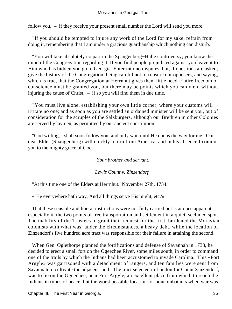follow you, – if they receive your present small number the Lord will send you more.

 "If you should be tempted to injure any work of the Lord for my sake, refrain from doing it, remembering that I am under a gracious guardianship which nothing can disturb.

 "You will take absolutely no part in the Spangenberg−Halle controversy; you know the mind of the Congregation regarding it. If you find people prejudiced against you leave it to Him who has bidden you go to Georgia. Enter into no disputes, but, if questions are asked, give the history of the Congregation, being careful not to censure our opposers, and saying, which is true, that the Congregation at Herrnhut gives them little heed. Entire freedom of conscience must be granted you, but there may be points which you can yield without injuring the cause of Christ, – if so you will find them in due time.

 "You must live alone, establishing your own little corner, where your customs will irritate no one; and as soon as you are settled an ordained minister will be sent you, out of consideration for the scruples of the Salzburgers, although our Brethren in other Colonies are served by laymen, as permitted by our ancient constitution.

 "God willing, I shall soon follow you, and only wait until He opens the way for me. Our dear Elder (Spangenberg) will quickly return from America, and in his absence I commit you to the mighty grace of God.

*Your brother and servant,*

*Lewis Count v. Zinzendorf.* 

"At this time one of the Elders at Herrnhut. November 27th, 1734.

«`He everywhere hath way, And all things serve His might, etc.'»

 That these sensible and liberal instructions were not fully carried out is at once apparent, especially in the two points of free transportation and settlement in a quiet, secluded spot. The inability of the Trustees to grant their request for the first, burdened the Moravian colonists with what was, under the circumstances, a heavy debt, while the location of Zinzendorf's five hundred acre tract was responsible for their failure in attaining the second.

 When Gen. Oglethorpe planned the fortifications and defense of Savannah in 1733, he decided to erect a small fort on the Ogeechee River, some miles south, in order to command one of the trails by which the Indians had been accustomed to invade Carolina. This «Fort Argyle» was garrisoned with a detachment of rangers, and ten families were sent from Savannah to cultivate the adjacent land. The tract selected in London for Count Zinzendorf, was to lie on the Ogeechee, near Fort Argyle, an excellent place from which to reach the Indians in times of peace, but the worst possible location for noncombatants when war was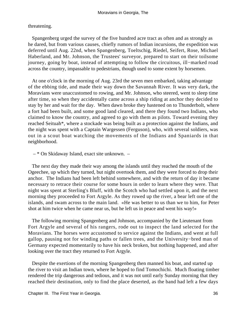threatening.

 Spangenberg urged the survey of the five hundred acre tract as often and as strongly as he dared, but from various causes, chiefly rumors of Indian incursions, the expedition was deferred until Aug. 22nd, when Spangenberg, Toeltschig, Riedel, Seifert, Rose, Michael Haberland, and Mr. Johnson, the Trustees' surveyor, prepared to start on their toilsome journey, going by boat, instead of attempting to follow the circuitous, ill−marked road across the country, impassable to pedestrians, though used to some extent by horsemen.

 At one o'clock in the morning of Aug. 23rd the seven men embarked, taking advantage of the ebbing tide, and made their way down the Savannah River. It was very dark, the Moravians were unaccustomed to rowing, and Mr. Johnson, who steered, went to sleep time after time, so when they accidentally came across a ship riding at anchor they decided to stay by her and wait for the day. When dawn broke they hastened on to Thunderbolt, where a fort had been built, and some good land cleared, and there they found two Indians, who claimed to know the country, and agreed to go with them as pilots. Toward evening they reached Seituah\*, where a stockade was being built as a protection against the Indians, and the night was spent with a Captain Wargessen (Ferguson), who, with several soldiers, was out in a scout boat watching the movements of the Indians and Spaniards in that neighborhood.

 $-$  \* On Skidaway Island, exact site unknown.  $-$ 

 The next day they made their way among the islands until they reached the mouth of the Ogeechee, up which they turned, but night overtook them, and they were forced to drop their anchor. The Indians had been left behind somewhere, and with the return of day it became necessary to retrace their course for some hours in order to learn where they were. That night was spent at Sterling's Bluff, with the Scotch who had settled upon it, and the next morning they proceeded to Fort Argyle. As they rowed up the river, a bear left one of the islands, and swam across to the main land. «He was better to us than we to him, for Peter shot at him twice when he came near us, but he left us in peace and went his way!»

 The following morning Spangenberg and Johnson, accompanied by the Lieutenant from Fort Argyle and several of his rangers, rode out to inspect the land selected for the Moravians. The horses were accustomed to service against the Indians, and went at full gallop, pausing not for winding paths or fallen trees, and the University−bred man of Germany expected momentarily to have his neck broken, but nothing happened, and after looking over the tract they returned to Fort Argyle.

 Despite the exertions of the morning Spangenberg then manned his boat, and started up the river to visit an Indian town, where he hoped to find Tomochichi. Much floating timber rendered the trip dangerous and tedious, and it was not until early Sunday morning that they reached their destination, only to find the place deserted, as the band had left a few days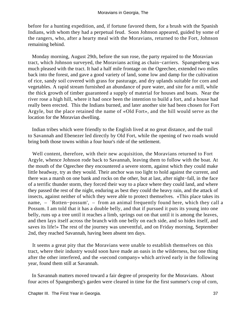before for a hunting expedition, and, if fortune favored them, for a brush with the Spanish Indians, with whom they had a perpetual feud. Soon Johnson appeared, guided by some of the rangers, who, after a hearty meal with the Moravians, returned to the Fort, Johnson remaining behind.

 Monday morning, August 29th, before the sun rose, the party repaired to the Moravian tract, which Johnson surveyed, the Moravians acting as chain−carriers. Spangenberg was much pleased with the tract. It had a half mile frontage on the Ogeechee, extended two miles back into the forest, and gave a good variety of land, some low and damp for the cultivation of rice, sandy soil covered with grass for pasturage, and dry uplands suitable for corn and vegetables. A rapid stream furnished an abundance of pure water, and site for a mill, while the thick growth of timber guaranteed a supply of material for houses and boats. Near the river rose a high hill, where it had once been the intention to build a fort, and a house had really been erected. This the Indians burned, and later another site had been chosen for Fort Argyle, but the place retained the name of «Old Fort», and the hill would serve as the location for the Moravian dwelling.

 Indian tribes which were friendly to the English lived at no great distance, and the trail to Savannah and Ebenezer led directly by Old Fort, while the opening of two roads would bring both those towns within a four hour's ride of the settlement.

 Well content, therefore, with their new acquisition, the Moravians returned to Fort Argyle, whence Johnson rode back to Savannah, leaving them to follow with the boat. At the mouth of the Ogeechee they encountered a severe storm, against which they could make little headway, try as they would. Their anchor was too light to hold against the current, and there was a marsh on one bank and rocks on the other, but at last, after night−fall, in the face of a terrific thunder storm, they forced their way to a place where they could land, and where they passed the rest of the night, enduring as best they could the heavy rain, and the attack of insects, against neither of which they were able to protect themselves. «This place takes its name, – `Rotten−possum', – from an animal frequently found here, which they call a Possum. I am told that it has a double belly, and that if pursued it puts its young into one belly, runs up a tree until it reaches a limb, springs out on that until it is among the leaves, and then lays itself across the branch with one belly on each side, and so hides itself, and saves its life!» The rest of the journey was uneventful, and on Friday morning, September 2nd, they reached Savannah, having been absent ten days.

 It seems a great pity that the Moravians were unable to establish themselves on this tract, where their industry would soon have made an oasis in the wilderness, but one thing after the other interfered, and the «second company» which arrived early in the following year, found them still at Savannah.

 In Savannah matters moved toward a fair degree of prosperity for the Moravians. About four acres of Spangenberg's garden were cleared in time for the first summer's crop of corn,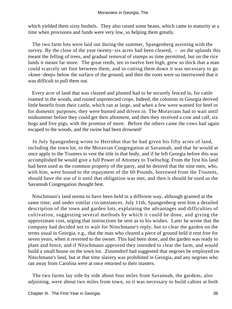## Moravians in Georgia, The

which yielded them sixty bushels. They also raised some beans, which came to maturity at a time when provisions and funds were very low, so helping them greatly.

 The two farm lots were laid out during the summer, Spangenberg assisting with the survey. By the close of the year twenty−six acres had been cleared, – on the uplands this meant the felling of trees, and gradual removal of stumps as time permitted, but on the rice lands it meant far more. The great reeds, ten to twelve feet high, grew so thick that a man could scarcely set foot between them, and in cutting them down it was necessary to go «knee−deep» below the surface of the ground, and then the roots were so intertwined that it was difficult to pull them out.

 Every acre of land that was cleared and planted had to be securely fenced in, for cattle roamed in the woods, and ruined unprotected crops. Indeed, the colonists in Georgia derived little benefit from their cattle, which ran at large, and when a few were wanted for beef or for domestic purposes, they were hunted and driven in. The Moravians had to wait until midsummer before they could get their allotment, and then they received a cow and calf, six hogs and five pigs, with the promise of more. Before the others came the cows had again escaped to the woods, and the swine had been drowned!

 In July Spangenberg wrote to Herrnhut that he had given his fifty acres of land, including the town lot, to the Moravian Congregation at Savannah, and that he would at once apply to the Trustees to vest the title in that body, and if he left Georgia before this was accomplished he would give a full Power of Attorney to Toeltschig. From the first his land had been used as the common property of the party, and he desired that the nine men, who, with him, were bound to the repayment of the 60 Pounds, borrowed from the Trustees, should have the use of it until that obligation was met, and then it should be used as the Savannah Congregation thought best.

 Nitschmann's land seems to have been held in a different way, although granted at the same time, and under similar circumstances. July 11th, Spangenberg sent him a detailed description of the town and garden lots, explaining the advantages and difficulties of cultivation, suggesting several methods by which it could be done, and giving the approximate cost, urging that instructions be sent as to his wishes. Later he wrote that the company had decided not to wait for Nitschmann's reply, but to clear the garden on the terms usual in Georgia, e.g., that the man who cleared a piece of ground held it rent free for seven years, when it reverted to the owner. This had been done, and the garden was ready to plant and fence, and if Nitschmann approved they intended to clear the farm, and would build a small house on the town lot. Zinzendorf had suggested that negroes be employed on Nitschmann's land, but at that time slavery was prohibited in Georgia, and any negroes who ran away from Carolina were at once returned to their masters.

 The two farms lay side by side about four miles from Savannah, the gardens, also adjoining, were about two miles from town, so it was necessary to build cabins at both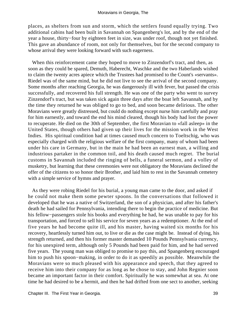places, as shelters from sun and storm, which the settlers found equally trying. Two additional cabins had been built in Savannah on Spangenberg's lot, and by the end of the year a house, thirty−four by eighteen feet in size, was under roof, though not yet finished. This gave an abundance of room, not only for themselves, but for the second company to whose arrival they were looking forward with such eagerness.

 When this reinforcement came they hoped to move to Zinzendorf's tract, and then, as soon as they could be spared, Demuth, Haberecht, Waschke and the two Haberlands wished to claim the twenty acres apiece which the Trustees had promised to the Count's «servants». Riedel was of the same mind, but he did not live to see the arrival of the second company. Some months after reaching Georgia, he was dangerously ill with fever, but passed the crisis successfully, and recovered his full strength. He was one of the party who went to survey Zinzendorf's tract, but was taken sick again three days after the boat left Savannah, and by the time they returned he was obliged to go to bed, and soon became delirious. The other Moravians were greatly distressed, but could do nothing except nurse him carefully and pray for him earnestly, and toward the end his mind cleared, though his body had lost the power to recuperate. He died on the 30th of September, the first Moravian to «fall asleep» in the United States, though others had given up their lives for the mission work in the West Indies. His spiritual condition had at times caused much concern to Toeltschig, who was especially charged with the religious welfare of the first company, many of whom had been under his care in Germany, but in the main he had been an earnest man, a willing and industrious partaker in the common toil, and his death caused much regret. The burial customs in Savannah included the ringing of bells, a funeral sermon, and a volley of musketry, but learning that these ceremonies were not obligatory the Moravians declined the offer of the citizens to so honor their Brother, and laid him to rest in the Savannah cemetery with a simple service of hymns and prayer.

 As they were robing Riedel for his burial, a young man came to the door, and asked if he could not make them some pewter spoons. In the conversations that followed it developed that he was a native of Switzerland, the son of a physician, and after his father's death he had sailed for Pennsylvania, intending there to begin the practice of medicine. But his fellow−passengers stole his books and everything he had, he was unable to pay for his transportation, and forced to sell his service for seven years as a redemptioner. At the end of five years he had become quite ill, and his master, having waited six months for his recovery, heartlessly turned him out, to live or die as the case might be. Instead of dying, his strength returned, and then his former master demanded 10 Pounds Pennsylvania currency, for his unexpired term, although only 5 Pounds had been paid for him, and he had served five years. The young man was obliged to promise to pay this, and Spangenberg encouraged him to push his spoon−making, in order to do it as speedily as possible. Meanwhile the Moravians were so much pleased with his appearance and speech, that they agreed to receive him into their company for as long as he chose to stay, and John Regnier soon became an important factor in their comfort. Spiritually he was somewhat at sea. At one time he had desired to be a hermit, and then he had drifted from one sect to another, seeking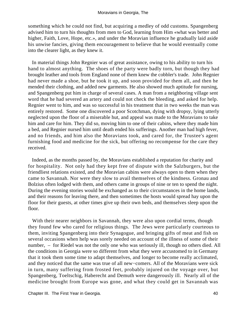something which he could not find, but acquiring a medley of odd customs. Spangenberg advised him to turn his thoughts from men to God, learning from Him «what was better and higher, Faith, Love, Hope, etc.», and under the Moravian influence he gradually laid aside his unwise fancies, giving them encouragement to believe that he would eventually come into the clearer light, as they knew it.

 In material things John Regnier was of great assistance, owing to his ability to turn his hand to almost anything. The shoes of the party were badly torn, but though they had brought leather and tools from England none of them knew the cobbler's trade. John Regnier had never made a shoe, but he took it up, and soon provided for them all, and then he mended their clothing, and added new garments. He also showed much aptitude for nursing, and Spangenberg put him in charge of several cases. A man from a neighboring village sent word that he had severed an artery and could not check the bleeding, and asked for help. Regnier went to him, and was so successful in his treatment that in two weeks the man was entirely restored. Some one discovered a poor Scotchman, dying with dropsy, lying utterly neglected upon the floor of a miserable hut, and appeal was made to the Moravians to take him and care for him. They did so, moving him to one of their cabins, where they made him a bed, and Regnier nursed him until death ended his sufferings. Another man had high fever, and no friends, and him also the Moravians took, and cared for, the Trustee's agent furnishing food and medicine for the sick, but offering no recompense for the care they received.

 Indeed, as the months passed by, the Moravians established a reputation for charity and for hospitality. Not only had they kept free of dispute with the Salzburgers, but the friendliest relations existed, and the Moravian cabins were always open to them when they came to Savannah. Nor were they slow to avail themselves of the kindness. Gronau and Bolzius often lodged with them, and others came in groups of nine or ten to spend the night. During the evening stories would be exchanged as to their circumstances in the home lands, and their reasons for leaving there, and then sometimes the hosts would spread hay upon the floor for their guests, at other times give up their own beds, and themselves sleep upon the floor.

With their nearer neighbors in Savannah, they were also upon cordial terms, though they found few who cared for religious things. The Jews were particularly courteous to them, inviting Spangenberg into their Synagogue, and bringing gifts of meat and fish on several occasions when help was sorely needed on account of the illness of some of their number, – for Riedel was not the only one who was seriously ill, though no others died. All the conditions in Georgia were so different from what they were accustomed to in Germany that it took them some time to adapt themselves, and longer to become really acclimated, and they noticed that the same was true of all new−comers. All of the Moravians were sick in turn, many suffering from frosted feet, probably injured on the voyage over, but Spangenberg, Toeltschig, Haberecht and Demuth were dangerously ill. Nearly all of the medicine brought from Europe was gone, and what they could get in Savannah was

Chapter III. The First Year in Georgia. 40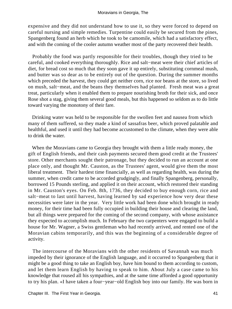expensive and they did not understand how to use it, so they were forced to depend on careful nursing and simple remedies. Turpentine could easily be secured from the pines, Spangenberg found an herb which he took to be camomile, which had a satisfactory effect, and with the coming of the cooler autumn weather most of the party recovered their health.

 Probably the food was partly responsible for their troubles, though they tried to be careful, and cooked everything thoroughly. Rice and salt−meat were their chief articles of diet, for bread cost so much that they soon gave it up entirely, substituting cornmeal mush, and butter was so dear as to be entirely out of the question. During the summer months which preceded the harvest, they could get neither corn, rice nor beans at the store, so lived on mush, salt−meat, and the beans they themselves had planted. Fresh meat was a great treat, particularly when it enabled them to prepare nourishing broth for their sick, and once Rose shot a stag, giving them several good meals, but this happened so seldom as to do little toward varying the monotony of their fare.

 Drinking water was held to be responsible for the swollen feet and nausea from which many of them suffered, so they made a kind of sassafras beer, which proved palatable and healthful, and used it until they had become accustomed to the climate, when they were able to drink the water.

 When the Moravians came to Georgia they brought with them a little ready money, the gift of English friends, and their cash payments secured them good credit at the Trustees' store. Other merchants sought their patronage, but they decided to run an account at one place only, and thought Mr. Causton, as the Trustees' agent, would give them the most liberal treatment. Their hardest time financially, as well as regarding health, was during the summer, when credit came to be accorded grudgingly, and finally Spangenberg, personally, borrowed 15 Pounds sterling, and applied it on their account, which restored their standing in Mr. Causton's eyes. On Feb. 8th, 1736, they decided to buy enough corn, rice and salt−meat to last until harvest, having learned by sad experience how very dear these necessities were later in the year. Very little work had been done which brought in ready money, for their time had been fully occupied in building their house and clearing the land, but all things were prepared for the coming of the second company, with whose assistance they expected to accomplish much. In February the two carpenters were engaged to build a house for Mr. Wagner, a Swiss gentleman who had recently arrived, and rented one of the Moravian cabins temporarily, and this was the beginning of a considerable degree of activity.

 The intercourse of the Moravians with the other residents of Savannah was much impeded by their ignorance of the English language, and it occurred to Spangenberg that it might be a good thing to take an English boy, have him bound to them according to custom, and let them learn English by having to speak to him. About July a case came to his knowledge that roused all his sympathies, and at the same time afforded a good opportunity to try his plan. «I have taken a four−year−old English boy into our family. He was born in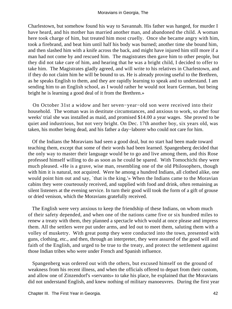Charlestown, but somehow found his way to Savannah. His father was hanged, for murder I have heard, and his mother has married another man, and abandoned the child. A woman here took charge of him, but treated him most cruelly. Once she became angry with him, took a firebrand, and beat him until half his body was burned; another time she bound him, and then slashed him with a knife across the back, and might have injured him still more if a man had not come by and rescued him. The magistrates then gave him to other people, but they did not take care of him, and hearing that he was a bright child, I decided to offer to take him. The Magistrates gladly agreed, and will write to his relatives in Charlestown, and if they do not claim him he will be bound to us. He is already proving useful to the Brethren, as he speaks English to them, and they are rapidly learning to speak and to understand. I am sending him to an English school, as I would rather he would not learn German, but being bright he is learning a good deal of it from the Brethren.»

 On October 31st a widow and her seven−year−old son were received into their household. The woman was in destitute circumstances, and anxious to work, so after four weeks' trial she was installed as maid, and promised \$14.00 a year wages. She proved to be quiet and industrious, but not very bright. On Dec. 17th another boy, six years old, was taken, his mother being dead, and his father a day−laborer who could not care for him.

 Of the Indians the Moravians had seen a good deal, but no start had been made toward teaching them, except that some of their words had been learned. Spangenberg decided that the only way to master their language would be to go and live among them, and this Rose professed himself willing to do as soon as he could be spared. With Tomochichi they were much pleased. «He is a grave, wise man, resembling one of the old Philosophers, though with him it is natural, not acquired. Were he among a hundred Indians, all clothed alike, one would point him out and say, `that is the king.'» When the Indians came to the Moravian cabins they were courteously received, and supplied with food and drink, often remaining as silent listeners at the evening service. In turn their good will took the form of a gift of grouse or dried venison, which the Moravians gratefully received.

 The English were very anxious to keep the friendship of these Indians, on whom much of their safety depended, and when one of the nations came five or six hundred miles to renew a treaty with them, they planned a spectacle which would at once please and impress them. All the settlers were put under arms, and led out to meet them, saluting them with a volley of musketry. With great pomp they were conducted into the town, presented with guns, clothing, etc., and then, through an interpreter, they were assured of the good will and faith of the English, and urged to be true to the treaty, and protect the settlement against those Indian tribes who were under French and Spanish influence.

 Spangenberg was ordered out with the others, but excused himself on the ground of weakness from his recent illness, and when the officials offered to depart from their custom, and allow one of Zinzendorf's «servants» to take his place, he explained that the Moravians did not understand English, and knew nothing of military manoeuvres. During the first year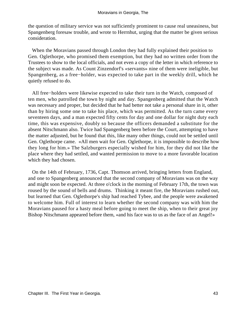the question of military service was not sufficiently prominent to cause real uneasiness, but Spangenberg foresaw trouble, and wrote to Herrnhut, urging that the matter be given serious consideration.

 When the Moravians passed through London they had fully explained their position to Gen. Oglethorpe, who promised them exemption, but they had no written order from the Trustees to show to the local officials, and not even a copy of the letter in which reference to the subject was made. As Count Zinzendorf's «servants» nine of them were ineligible, but Spangenberg, as a free−holder, was expected to take part in the weekly drill, which he quietly refused to do.

 All free−holders were likewise expected to take their turn in the Watch, composed of ten men, who patrolled the town by night and day. Spangenberg admitted that the Watch was necessary and proper, but decided that he had better not take a personal share in it, other than by hiring some one to take his place, which was permitted. As the turn came every seventeen days, and a man expected fifty cents for day and one dollar for night duty each time, this was expensive, doubly so because the officers demanded a substitute for the absent Nitschmann also. Twice had Spangenberg been before the Court, attempting to have the matter adjusted, but he found that this, like many other things, could not be settled until Gen. Oglethorpe came. «All men wait for Gen. Oglethorpe, it is impossible to describe how they long for him.» The Salzburgers especially wished for him, for they did not like the place where they had settled, and wanted permission to move to a more favorable location which they had chosen.

 On the 14th of February, 1736, Capt. Thomson arrived, bringing letters from England, and one to Spangenberg announced that the second company of Moravians was on the way and might soon be expected. At three o'clock in the morning of February 17th, the town was roused by the sound of bells and drums. Thinking it meant fire, the Moravians rushed out, but learned that Gen. Oglethorpe's ship had reached Tybee, and the people were awakened to welcome him. Full of interest to learn whether the second company was with him the Moravians paused for a hasty meal before going to meet the ship, when to their great joy Bishop Nitschmann appeared before them, «and his face was to us as the face of an Angel!»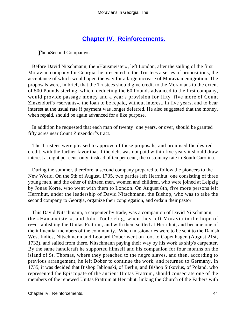## **[Chapter IV. Reinforcements.](#page-130-0)**

*T*he «Second Company».

 Before David Nitschmann, the «Hausmeister», left London, after the sailing of the first Moravian company for Georgia, he presented to the Trustees a series of propositions, the acceptance of which would open the way for a large increase of Moravian emigration. The proposals were, in brief, that the Trustees should give credit to the Moravians to the extent of 500 Pounds sterling, which, deducting the 60 Pounds advanced to the first company, would provide passage money and a year's provision for fifty−five more of Count Zinzendorf's «servants», the loan to be repaid, without interest, in five years, and to bear interest at the usual rate if payment was longer deferred. He also suggested that the money, when repaid, should be again advanced for a like purpose.

 In addition he requested that each man of twenty−one years, or over, should be granted fifty acres near Count Zinzendorf's tract.

 The Trustees were pleased to approve of these proposals, and promised the desired credit, with the further favor that if the debt was not paid within five years it should draw interest at eight per cent. only, instead of ten per cent., the customary rate in South Carolina.

 During the summer, therefore, a second company prepared to follow the pioneers to the New World. On the 5th of August, 1735, two parties left Herrnhut, one consisting of three young men, and the other of thirteen men, women and children, who were joined at Leipzig by Jonas Korte, who went with them to London. On August 8th, five more persons left Herrnhut, under the leadership of David Nitschmann, the Bishop, who was to take the second company to Georgia, organize their congregation, and ordain their pastor.

 This David Nitschmann, a carpenter by trade, was a companion of David Nitschmann, the «Hausmeister», and John Toeltschig, when they left Moravia in the hope of re−establishing the Unitas Fratrum, and with them settled at Herrnhut, and became one of the influential members of the community. When missionaries were to be sent to the Danish West Indies, Nitschmann and Leonard Dober went on foot to Copenhagen (August 21st, 1732), and sailed from there, Nitschmann paying their way by his work as ship's carpenter. By the same handicraft he supported himself and his companion for four months on the island of St. Thomas, where they preached to the negro slaves, and then, according to previous arrangement, he left Dober to continue the work, and returned to Germany. In 1735, it was decided that Bishop Jablonski, of Berlin, and Bishop Sitkovius, of Poland, who represented the Episcopate of the ancient Unitas Fratrum, should consecrate one of the members of the renewed Unitas Fratrum at Herrnhut, linking the Church of the Fathers with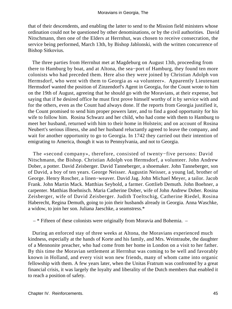that of their descendents, and enabling the latter to send to the Mission field ministers whose ordination could not be questioned by other denominations, or by the civil authorities. David Nitschmann, then one of the Elders at Herrnhut, was chosen to receive consecration, the service being performed, March 13th, by Bishop Jablonski, with the written concurrence of Bishop Sitkovius.

 The three parties from Herrnhut met at Magdeburg on August 13th, proceeding from there to Hamburg by boat, and at Altona, the sea−port of Hamburg, they found ten more colonists who had preceded them. Here also they were joined by Christian Adolph von Hermsdorf, who went with them to Georgia as «a volunteer». Apparently Lieutenant Hermsdorf wanted the position of Zinzendorf's Agent in Georgia, for the Count wrote to him on the 19th of August, agreeing that he should go with the Moravians, at their expense, but saying that if he desired office he must first prove himself worthy of it by service with and for the others, even as the Count had always done. If the reports from Georgia justified it, the Count promised to send him proper powers later, and to find a good opportunity for his wife to follow him. Rosina Schwarz and her child, who had come with them to Hamburg to meet her husband, returned with him to their home in Holstein; and on account of Rosina Neubert's serious illness, she and her husband reluctantly agreed to leave the company, and wait for another opportunity to go to Georgia. In 1742 they carried out their intention of emigrating to America, though it was to Pennsylvania, and not to Georgia.

 The «second company», therefore, consisted of twenty−five persons: David Nitschmann, the Bishop. Christian Adolph von Hermsdorf, a volunteer. John Andrew Dober, a potter. David Zeisberger. David Tanneberger, a shoemaker. John Tanneberger, son of David, a boy of ten years. George Neisser. Augustin Neisser, a young lad, brother of George. Henry Roscher, a linen−weaver. David Jag. John Michael Meyer, a tailor. Jacob Frank. John Martin Mack. Matthias Seybold, a farmer. Gottlieb Demuth. John Boehner, a carpenter. Matthias Boehnisch. Maria Catherine Dober, wife of John Andrew Dober. Rosina Zeisberger, wife of David Zeisberger. Judith Toeltschig, Catherine Riedel, Rosina Haberecht, Regina Demuth, going to join their husbands already in Georgia. Anna Waschke, a widow, to join her son. Juliana Jaeschke, a seamstress.\*

– \* Fifteen of these colonists were originally from Moravia and Bohemia. –

 During an enforced stay of three weeks at Altona, the Moravians experienced much kindness, especially at the hands of Korte and his family, and Mrs. Weintraube, the daughter of a Mennonite preacher, who had come from her home in London on a visit to her father. By this time the Moravian settlement at Herrnhut was coming to be well and favorably known in Holland, and every visit won new friends, many of whom came into organic fellowship with them. A few years later, when the Unitas Fratrum was confronted by a great financial crisis, it was largely the loyalty and liberality of the Dutch members that enabled it to reach a position of safety.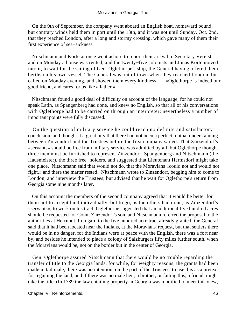On the 9th of September, the company went aboard an English boat, homeward bound, but contrary winds held them in port until the 13th, and it was not until Sunday, Oct. 2nd, that they reached London, after a long and stormy crossing, which gave many of them their first experience of sea−sickness.

 Nitschmann and Korte at once went ashore to report their arrival to Secretary Verelst, and on Monday a house was rented, and the twenty−five colonists and Jonas Korte moved into it, to wait for the sailing of Gen. Oglethorpe's ship, the General having offered them berths on his own vessel. The General was out of town when they reached London, but called on Monday evening, and showed them every kindness, – «Oglethorpe is indeed our good friend, and cares for us like a father.»

 Nitschmann found a good deal of difficulty on account of the language, for he could not speak Latin, as Spangenberg had done, and knew no English, so that all of his conversations with Oglethorpe had to be carried on through an interpreter; nevertheless a number of important points were fully discussed.

 On the question of military service he could reach no definite and satisfactory conclusion, and thought it a great pity that there had not been a perfect mutual understanding between Zinzendorf and the Trustees before the first company sailed. That Zinzendorf's «servants» should be free from military service was admitted by all, but Oglethorpe thought three men must be furnished to represent Zinzendorf, Spangenberg and Nitschmann (the Hausmeister), the three free−holders, and suggested that Lieutenant Hermsdorf might take one place. Nitschmann said that would not do, that the Moravians «could not and would not fight,» and there the matter rested. Nitschmann wrote to Zinzendorf, begging him to come to London, and interview the Trustees, but advised that he wait for Oglethorpe's return from Georgia some nine months later.

 On this account the members of the second company agreed that it would be better for them not to accept land individually, but to go, as the others had done, as Zinzendorf's «servants», to work on his tract. Oglethorpe suggested that an additional five hundred acres should be requested for Count Zinzendorf's son, and Nitschmann referred the proposal to the authorities at Herrnhut. In regard to the five hundred acre tract already granted, the General said that it had been located near the Indians, at the Moravians' request, but that settlers there would be in no danger, for the Indians were at peace with the English, there was a fort near by, and besides he intended to place a colony of Salzburgers fifty miles further south, when the Moravians would be, not on the border but in the center of Georgia.

 Gen. Oglethorpe assured Nitschmann that there would be no trouble regarding the transfer of title to the Georgia lands, for while, for weighty reasons, the grants had been made in tail male, there was no intention, on the part of the Trustees, to use this as a pretext for regaining the land, and if there was no male heir, a brother, or failing this, a friend, might take the title. (In 1739 the law entailing property in Georgia was modified to meet this view,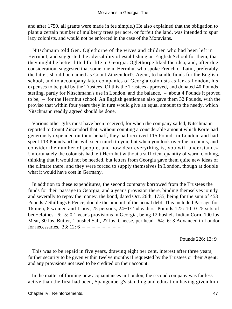and after 1750, all grants were made in fee simple.) He also explained that the obligation to plant a certain number of mulberry trees per acre, or forfeit the land, was intended to spur lazy colonists, and would not be enforced in the case of the Moravians.

 Nitschmann told Gen. Oglethorpe of the wives and children who had been left in Herrnhut, and suggested the advisability of establishing an English School for them, that they might be better fitted for life in Georgia. Oglethorpe liked the idea, and, after due consideration, suggested that some one in Herrnhut who spoke French or Latin, preferably the latter, should be named as Count Zinzendorf's Agent, to handle funds for the English school, and to accompany later companies of Georgia colonists as far as London, his expenses to be paid by the Trustees. Of this the Trustees approved, and donated 40 Pounds sterling, partly for Nitschmann's use in London, and the balance, – about 4 Pounds it proved to be, – for the Herrnhut school. An English gentleman also gave them 32 Pounds, with the proviso that within four years they in turn would give an equal amount to the needy, which Nitschmann readily agreed should be done.

 Various other gifts must have been received, for when the company sailed, Nitschmann reported to Count Zinzendorf that, without counting a considerable amount which Korte had generously expended on their behalf, they had received 115 Pounds in London, and had spent 113 Pounds. «This will seem much to you, but when you look over the accounts, and consider the number of people, and how dear everything is, you will understand.» Unfortunately the colonists had left Herrnhut without a sufficient quantity of warm clothing, thinking that it would not be needed, but letters from Georgia gave them quite new ideas of the climate there, and they were forced to supply themselves in London, though at double what it would have cost in Germany.

 In addition to these expenditures, the second company borrowed from the Trustees the funds for their passage to Georgia, and a year's provision there, binding themselves jointly and severally to repay the money, the bond, dated Oct. 26th, 1735, being for the sum of 453 Pounds 7 Shillings 6 Pence, double the amount of the actual debt. This included Passage for 16 men, 8 women and 1 boy, 25 persons, 24−1/2 «heads». Pounds 122: 10: 0 25 sets of bed−clothes. 6: 5: 0 1 year's provisions in Georgia, being 12 bushels Indian Corn, 100 lbs. Meat, 30 lbs. Butter, 1 bushel Salt, 27 lbs. Cheese, per head. 64: 6: 3 Advanced in London for necessaries. 33: 12:  $6 - - - - - - - - -$ 

Pounds 226: 13: 9

 This was to be repaid in five years, drawing eight per cent. interest after three years, further security to be given within twelve months if requested by the Trustees or their Agent; and any provisions not used to be credited on their account.

 In the matter of forming new acquaintances in London, the second company was far less active than the first had been, Spangenberg's standing and education having given him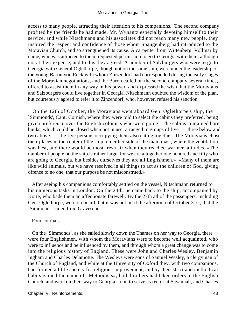access to many people, attracting their attention to his companions. The second company profited by the friends he had made, Mr. Wynantz especially devoting himself to their service, and while Nitschmann and his associates did not reach many new people, they inspired the respect and confidence of those whom Spangenberg had introduced to the Moravian Church, and so strengthened its cause. A carpenter from Wittenberg, Vollmar by name, who was attracted to them, requested permission to go to Georgia with them, although not at their expense, and to this they agreed. A number of Salzburgers who were to go to Georgia with General Oglethorpe, though not on the same ship, were under the leadership of the young Baron von Reck with whom Zinzendorf had corresponded during the early stages of the Moravian negotiations, and the Baron called on the second company several times, offered to assist them in any way in his power, and expressed the wish that the Moravians and Salzburgers could live together in Georgia. Nitschmann doubted the wisdom of the plan, but courteously agreed to refer it to Zinzendorf, who, however, refused his sanction.

 On the 12th of October, the Moravians went aboard Gen. Oglethorpe's ship, the `Simmonds', Capt. Cornish, where they were told to select the cabins they preferred, being given preference over the English colonists who were going. The cabins contained bare bunks, which could be closed when not in use, arranged in groups of five, – three below and two above, – the five persons occupying them also eating together. The Moravians chose their places in the center of the ship, on either side of the main mast, where the ventilation was best, and there would be most fresh air when they reached warmer latitudes. «The number of people on the ship is rather large, for we are altogether one hundred and fifty who are going to Georgia, but besides ourselves they are all Englishmen.» «Many of them are like wild animals, but we have resolved in all things to act as the children of God, giving offence to no one, that our purpose be not misconstrued.»

 After seeing his companions comfortably settled on the vessel, Nitschmann returned to his numerous tasks in London. On the 24th, he came back to the ship, accompanied by Korte, who bade them an affectionate farewell. By the 27th all of the passengers, including Gen. Oglethorpe, were on board, but it was not until the afternoon of October 31st, that the `Simmonds' sailed from Gravesend.

## Four Journals.

 On the `Simmonds', as she sailed slowly down the Thames on her way to Georgia, there were four Englishmen, with whom the Moravians were to become well acquainted, who were to influence and be influenced by them, and through whom a great change was to come into the religious history of England. These were John and Charles Wesley, Benjamin Ingham and Charles Delamotte. The Wesleys were sons of Samuel Wesley, a clergyman of the Church of England, and while at the University of Oxford they, with two companions, had formed a little society for religious improvement, and by their strict and methodical habits gained the name of «Methodists»; both brothers had taken orders in the English Church, and were on their way to Georgia, John to serve as rector at Savannah, and Charles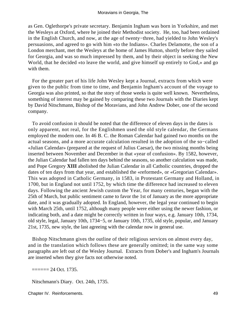as Gen. Oglethorpe's private secretary. Benjamin Ingham was born in Yorkshire, and met the Wesleys at Oxford, where he joined their Methodist society. He, too, had been ordained in the English Church, and now, at the age of twenty−three, had yielded to John Wesley's persuasions, and agreed to go with him «to the Indians». Charles Delamotte, the son of a London merchant, met the Wesleys at the home of James Hutton, shortly before they sailed for Georgia, and was so much impressed by them, and by their object in seeking the New World, that he decided «to leave the world, and give himself up entirely to God,» and go with them.

 For the greater part of his life John Wesley kept a Journal, extracts from which were given to the public from time to time, and Benjamin Ingham's account of the voyage to Georgia was also printed, so that the story of those weeks is quite well known. Nevertheless, something of interest may be gained by comparing these two Journals with the Diaries kept by David Nitschmann, Bishop of the Moravians, and John Andrew Dober, one of the second company.

 To avoid confusion it should be noted that the difference of eleven days in the dates is only apparent, not real, for the Englishmen used the old style calendar, the Germans employed the modern one. In 46 B. C. the Roman Calendar had gained two months on the actual seasons, and a more accurate calculation resulted in the adoption of the so−called «Julian Calendar» (prepared at the request of Julius Caesar), the two missing months being inserted between November and December in that «year of confusion». By 1582, however, the Julian Calendar had fallen ten days behind the seasons, so another calculation was made, and Pope Gregory **XIII** abolished the Julian Calendar in all Catholic countries, dropped the dates of ten days from that year, and established the «reformed», or «Gregorian Calendar». This was adopted in Catholic Germany, in 1583, in Protestant Germany and Holland, in 1700, but in England not until 1752, by which time the difference had increased to eleven days. Following the ancient Jewish custom the Year, for many centuries, began with the 25th of March, but public sentiment came to favor the 1st of January as the more appropriate date, and it was gradually adopted. In England, however, the legal year continued to begin with March 25th, until 1752, although many people were either using the newer fashion, or indicating both, and a date might be correctly written in four ways, e.g. January 10th, 1734, old style, legal, January 10th, 1734−5, or January 10th, 1735, old style, popular, and January 21st, 1735, new style, the last agreeing with the calendar now in general use.

 Bishop Nitschmann gives the outline of their religious services on almost every day, and in the translation which follows these are generally omitted; in the same way some paragraphs are left out of the Wesley Journal. Extracts from Dober's and Ingham's Journals are inserted when they give facts not otherwise noted.

 $=$  $=$  $=$  $=$  $=$  $24$  Oct. 1735.

Nitschmann's Diary. Oct. 24th, 1735.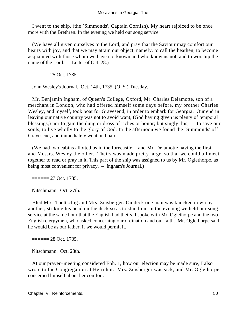I went to the ship, (the `Simmonds', Captain Cornish). My heart rejoiced to be once more with the Brethren. In the evening we held our song service.

 (We have all given ourselves to the Lord, and pray that the Saviour may comfort our hearts with joy, and that we may attain our object, namely, to call the heathen, to become acquainted with those whom we have not known and who know us not, and to worship the name of the Lord. – Letter of Oct. 28.)

 $=$  $=$  $=$  $=$  $=$  $25$  Oct. 1735.

John Wesley's Journal. Oct. 14th, 1735, (O. S.) Tuesday.

 Mr. Benjamin Ingham, of Queen's College, Oxford, Mr. Charles Delamotte, son of a merchant in London, who had offered himself some days before, my brother Charles Wesley, and myself, took boat for Gravesend, in order to embark for Georgia. Our end in leaving our native country was not to avoid want, (God having given us plenty of temporal blessings,) nor to gain the dung or dross of riches or honor; but singly this, – to save our souls, to live wholly to the glory of God. In the afternoon we found the `Simmonds' off Gravesend, and immediately went on board.

 (We had two cabins allotted us in the forecastle; I and Mr. Delamotte having the first, and Messrs. Wesley the other. Theirs was made pretty large, so that we could all meet together to read or pray in it. This part of the ship was assigned to us by Mr. Oglethorpe, as being most convenient for privacy. – Ingham's Journal.)

 $=$  $=$  $=$  $=$  $= 27$  Oct. 1735.

Nitschmann. Oct. 27th.

 Bled Mrs. Toeltschig and Mrs. Zeisberger. On deck one man was knocked down by another, striking his head on the deck so as to stun him. In the evening we held our song service at the same hour that the English had theirs. I spoke with Mr. Oglethorpe and the two English clergymen, who asked concerning our ordination and our faith. Mr. Oglethorpe said he would be as our father, if we would permit it.

 $=$  $=$  $=$  $=$  $=$  $28$  Oct. 1735.

Nitschmann. Oct. 28th.

 At our prayer−meeting considered Eph. 1, how our election may be made sure; I also wrote to the Congregation at Herrnhut. Mrs. Zeisberger was sick, and Mr. Oglethorpe concerned himself about her comfort.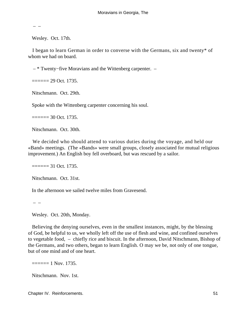$-$  –

Wesley. Oct. 17th.

 I began to learn German in order to converse with the Germans, six and twenty\* of whom we had on board.

– \* Twenty−five Moravians and the Wittenberg carpenter. –

 $=$  $=$  $=$  $=$  $=$  $29$  Oct. 1735.

Nitschmann. Oct. 29th.

Spoke with the Wittenberg carpenter concerning his soul.

 $=$  $=$  $=$  $=$  $=$  $30$  Oct. 1735.

Nitschmann. Oct. 30th.

 We decided who should attend to various duties during the voyage, and held our «Band» meetings. (The «Bands» were small groups, closely associated for mutual religious improvement.) An English boy fell overboard, but was rescued by a sailor.

 $=$  $=$  $=$  $=$  $=$  $31$  Oct. 1735.

Nitschmann. Oct. 31st.

In the afternoon we sailed twelve miles from Gravesend.

– –

Wesley. Oct. 20th, Monday.

 Believing the denying ourselves, even in the smallest instances, might, by the blessing of God, be helpful to us, we wholly left off the use of flesh and wine, and confined ourselves to vegetable food, – chiefly rice and biscuit. In the afternoon, David Nitschmann, Bishop of the Germans, and two others, began to learn English. O may we be, not only of one tongue, but of one mind and of one heart.

 $=$  $=$  $=$  $=$  $=$  $1$  Nov. 1735.

Nitschmann. Nov. 1st.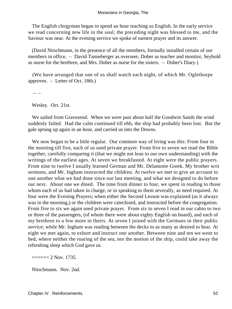The English clergyman began to spend an hour teaching us English. In the early service we read concerning new life in the soul; the preceding night was blessed to me, and the Saviour was near. At the evening service we spoke of earnest prayer and its answer.

 (David Nitschmann, in the presence of all the members, formally installed certain of our members in office, – David Tanneberger as overseer, Dober as teacher and monitor, Seybold as nurse for the brethren, and Mrs. Dober as nurse for the sisters. – Dober's Diary.)

 (We have arranged that one of us shall watch each night, of which Mr. Oglethorpe approves. – Letter of Oct. 18th.)

–  $-$ 

Wesley. Oct. 21st.

 We sailed from Gravesend. When we were past about half the Goodwin Sands the wind suddenly failed. Had the calm continued till ebb, the ship had probably been lost. But the gale sprung up again in an hour, and carried us into the Downs.

 We now began to be a little regular. Our common way of living was this: From four in the morning till five, each of us used private prayer. From five to seven we read the Bible together, carefully comparing it (that we might not lean to our own understanding) with the writings of the earliest ages. At seven we breakfasted. At eight were the public prayers. From nine to twelve I usually learned German and Mr. Delamotte Greek. My brother writ sermons, and Mr. Ingham instructed the children. At twelve we met to give an account to one another what we had done since our last meeting, and what we designed to do before our next. About one we dined. The time from dinner to four, we spent in reading to those whom each of us had taken in charge, or in speaking to them severally, as need required. At four were the Evening Prayers; when either the Second Lesson was explained (as it always was in the morning,) or the children were catechised, and instructed before the congregation. From five to six we again used private prayer. From six to seven I read in our cabin to two or three of the passengers, (of whom there were about eighty English on board), and each of my brethren to a few more in theirs. At seven I joined with the Germans in their public service; while Mr. Ingham was reading between the decks to as many as desired to hear. At eight we met again, to exhort and instruct one another. Between nine and ten we went to bed, where neither the roaring of the sea, nor the motion of the ship, could take away the refreshing sleep which God gave us.

 $=$  $=$  $=$  $=$  $=$  $2$  Nov. 1735.

Nitschmann. Nov. 2nd.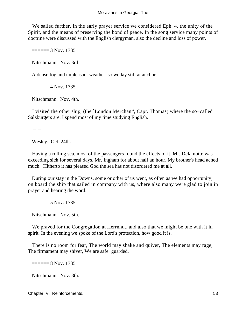We sailed further. In the early prayer service we considered Eph. 4, the unity of the Spirit, and the means of preserving the bond of peace. In the song service many points of doctrine were discussed with the English clergyman, also the decline and loss of power.

 $=$  $=$  $=$  $=$  $=$  $=$  $3$  Nov. 1735.

Nitschmann. Nov. 3rd.

A dense fog and unpleasant weather, so we lay still at anchor.

 $=$  $=$  $=$  $=$  $=$  $4$  Nov. 1735.

Nitschmann. Nov. 4th.

 I visited the other ship, (the `London Merchant', Capt. Thomas) where the so−called Salzburgers are. I spend most of my time studying English.

–  $-$ 

Wesley. Oct. 24th.

 Having a rolling sea, most of the passengers found the effects of it. Mr. Delamotte was exceeding sick for several days, Mr. Ingham for about half an hour. My brother's head ached much. Hitherto it has pleased God the sea has not disordered me at all.

 During our stay in the Downs, some or other of us went, as often as we had opportunity, on board the ship that sailed in company with us, where also many were glad to join in prayer and hearing the word.

 $=$  $=$  $=$  $=$  $=$  $5$  Nov. 1735.

Nitschmann. Nov. 5th.

 We prayed for the Congregation at Herrnhut, and also that we might be one with it in spirit. In the evening we spoke of the Lord's protection, how good it is.

 There is no room for fear, The world may shake and quiver, The elements may rage, The firmament may shiver, We are safe−guarded.

 $=$  $=$  $=$  $=$  $8$  Nov. 1735.

Nitschmann. Nov. 8th.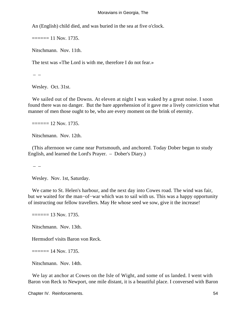An (English) child died, and was buried in the sea at five o'clock.

 $=$  $=$  $=$  $=$  $=$  $11$  Nov. 1735.

Nitschmann. Nov. 11th.

The text was «The Lord is with me, therefore I do not fear.»

– –

Wesley. Oct. 31st.

We sailed out of the Downs. At eleven at night I was waked by a great noise. I soon found there was no danger. But the bare apprehension of it gave me a lively conviction what manner of men those ought to be, who are every moment on the brink of eternity.

 $=$  $=$  $=$  $=$  $=$  $12$  Nov. 1735.

Nitschmann. Nov. 12th.

 (This afternoon we came near Portsmouth, and anchored. Today Dober began to study English, and learned the Lord's Prayer. – Dober's Diary.)

– –

Wesley. Nov. 1st, Saturday.

 We came to St. Helen's harbour, and the next day into Cowes road. The wind was fair, but we waited for the man−of−war which was to sail with us. This was a happy opportunity of instructing our fellow travellers. May He whose seed we sow, give it the increase!

 $=$  $=$  $=$  $=$  $=$  $13$  Nov. 1735.

Nitschmann. Nov. 13th.

Hermsdorf visits Baron von Reck.

 $=$  $=$  $=$  $=$  $=$  $14$  Nov. 1735.

Nitschmann. Nov. 14th.

 We lay at anchor at Cowes on the Isle of Wight, and some of us landed. I went with Baron von Reck to Newport, one mile distant, it is a beautiful place. I conversed with Baron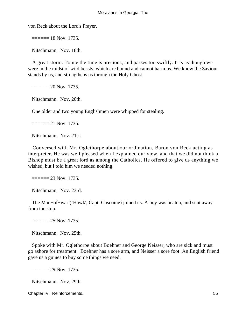von Reck about the Lord's Prayer.

 $=$  $=$  $=$  $=$  $=$  $18$  Nov. 1735.

Nitschmann. Nov. 18th.

 A great storm. To me the time is precious, and passes too swiftly. It is as though we were in the midst of wild beasts, which are bound and cannot harm us. We know the Saviour stands by us, and strengthens us through the Holy Ghost.

 $=$   $=$   $=$   $=$   $=$   $20$  Nov. 1735.

Nitschmann. Nov. 20th.

One older and two young Englishmen were whipped for stealing.

 $=$  $=$  $=$  $=$  $21$  Nov. 1735.

Nitschmann. Nov. 21st.

 Conversed with Mr. Oglethorpe about our ordination, Baron von Reck acting as interpreter. He was well pleased when I explained our view, and that we did not think a Bishop must be a great lord as among the Catholics. He offered to give us anything we wished, but I told him we needed nothing.

 $=$  $=$  $=$  $=$  $= 23$  Nov. 1735.

Nitschmann. Nov. 23rd.

 The Man−of−war (`Hawk', Capt. Gascoine) joined us. A boy was beaten, and sent away from the ship.

 $=$  $=$  $=$  $=$  $= 25$  Nov. 1735.

Nitschmann. Nov. 25th.

 Spoke with Mr. Oglethorpe about Boehner and George Neisser, who are sick and must go ashore for treatment. Boehner has a sore arm, and Neisser a sore foot. An English friend gave us a guinea to buy some things we need.

 $=$  $=$  $=$  $=$  $=$  $29$  Nov. 1735.

Nitschmann. Nov. 29th.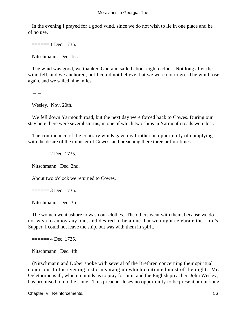In the evening I prayed for a good wind, since we do not wish to lie in one place and be of no use.

 $=$  $=$  $=$  $=$  $=$  $1$  Dec. 1735.

Nitschmann. Dec. 1st.

 The wind was good, we thanked God and sailed about eight o'clock. Not long after the wind fell, and we anchored, but I could not believe that we were not to go. The wind rose again, and we sailed nine miles.

– –

Wesley. Nov. 20th.

 We fell down Yarmouth road, but the next day were forced back to Cowes. During our stay here there were several storms, in one of which two ships in Yarmouth roads were lost.

 The continuance of the contrary winds gave my brother an opportunity of complying with the desire of the minister of Cowes, and preaching there three or four times.

 $=$  $=$  $=$  $=$  $2$  Dec. 1735.

Nitschmann. Dec. 2nd.

About two o'clock we returned to Cowes.

 $=$  $=$  $=$  $=$  $=$  $3$  Dec. 1735.

Nitschmann. Dec. 3rd.

 The women went ashore to wash our clothes. The others went with them, because we do not wish to annoy any one, and desired to be alone that we might celebrate the Lord's Supper. I could not leave the ship, but was with them in spirit.

 $=$  $=$  $=$  $=$  $=$  $4$  Dec. 1735.

Nitschmann. Dec. 4th.

 (Nitschmann and Dober spoke with several of the Brethren concerning their spiritual condition. In the evening a storm sprang up which continued most of the night. Mr. Oglethorpe is ill, which reminds us to pray for him, and the English preacher, John Wesley, has promised to do the same. This preacher loses no opportunity to be present at our song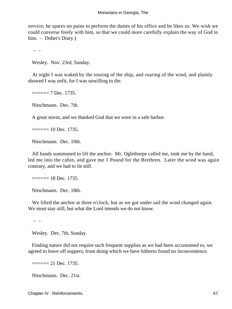service; he spares no pains to perform the duties of his office and he likes us. We wish we could converse freely with him, so that we could more carefully explain the way of God to him. – Dober's Diary.)

– –

Wesley. Nov. 23rd, Sunday.

 At night I was waked by the tossing of the ship, and roaring of the wind, and plainly showed I was unfit, for I was unwilling to die.

 $=$  $=$  $=$  $=$  $=$  $7$  Dec. 1735.

Nitschmann. Dec. 7th.

A great storm, and we thanked God that we were in a safe harbor.

 $=$  $=$  $=$  $=$  $=$  $10$  Dec. 1735.

Nitschmann. Dec. 10th.

 All hands summoned to lift the anchor. Mr. Oglethorpe called me, took me by the hand, led me into the cabin, and gave me 1 Pound for the Brethren. Later the wind was again contrary, and we had to lie still.

 $=$  $=$  $=$  $=$  $=$  $18$  Dec. 1735.

Nitschmann. Dec. 18th.

We lifted the anchor at three o'clock, but as we got under sail the wind changed again. We must stay still, but what the Lord intends we do not know.

– –

Wesley. Dec. 7th, Sunday.

 Finding nature did not require such frequent supplies as we had been accustomed to, we agreed to leave off suppers; from doing which we have hitherto found no inconvenience.

 $=$  $=$  $=$  $=$  $21$  Dec. 1735.

Nitschmann. Dec. 21st.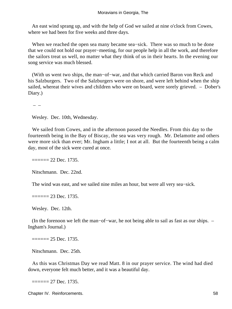An east wind sprang up, and with the help of God we sailed at nine o'clock from Cowes, where we had been for five weeks and three days.

 When we reached the open sea many became sea−sick. There was so much to be done that we could not hold our prayer−meeting, for our people help in all the work, and therefore the sailors treat us well, no matter what they think of us in their hearts. In the evening our song service was much blessed.

 (With us went two ships, the man−of−war, and that which carried Baron von Reck and his Salzburgers. Two of the Salzburgers were on shore, and were left behind when the ship sailed, whereat their wives and children who were on board, were sorely grieved. – Dober's Diary.)

– –

Wesley. Dec. 10th, Wednesday.

 We sailed from Cowes, and in the afternoon passed the Needles. From this day to the fourteenth being in the Bay of Biscay, the sea was very rough. Mr. Delamotte and others were more sick than ever; Mr. Ingham a little; I not at all. But the fourteenth being a calm day, most of the sick were cured at once.

 $=$  $=$  $=$  $=$  $22$  Dec. 1735.

Nitschmann. Dec. 22nd.

The wind was east, and we sailed nine miles an hour, but were all very sea−sick.

 $=$  $=$  $=$  $=$  $=$  $23$  Dec. 1735.

Wesley. Dec. 12th.

 (In the forenoon we left the man−of−war, he not being able to sail as fast as our ships. – Ingham's Journal.)

 $=$  $=$  $=$  $=$  $= 25$  Dec. 1735.

Nitschmann. Dec. 25th.

 As this was Christmas Day we read Matt. 8 in our prayer service. The wind had died down, everyone felt much better, and it was a beautiful day.

 $=$  $=$  $=$  $=$  $27$  Dec. 1735.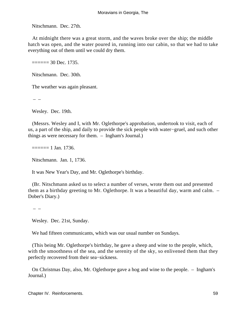Nitschmann. Dec. 27th.

 At midnight there was a great storm, and the waves broke over the ship; the middle hatch was open, and the water poured in, running into our cabin, so that we had to take everything out of them until we could dry them.

 $=$  $=$  $=$  $=$  $=$  $30$  Dec. 1735.

Nitschmann. Dec. 30th.

The weather was again pleasant.

–  $-$ 

Wesley. Dec. 19th.

 (Messrs. Wesley and I, with Mr. Oglethorpe's approbation, undertook to visit, each of us, a part of the ship, and daily to provide the sick people with water−gruel, and such other things as were necessary for them. – Ingham's Journal.)

 $=$  $=$  $=$  $=$  $=$  $1$  Jan. 1736.

Nitschmann. Jan. 1, 1736.

It was New Year's Day, and Mr. Oglethorpe's birthday.

 (Br. Nitschmann asked us to select a number of verses, wrote them out and presented them as a birthday greeting to Mr. Oglethorpe. It was a beautiful day, warm and calm. – Dober's Diary.)

 $-$  –

Wesley. Dec. 21st, Sunday.

We had fifteen communicants, which was our usual number on Sundays.

 (This being Mr. Oglethorpe's birthday, he gave a sheep and wine to the people, which, with the smoothness of the sea, and the serenity of the sky, so enlivened them that they perfectly recovered from their sea−sickness.

 On Christmas Day, also, Mr. Oglethorpe gave a hog and wine to the people. – Ingham's Journal.)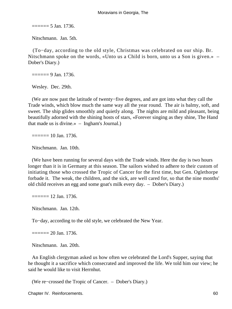$=$  $=$  $=$  $=$  $=$  $=$  $5$  Jan. 1736.

Nitschmann. Jan. 5th.

 (To−day, according to the old style, Christmas was celebrated on our ship. Br. Nitschmann spoke on the words, «Unto us a Child is born, unto us a Son is given.» – Dober's Diary.)

 $=$  $=$  $=$  $=$  $=$  $=$  $9$  Jan. 1736.

Wesley. Dec. 29th.

 (We are now past the latitude of twenty−five degrees, and are got into what they call the Trade winds, which blow much the same way all the year round. The air is balmy, soft, and sweet. The ship glides smoothly and quietly along. The nights are mild and pleasant, being beautifully adorned with the shining hosts of stars, «Forever singing as they shine, The Hand that made us is divine.» – Ingham's Journal.)

 $=$  $=$  $=$  $=$  $=$  $10$  Jan. 1736.

Nitschmann. Jan. 10th.

 (We have been running for several days with the Trade winds. Here the day is two hours longer than it is in Germany at this season. The sailors wished to adhere to their custom of initiating those who crossed the Tropic of Cancer for the first time, but Gen. Oglethorpe forbade it. The weak, the children, and the sick, are well cared for, so that the nine months' old child receives an egg and some goat's milk every day. – Dober's Diary.)

 $=$  $=$  $=$  $=$  $=$  $12$  Jan. 1736.

Nitschmann. Jan. 12th.

To−day, according to the old style, we celebrated the New Year.

 $=$  $=$  $=$  $=$  $= 20$  Jan. 1736.

Nitschmann. Jan. 20th.

 An English clergyman asked us how often we celebrated the Lord's Supper, saying that he thought it a sacrifice which consecrated and improved the life. We told him our view; he said he would like to visit Herrnhut.

(We re−crossed the Tropic of Cancer. – Dober's Diary.)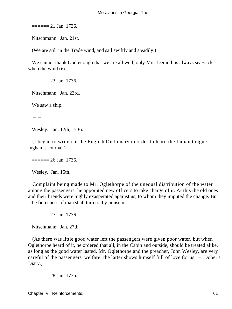$=$  $=$  $=$  $=$  $=$  $21$  Jan. 1736.

Nitschmann. Jan. 21st.

(We are still in the Trade wind, and sail swiftly and steadily.)

 We cannot thank God enough that we are all well, only Mrs. Demuth is always sea−sick when the wind rises.

 $=$  $=$  $=$  $=$  $= 23$  Jan. 1736.

Nitschmann. Jan. 23rd.

We saw a ship.

– –

Wesley. Jan. 12th, 1736.

 (I began to write out the English Dictionary in order to learn the Indian tongue. – Ingham's Journal.)

 $=$  $=$  $=$  $=$  $26$  Jan. 1736.

Wesley. Jan. 15th.

 Complaint being made to Mr. Oglethorpe of the unequal distribution of the water among the passengers, he appointed new officers to take charge of it. At this the old ones and their friends were highly exasperated against us, to whom they imputed the change. But «the fierceness of man shall turn to thy praise.»

 $=$  $=$  $=$  $=$  $= 27$  Jan. 1736.

Nitschmann. Jan. 27th.

 (As there was little good water left the passengers were given poor water, but when Oglethorpe heard of it, he ordered that all, in the Cabin and outside, should be treated alike, as long as the good water lasted. Mr. Oglethorpe and the preacher, John Wesley, are very careful of the passengers' welfare; the latter shows himself full of love for us. – Dober's Diary.)

 $=$  $=$  $=$  $=$  $=$  $28$  Jan. 1736.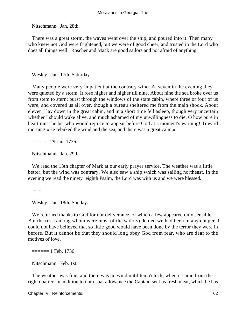Nitschmann. Jan. 28th.

 There was a great storm, the waves went over the ship, and poured into it. Then many who knew not God were frightened, but we were of good cheer, and trusted in the Lord who does all things well. Roscher and Mack are good sailors and not afraid of anything.

– –

Wesley. Jan. 17th, Saturday.

 Many people were very impatient at the contrary wind. At seven in the evening they were quieted by a storm. It rose higher and higher till nine. About nine the sea broke over us from stem to stern; burst through the windows of the state cabin, where three or four of us were, and covered us all over, though a bureau sheltered me from the main shock. About eleven I lay down in the great cabin, and in a short time fell asleep, though very uncertain whether I should wake alive, and much ashamed of my unwillingness to die. O how pure in heart must he be, who would rejoice to appear before God at a moment's warning! Toward morning «He rebuked the wind and the sea, and there was a great calm.»

 $=$  $=$  $=$  $=$  $= 29$  Jan. 1736.

Nitschmann. Jan. 29th.

 We read the 13th chapter of Mark at our early prayer service. The weather was a little better, but the wind was contrary. We also saw a ship which was sailing northeast. In the evening we read the ninety−eighth Psalm, the Lord was with us and we were blessed.

–  $-$ 

Wesley. Jan. 18th, Sunday.

We returned thanks to God for our deliverance, of which a few appeared duly sensible. But the rest (among whom were most of the sailors) denied we had been in any danger. I could not have believed that so little good would have been done by the terror they were in before. But it cannot be that they should long obey God from fear, who are deaf to the motives of love.

 $=$  $=$  $=$  $=$  $=$  $1$  Feb. 1736.

Nitschmann. Feb. 1st.

 The weather was fine, and there was no wind until ten o'clock, when it came from the right quarter. In addition to our usual allowance the Captain sent us fresh meat, which he has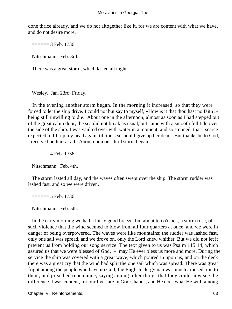done thrice already, and we do not altogether like it, for we are content with what we have, and do not desire more.

 $=$  $=$  $=$  $=$  $=$  $=$  $3$  Feb. 1736.

Nitschmann. Feb. 3rd.

There was a great storm, which lasted all night.

–  $-$ 

Wesley. Jan. 23rd, Friday.

 In the evening another storm began. In the morning it increased, so that they were forced to let the ship drive. I could not but say to myself, «How is it that thou hast no faith?» being still unwilling to die. About one in the afternoon, almost as soon as I had stepped out of the great cabin door, the sea did not break as usual, but came with a smooth full tide over the side of the ship. I was vaulted over with water in a moment, and so stunned, that I scarce expected to lift up my head again, till the sea should give up her dead. But thanks be to God, I received no hurt at all. About noon our third storm began.

 $=$  $=$  $=$  $=$  $=$  $4$  Feb. 1736.

Nitschmann. Feb. 4th.

 The storm lasted all day, and the waves often swept over the ship. The storm rudder was lashed fast, and so we were driven.

 $=$  $=$  $=$  $=$  $=$  $5$  Feb. 1736.

Nitschmann. Feb. 5th.

 In the early morning we had a fairly good breeze, but about ten o'clock, a storm rose, of such violence that the wind seemed to blow from all four quarters at once, and we were in danger of being overpowered. The waves were like mountains; the rudder was lashed fast, only one sail was spread, and we drove on, only the Lord knew whither. But we did not let it prevent us from holding our song service. The text given to us was Psalm 115:14, which assured us that we were blessed of God, – may He ever bless us more and more. During the service the ship was covered with a great wave, which poured in upon us, and on the deck there was a great cry that the wind had split the one sail which was spread. There was great fright among the people who have no God; the English clergyman was much aroused, ran to them, and preached repentance, saying among other things that they could now see the difference. I was content, for our lives are in God's hands, and He does what He will; among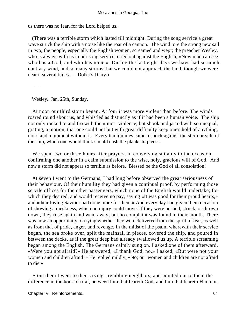us there was no fear, for the Lord helped us.

 (There was a terrible storm which lasted till midnight. During the song service a great wave struck the ship with a noise like the roar of a cannon. The wind tore the strong new sail in two; the people, especially the English women, screamed and wept; the preacher Wesley, who is always with us in our song service, cried out against the English, «Now man can see who has a God, and who has none.» During the last eight days we have had so much contrary wind, and so many storms that we could not approach the land, though we were near it several times. – Dober's Diary.)

– –

Wesley. Jan. 25th, Sunday.

 At noon our third storm began. At four it was more violent than before. The winds roared round about us, and whistled as distinctly as if it had been a human voice. The ship not only rocked to and fro with the utmost violence, but shook and jarred with so unequal, grating, a motion, that one could not but with great difficulty keep one's hold of anything, nor stand a moment without it. Every ten minutes came a shock against the stern or side of the ship, which one would think should dash the planks to pieces.

We spent two or three hours after prayers, in conversing suitably to the occasion, confirming one another in a calm submission to the wise, holy, gracious will of God. And now a storm did not appear so terrible as before. Blessed be the God of all consolation!

 At seven I went to the Germans; I had long before observed the great seriousness of their behaviour. Of their humility they had given a continual proof, by performing those servile offices for the other passengers, which none of the English would undertake; for which they desired, and would receive no pay, saying «It was good for their proud hearts,» and «their loving Saviour had done more for them.» And every day had given them occasion of showing a meekness, which no injury could move. If they were pushed, struck, or thrown down, they rose again and went away; but no complaint was found in their mouth. There was now an opportunity of trying whether they were delivered from the spirit of fear, as well as from that of pride, anger, and revenge. In the midst of the psalm wherewith their service began, the sea broke over, split the mainsail in pieces, covered the ship, and poured in between the decks, as if the great deep had already swallowed us up. A terrible screaming began among the English. The Germans calmly sung on. I asked one of them afterward, «Were you not afraid?» He answered, «I thank God, no.» I asked, «But were not your women and children afraid?» He replied mildly, «No; our women and children are not afraid to die.»

 From them I went to their crying, trembling neighbors, and pointed out to them the difference in the hour of trial, between him that feareth God, and him that feareth Him not.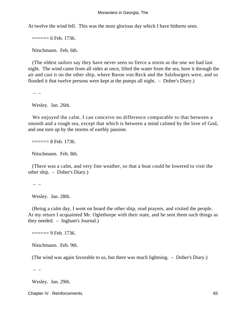At twelve the wind fell. This was the most glorious day which I have hitherto seen.

 $=$  $=$  $=$  $=$  $=$  $6$  Feb. 1736.

Nitschmann. Feb. 6th.

 (The oldest sailors say they have never seen so fierce a storm as the one we had last night. The wind came from all sides at once, lifted the water from the sea, bore it through the air and cast it on the other ship, where Baron von Reck and the Salzburgers were, and so flooded it that twelve persons were kept at the pumps all night. – Dober's Diary.)

– –

Wesley. Jan. 26th.

 We enjoyed the calm. I can conceive no difference comparable to that between a smooth and a rough sea, except that which is between a mind calmed by the love of God, and one torn up by the storms of earthly passion.

 $=$  $=$  $=$  $=$  $=$  $8$  Feb. 1736.

Nitschmann. Feb. 8th.

 (There was a calm, and very fine weather, so that a boat could be lowered to visit the other ship. – Dober's Diary.)

– –

Wesley. Jan. 28th.

 (Being a calm day, I went on board the other ship, read prayers, and visited the people. At my return I acquainted Mr. Oglethorpe with their state, and he sent them such things as they needed. – Ingham's Journal.)

 $=$  $=$  $=$  $=$  $=$  $9$  Feb. 1736.

Nitschmann. Feb. 9th.

(The wind was again favorable to us, but there was much lightning. – Dober's Diary.)

 $-$  –

Wesley. Jan. 29th.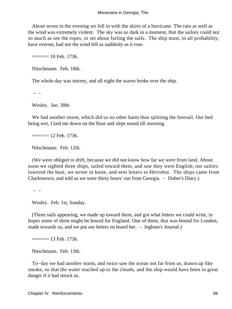About seven in the evening we fell in with the skirts of a hurricane. The rain as well as the wind was extremely violent. The sky was so dark in a moment, that the sailors could not so much as see the ropes, or set about furling the sails. The ship must, in all probability, have overset, had not the wind fell as suddenly as it rose.

 $=$  $=$  $=$  $=$  $=$  $10$  Feb. 1736.

Nitschmann. Feb. 10th.

The whole day was stormy, and all night the waves broke over the ship.

– –

Wesley. Jan. 30th.

 We had another storm, which did us no other harm than splitting the foresail. Our bed being wet, I laid me down on the floor and slept sound till morning.

 $=$  $=$  $=$  $=$  $=$  $12$  Feb. 1736.

Nitschmann. Feb. 12th.

 (We were obliged to drift, because we did not know how far we were from land. About noon we sighted three ships, sailed toward them, and saw they were English; our sailors lowered the boat, we wrote in haste, and sent letters to Herrnhut. The ships came from Charlestown, and told us we were thirty hours' run from Georgia. – Dober's Diary.)

–  $-$ 

Wesley. Feb. 1st, Sunday.

 (Three sails appearing, we made up toward them, and got what letters we could write, in hopes some of them might be bound for England. One of them, that was bound for London, made towards us, and we put our letters on board her. – Ingham's Journal.)

 $=$  $=$  $=$  $=$  $=$  $13$  Feb. 1736.

Nitschmann. Feb. 13th.

 To−day we had another storm, and twice saw the ocean not far from us, drawn up like smoke, so that the water reached up to the clouds, and the ship would have been in great danger if it had struck us.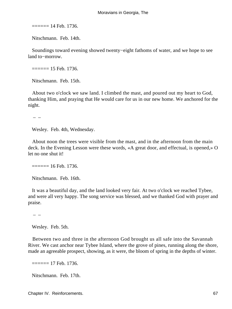$=$  $=$  $=$  $=$  $=$  $14$  Feb. 1736.

Nitschmann. Feb. 14th.

 Soundings toward evening showed twenty−eight fathoms of water, and we hope to see land to−morrow.

 $=$  $=$  $=$  $=$  $=$  $15$  Feb. 1736.

Nitschmann. Feb. 15th.

 About two o'clock we saw land. I climbed the mast, and poured out my heart to God, thanking Him, and praying that He would care for us in our new home. We anchored for the night.

 $-$  –

Wesley. Feb. 4th, Wednesday.

 About noon the trees were visible from the mast, and in the afternoon from the main deck. In the Evening Lesson were these words, «A great door, and effectual, is opened,» O let no one shut it!

 $=$  $=$  $=$  $=$  $=$  $16$  Feb. 1736.

Nitschmann. Feb. 16th.

 It was a beautiful day, and the land looked very fair. At two o'clock we reached Tybee, and were all very happy. The song service was blessed, and we thanked God with prayer and praise.

–  $-$ 

Wesley. Feb. 5th.

 Between two and three in the afternoon God brought us all safe into the Savannah River. We cast anchor near Tybee Island, where the grove of pines, running along the shore, made an agreeable prospect, showing, as it were, the bloom of spring in the depths of winter.

 $=$  $=$  $=$  $=$  $=$  $17$  Feb. 1736.

Nitschmann. Feb. 17th.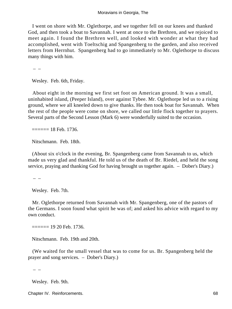I went on shore with Mr. Oglethorpe, and we together fell on our knees and thanked God, and then took a boat to Savannah. I went at once to the Brethren, and we rejoiced to meet again. I found the Brethren well, and looked with wonder at what they had accomplished, went with Toeltschig and Spangenberg to the garden, and also received letters from Herrnhut. Spangenberg had to go immediately to Mr. Oglethorpe to discuss many things with him.

–  $-$ 

Wesley. Feb. 6th, Friday.

 About eight in the morning we first set foot on American ground. It was a small, uninhabited island, (Peeper Island), over against Tybee. Mr. Oglethorpe led us to a rising ground, where we all kneeled down to give thanks. He then took boat for Savannah. When the rest of the people were come on shore, we called our little flock together to prayers. Several parts of the Second Lesson (Mark 6) were wonderfully suited to the occasion.

 $=$  $=$  $=$  $=$  $=$  $18$  Feb. 1736.

Nitschmann. Feb. 18th.

 (About six o'clock in the evening, Br. Spangenberg came from Savannah to us, which made us very glad and thankful. He told us of the death of Br. Riedel, and held the song service, praying and thanking God for having brought us together again. – Dober's Diary.)

– –

Wesley. Feb. 7th.

 Mr. Oglethorpe returned from Savannah with Mr. Spangenberg, one of the pastors of the Germans. I soon found what spirit he was of; and asked his advice with regard to my own conduct.

 $=$  $=$  $=$  $=$  $=$  $19 20$  Feb. 1736.

Nitschmann. Feb. 19th and 20th.

 (We waited for the small vessel that was to come for us. Br. Spangenberg held the prayer and song services. – Dober's Diary.)

 $-$  –

Wesley. Feb. 9th.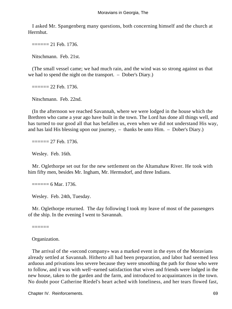I asked Mr. Spangenberg many questions, both concerning himself and the church at Herrnhut.

 $=$  $=$  $=$  $=$  $=$  $21$  Feb. 1736.

Nitschmann. Feb. 21st.

 (The small vessel came; we had much rain, and the wind was so strong against us that we had to spend the night on the transport. – Dober's Diary.)

 $=$  $=$  $=$  $=$  $= 22$  Feb. 1736.

Nitschmann. Feb. 22nd.

 (In the afternoon we reached Savannah, where we were lodged in the house which the Brethren who came a year ago have built in the town. The Lord has done all things well, and has turned to our good all that has befallen us, even when we did not understand His way, and has laid His blessing upon our journey, – thanks be unto Him. – Dober's Diary.)

 $=$  $=$  $=$  $=$  $= 27$  Feb. 1736.

Wesley. Feb. 16th.

 Mr. Oglethorpe set out for the new settlement on the Altamahaw River. He took with him fifty men, besides Mr. Ingham, Mr. Hermsdorf, and three Indians.

 $=$  $=$  $=$  $=$  $=$  $6$  Mar. 1736.

Wesley. Feb. 24th, Tuesday.

 Mr. Oglethorpe returned. The day following I took my leave of most of the passengers of the ship. In the evening I went to Savannah.

======

Organization.

 The arrival of the «second company» was a marked event in the eyes of the Moravians already settled at Savannah. Hitherto all had been preparation, and labor had seemed less arduous and privations less severe because they were smoothing the path for those who were to follow, and it was with well−earned satisfaction that wives and friends were lodged in the new house, taken to the garden and the farm, and introduced to acquaintances in the town. No doubt poor Catherine Riedel's heart ached with loneliness, and her tears flowed fast,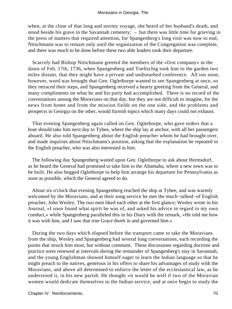when, at the close of that long and stormy voyage, she heard of her husband's death, and stood beside his grave in the Savannah cemetery; – but there was little time for grieving in the press of matters that required attention, for Spangenberg's long visit was now to end, Nitschmann was to remain only until the organization of the Congregation was complete, and there was much to be done before these two able leaders took their departure.

 Scarcely had Bishop Nitschmann greeted the members of the «first company» in the dawn of Feb. 17th, 1736, when Spangenberg and Toeltschig took him to the garden two miles distant, that they might have a private and undisturbed conference. All too soon, however, word was brought that Gen. Oglethorpe wanted to see Spangenberg at once, so they retraced their steps, and Spangenberg received a hearty greeting from the General, and many compliments on what he and his party had accomplished. There is no record of the conversations among the Moravians on that day, but they are not difficult to imagine, for the news from home and from the mission fields on the one side, and the problems and prospects in Georgia on the other, would furnish topics which many days could not exhaust.

 That evening Spangenberg again called on Gen. Oglethorpe, who gave orders that a boat should take him next day to Tybee, where the ship lay at anchor, with all her passengers aboard. He also told Spangenberg about the English preacher whom he had brought over, and made inquiries about Nitschmann's position, asking that the explanation be repeated to the English preacher, who was also interested in him.

 The following day Spangenberg waited upon Gen. Oglethorpe to ask about Hermsdorf, as he heard the General had promised to take him to the Altamaha, where a new town was to be built. He also begged Oglethorpe to help him arrange his departure for Pennsylvania as soon as possible, which the General agreed to do.

 About six o'clock that evening Spangenberg reached the ship at Tybee, and was warmly welcomed by the Moravians, and at their song service he met the much−talked−of English preacher, John Wesley. The two men liked each other at the first glance; Wesley wrote in his Journal, «I soon found what spirit he was of, and asked his advice in regard to my own conduct,» while Spangenberg paralleled this in his Diary with the remark, «He told me how it was with him, and I saw that true Grace dwelt in and governed him.»

 During the two days which elapsed before the transport came to take the Moravians from the ship, Wesley and Spangenberg had several long conversations, each recording the points that struck him most, but without comment. These discussions regarding doctrine and practice were renewed at intervals during the remainder of Spangenberg's stay in Savannah, and the young Englishman showed himself eager to learn the Indian language so that he might preach to the natives, generous in his offers to share his advantages of study with the Moravians, and above all determined to enforce the letter of the ecclesiastical law, as he understood it, in his new parish. He thought «it would be well if two of the Moravian women would dedicate themselves to the Indian service, and at once begin to study the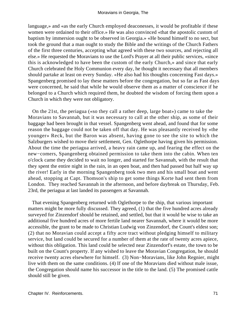language,» and «as the early Church employed deaconesses, it would be profitable if these women were ordained to their office.» He was also convinced «that the apostolic custom of baptism by immersion ought to be observed in Georgia.» «He bound himself to no sect, but took the ground that a man ought to study the Bible and the writings of the Church Fathers of the first three centuries, accepting what agreed with these two sources, and rejecting all else.» He requested the Moravians to use the Lord's Prayer at all their public services, «since this is acknowledged to have been the custom of the early Church,» and since that early Church celebrated the Holy Communion every day, he thought it necessary that all members should partake at least on every Sunday. «He also had his thoughts concerning Fast days.» Spangenberg promised to lay these matters before the congregation, but so far as Fast days were concerned, he said that while he would observe them as a matter of conscience if he belonged to a Church which required them, he doubted the wisdom of forcing them upon a Church in which they were not obligatory.

 On the 21st, the periagua («so they call a rather deep, large boat») came to take the Moravians to Savannah, but it was necessary to call at the other ship, as some of their baggage had been brought in that vessel. Spangenberg went ahead, and found that for some reason the baggage could not be taken off that day. He was pleasantly received by «the younger» Reck, but the Baron was absent, having gone to see the site to which the Salzburgers wished to move their settlement, Gen. Oglethorpe having given his permission. About the time the periagua arrived, a heavy rain came up, and fearing the effect on the new−comers, Spangenberg obtained permission to take them into the cabin. When ten o'clock came they decided to wait no longer, and started for Savannah, with the result that they spent the entire night in the rain, in an open boat, and then had passed but half way up the river! Early in the morning Spangenberg took two men and his small boat and went ahead, stopping at Capt. Thomson's ship to get some things Korte had sent them from London. They reached Savannah in the afternoon, and before daybreak on Thursday, Feb. 23rd, the periagua at last landed its passengers at Savannah.

 That evening Spangenberg returned with Oglethorpe to the ship, that various important matters might be more fully discussed. They agreed, (1) that the five hundred acres already surveyed for Zinzendorf should be retained, and settled, but that it would be wise to take an additional five hundred acres of more fertile land nearer Savannah, where it would be more accessible, the grant to be made to Christian Ludwig von Zinzendorf, the Count's eldest son; (2) that no Moravian could accept a fifty acre tract without pledging himself to military service, but land could be secured for a number of them at the rate of twenty acres apiece, without this obligation. This land could be selected near Zinzendorf's estate, the town to be built on the Count's property. If any wished to leave the Moravian Congregation, he should receive twenty acres elsewhere for himself. (3) Non−Moravians, like John Regnier, might live with them on the same conditions. (4) If one of the Moravians died without male issue, the Congregation should name his successor in the title to the land. (5) The promised cattle should still be given.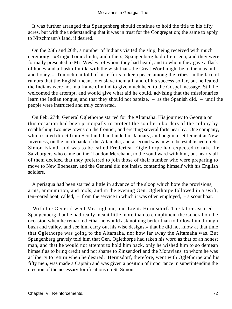It was further arranged that Spangenberg should continue to hold the title to his fifty acres, but with the understanding that it was in trust for the Congregation; the same to apply to Nitschmann's land, if desired.

 On the 25th and 26th, a number of Indians visited the ship, being received with much ceremony. «King» Tomochichi, and others, Spangenberg had often seen, and they were formally presented to Mr. Wesley, of whom they had heard, and to whom they gave a flask of honey and a flask of milk, with the wish that «the Great Word might be to them as milk and honey.» Tomochichi told of his efforts to keep peace among the tribes, in the face of rumors that the English meant to enslave them all, and of his success so far, but he feared the Indians were not in a frame of mind to give much heed to the Gospel message. Still he welcomed the attempt, and would give what aid he could, advising that the missionaries learn the Indian tongue, and that they should not baptize, – as the Spanish did, – until the people were instructed and truly converted.

 On Feb. 27th, General Oglethorpe started for the Altamaha. His journey to Georgia on this occasion had been principally to protect the southern borders of the colony by establishing two new towns on the frontier, and erecting several forts near by. One company, which sailed direct from Scotland, had landed in January, and begun a settlement at New Inverness, on the north bank of the Altamaha, and a second was now to be established on St. Simon Island, and was to be called Frederica. Oglethorpe had expected to take the Salzburgers who came on the `London Merchant', to the southward with him, but nearly all of them decided that they preferred to join those of their number who were preparing to move to New Ebenezer, and the General did not insist, contenting himself with his English soldiers.

 A periagua had been started a little in advance of the sloop which bore the provisions, arms, ammunition, and tools, and in the evening Gen. Oglethorpe followed in a swift, ten−oared boat, called, – from the service in which it was often employed, – a scout boat.

 With the General went Mr. Ingham, and Lieut. Hermsdorf. The latter assured Spangenberg that he had really meant little more than to compliment the General on the occasion when he remarked «that he would ask nothing better than to follow him through bush and valley, and see him carry out his wise designs,» that he did not know at that time that Oglethorpe was going to the Altamaha, nor how far away the Altamaha was. But Spangenberg gravely told him that Gen. Oglethorpe had taken his word as that of an honest man, and that he would not attempt to hold him back, only he wished him to so demean himself as to bring credit and not shame to Zinzendorf and the Moravians, to whom he was at liberty to return when he desired. Hermsdorf, therefore, went with Oglethorpe and his fifty men, was made a Captain and was given a position of importance in superintending the erection of the necessary fortifications on St. Simon.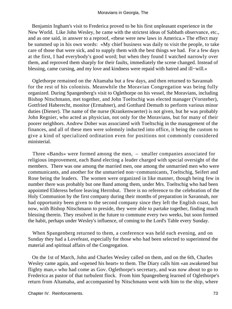Benjamin Ingham's visit to Frederica proved to be his first unpleasant experience in the New World. Like John Wesley, he came with the strictest ideas of Sabbath observance, etc., and as one said, in answer to a reproof, «these were new laws in America.» The effect may be summed up in his own words: «My chief business was daily to visit the people, to take care of those that were sick, and to supply them with the best things we had. For a few days at the first, I had everybody's good word; but when they found I watched narrowly over them, and reproved them sharply for their faults, immediately the scene changed. Instead of blessing, came cursing, and my love and kindness were repaid with hatred and ill−will.»

 Oglethorpe remained on the Altamaha but a few days, and then returned to Savannah for the rest of his colonists. Meanwhile the Moravian Congregation was being fully organized. During Spangenberg's visit to Oglethorpe on his vessel, the Moravians, including Bishop Nitschmann, met together, and John Toeltschig was elected manager (Vorsteher), Gottfried Haberecht, monitor (Ermahner), and Gotthard Demuth to perform various minor duties (Diener). The name of the nurse (Krankenwaerter) is not given, but he was probably John Regnier, who acted as physician, not only for the Moravians, but for many of their poorer neighbors. Andrew Dober was associated with Toeltschig in the management of the finances, and all of these men were solemnly inducted into office, it being the custom to give a kind of specialized ordination even for positions not commonly considered ministerial.

 Three «Bands» were formed among the men, – smaller companies associated for religious improvement, each Band electing a leader charged with special oversight of the members. There was one among the married men, one among the unmarried men who were communicants, and another for the unmarried non−communicants, Toeltschig, Seifert and Rose being the leaders. The women were organized in like manner, though being few in number there was probably but one Band among them, under Mrs. Toeltschig who had been appointed Elderess before leaving Herrnhut. There is no reference to the celebration of the Holy Communion by the first company during their months of preparation in Savannah, nor had opportunity been given to the second company since they left the English coast, but now, with Bishop Nitschmann to preside, they were able to partake together, finding much blessing therein. They resolved in the future to commune every two weeks, but soon formed the habit, perhaps under Wesley's influence, of coming to the Lord's Table every Sunday.

 When Spangenberg returned to them, a conference was held each evening, and on Sunday they had a Lovefeast, especially for those who had been selected to superintend the material and spiritual affairs of the Congregation.

 On the 1st of March, John and Charles Wesley called on them, and on the 6th, Charles Wesley came again, and «opened his heart» to them. The Diary calls him «an awakened but flighty man,» who had come as Gov. Oglethorpe's secretary, and was now about to go to Frederica as pastor of that turbulent flock. From him Spangenberg learned of Oglethorpe's return from Altamaha, and accompanied by Nitschmann went with him to the ship, where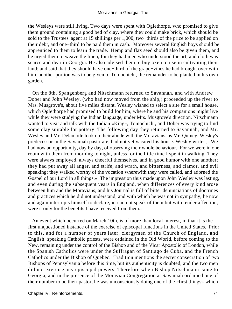the Wesleys were still living. Two days were spent with Oglethorpe, who promised to give them ground containing a good bed of clay, where they could make brick, which should be sold to the Trustees' agent at 15 shillings per 1,000, two−thirds of the price to be applied on their debt, and one−third to be paid them in cash. Moreover several English boys should be apprenticed to them to learn the trade. Hemp and flax seed should also be given them, and he urged them to weave the linen, for they had men who understood the art, and cloth was scarce and dear in Georgia. He also advised them to buy oxen to use in cultivating their land; and said that they should have one−third of the grape−vines he had brought over with him, another portion was to be given to Tomochichi, the remainder to be planted in his own garden.

 On the 8th, Spangenberg and Nitschmann returned to Savannah, and with Andrew Dober and John Wesley, (who had now moved from the ship,) proceeded up the river to Mrs. Musgrove's, about five miles distant. Wesley wished to select a site for a small house, which Oglethorpe had promised to build for him, where he and his companions might live while they were studying the Indian language, under Mrs. Musgrove's direction. Nitschmann wanted to visit and talk with the Indian «King», Tomochichi, and Dober was trying to find some clay suitable for pottery. The following day they returned to Savannah, and Mr. Wesley and Mr. Delamotte took up their abode with the Moravians, as Mr. Quincy, Wesley's predecessor in the Savannah pastorate, had not yet vacated his house. Wesley writes, «We had now an opportunity, day by day, of observing their whole behaviour. For we were in one room with them from morning to night, unless for the little time I spent in walking. They were always employed, always cheerful themselves, and in good humor with one another; they had put away all anger, and strife, and wrath, and bitterness, and clamor, and evil speaking; they walked worthy of the vocation wherewith they were called, and adorned the Gospel of our Lord in all things.» The impression thus made upon John Wesley was lasting, and even during the subsequent years in England, when differences of every kind arose between him and the Moravians, and his Journal is full of bitter denunciations of doctrines and practices which he did not understand, and with which he was not in sympathy, he now and again interrupts himself to declare, «I can not speak of them but with tender affection, were it only for the benefits I have received from them.»

 An event which occurred on March 10th, is of more than local interest, in that it is the first unquestioned instance of the exercise of episcopal functions in the United States. Prior to this, and for a number of years later, clergymen of the Church of England, and English−speaking Catholic priests, were ordained in the Old World, before coming to the New, remaining under the control of the Bishop and of the Vicar Apostolic of London, while the Spanish Catholics were under the Suffragan of Santiago de Cuba, and the French Catholics under the Bishop of Quebec. Tradition mentions the secret consecration of two Bishops of Pennsylvania before this time, but its authenticity is doubted, and the two men did not exercise any episcopal powers. Therefore when Bishop Nitschmann came to Georgia, and in the presence of the Moravian Congregation at Savannah ordained one of their number to be their pastor, he was unconsciously doing one of the «first things» which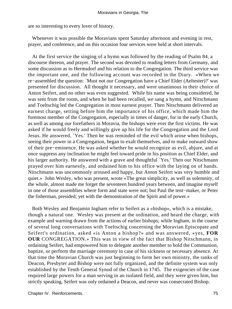are so interesting to every lover of history.

 Whenever it was possible the Moravians spent Saturday afternoon and evening in rest, prayer, and conference, and on this occasion four services were held at short intervals.

 At the first service the singing of a hymn was followed by the reading of Psalm 84, a discourse thereon, and prayer. The second was devoted to reading letters from Germany, and some discussion as to Hermsdorf and his relation to the Congregation. The third service was the important one, and the following account was recorded in the Diary. «When we re−assembled the question: `Must not our Congregation have a Chief Elder (Aeltester)?' was presented for discussion. All thought it necessary, and were unanimous in their choice of Anton Seifert, and no other was even suggested. While his name was being considered, he was sent from the room, and when he had been recalled, we sang a hymn, and Nitschmann and Toeltschig led the Congregation in most earnest prayer. Then Nitschmann delivered an earnest charge, setting before him the importance of his office, which made him the foremost member of the Congregation, especially in times of danger, for in the early Church, as well as among our forefathers in Moravia, the bishops were ever the first victims. He was asked if he would freely and willingly give up his life for the Congregation and the Lord Jesus. He answered, `Yes.' Then he was reminded of the evil which arose when bishops, seeing their power in a Congregation, began to exalt themselves, and to make outward show of their pre−eminence. He was asked whether he would recognize as evil, abjure, and at once suppress any inclination he might feel toward pride in his position as Chief Elder, and his larger authority. He answered with a grave and thoughtful `Yes.' Then our Nitschmann prayed over him earnestly, and ordained him to his office with the laying on of hands. Nitschmann was uncommonly aroused and happy, but Anton Seifert was very humble and quiet.» John Wesley, who was present, wrote «The great simplicity, as well as solemnity, of the whole, almost made me forget the seventeen hundred years between, and imagine myself in one of those assemblies where form and state were not; but Paul the tent−maker, or Peter the fisherman, presided; yet with the demonstration of the Spirit and of power.»

 Both Wesley and Benjamin Ingham refer to Seifert as a «bishop», which is a mistake, though a natural one. Wesley was present at the ordination, and heard the charge, with example and warning drawn from the actions of earlier bishops; while Ingham, in the course of several long conversations with Toeltschig concerning the Moravian Episcopate and Seifert's ordination, asked «is Anton a bishop?» and was answered, «yes, **FOR OUR** CONGREGATION.» This was in view of the fact that Bishop Nitschmann, in ordaining Seifert, had empowered him to delegate another member to hold the Communion, baptize, or perform the marriage ceremony in case of his sickness or necessary absence. At that time the Moravian Church was just beginning to form her own ministry, the ranks of Deacon, Presbyter and Bishop were not fully organized, and the definite system was only established by the Tenth General Synod of the Church in 1745. The exigencies of the case required large powers for a man serving in an isolated field, and they were given him, but strictly speaking, Seifert was only ordained a Deacon, and never was consecrated Bishop.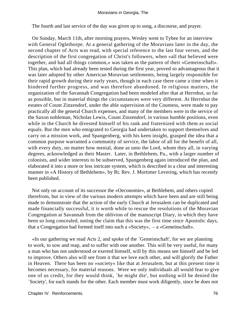The fourth and last service of the day was given up to song, a discourse, and prayer.

 On Sunday, March 11th, after morning prayers, Wesley went to Tybee for an interview with General Oglethorpe. At a general gathering of the Moravians later in the day, the second chapter of Acts was read, with special reference to the last four verses, and the description of the first congregation of Christ's followers, when «all that believed were together, and had all things common,» was taken as the pattern of their «Gemeinschaft». This plan, which had already been tested during the first year, proved so advantageous that it was later adopted by other American Moravian settlements, being largely responsible for their rapid growth during their early years, though in each case there came a time when it hindered further progress, and was therefore abandoned. In religious matters, the organization of the Savannah Congregation had been modeled after that at Herrnhut, so far as possible, but in material things the circumstances were very different. At Herrnhut the estates of Count Zinzendorf, under the able supervision of the Countess, were made to pay practically all the general Church expenses, and many of the members were in the service of the Saxon nobleman, Nicholas Lewis, Count Zinzendorf, in various humble positions, even while in the Church he divested himself of his rank and fraternized with them as social equals. But the men who emigrated to Georgia had undertaken to support themselves and carry on a mission work, and Spangenberg, with his keen insight, grasped the idea that a common purpose warranted a community of service, the labor of all for the benefit of all, with every duty, no matter how menial, done as unto the Lord, whom they all, in varying degrees, acknowledged as their Master. Later, in Bethlehem, Pa., with a larger number of colonists, and wider interests to be subserved, Spangenberg again introduced the plan, and elaborated it into a more or less intricate system, which is described in a clear and interesting manner in «A History of Bethlehem», by Rt. Rev. J. Mortimer Levering, which has recently been published.

 Not only on account of its successor the «Oeconomie», at Bethlehem, and others copied therefrom, but in view of the various modern attempts which have been and are still being made to demonstrate that the action of the early Church at Jerusalem can be duplicated and made financially successful, it is worth while to rescue the resolutions of the Moravian Congregation at Savannah from the oblivion of the manuscript Diary, in which they have been so long concealed, noting the claim that this was the first time since Apostolic days, that a Congregation had formed itself into such a «Society», – a «Gemeinschaft».

 «In our gathering we read Acts 2, and spoke of the `Gemeinschaft', for we are planning to work, to sow and reap, and to suffer with one another. This will be very useful, for many a man who has not understood or exerted himself, will by this means see himself and be led to improve. Others also will see from it that we love each other, and will glorify the Father in Heaven. There has been no »society« like that at Jerusalem, but at this present time it becomes necessary, for material reasons. Were we only individuals all would fear to give one of us credit, for they would think, `he might die', but nothing will be denied the `Society', for each stands for the other. Each member must work diligently, since he does not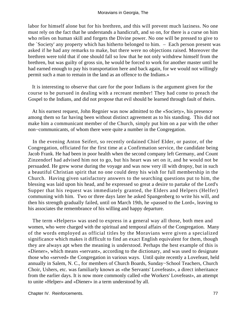labor for himself alone but for his brethren, and this will prevent much laziness. No one must rely on the fact that he understands a handicraft, and so on, for there is a curse on him who relies on human skill and forgets the Divine power. No one will be pressed to give to the `Society' any property which has hitherto belonged to him. – Each person present was asked if he had any remarks to make, but there were no objections raised. Moreover the brethren were told that if one should fall so low that he not only withdrew himself from the brethren, but was guilty of gross sin, he would be forced to work for another master until he had earned enough to pay his transportation here and back again, for we would not willingly permit such a man to remain in the land as an offence to the Indians.»

 It is interesting to observe that care for the poor Indians is the argument given for the course to be pursued in dealing with a recreant member! They had come to preach the Gospel to the Indians, and did not propose that evil should be learned through fault of theirs.

 At his earnest request, John Regnier was now admitted to the «Society», his presence among them so far having been without distinct agreement as to his standing. This did not make him a communicant member of the Church, simply put him on a par with the other non−communicants, of whom there were quite a number in the Congregation.

 In the evening Anton Seifert, so recently ordained Chief Elder, or pastor, of the Congregation, officiated for the first time at a Confirmation service, the candidate being Jacob Frank. He had been in poor health when the second company left Germany, and Count Zinzendorf had advised him not to go, but his heart was set on it, and he would not be persuaded. He grew worse during the voyage and was now very ill with dropsy, but in such a beautiful Christian spirit that no one could deny his wish for full membership in the Church. Having given satisfactory answers to the searching questions put to him, the blessing was laid upon his head, and he expressed so great a desire to partake of the Lord's Supper that his request was immediately granted, the Elders and Helpers (Helfer) communing with him. Two or three days later he asked Spangenberg to write his will, and then his strength gradually failed, until on March 19th, he «passed to the Lord», leaving to his associates the remembrance of his willing and happy departure.

 The term «Helpers» was used to express in a general way all those, both men and women, who were charged with the spiritual and temporal affairs of the Congregation. Many of the words employed as official titles by the Moravians were given a specialized significance which makes it difficult to find an exact English equivalent for them, though they are always apt when the meaning is understood. Perhaps the best example of this is «Diener», which means «servant», according to the dictionary, and was used to designate those who «served» the Congregation in various ways. Until quite recently a Lovefeast, held annually in Salem, N. C., for members of Church Boards, Sunday−School Teachers, Church Choir, Ushers, etc. was familiarly known as «the Servants' Lovefeast», a direct inheritance from the earlier days. It is now more commonly called «the Workers' Lovefeast», an attempt to unite «Helper» and «Diener» in a term understood by all.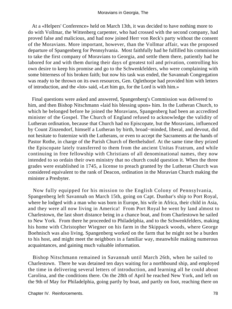At a «Helpers' Conference» held on March 13th, it was decided to have nothing more to do with Vollmar, the Wittenberg carpenter, who had crossed with the second company, had proved false and malicious, and had now joined Herr von Reck's party without the consent of the Moravians. More important, however, than the Vollmar affair, was the proposed departure of Spangenberg for Pennsylvania. Most faithfully had he fulfilled his commission to take the first company of Moravians to Georgia, and settle them there, patiently had he labored for and with them during their days of greatest toil and privation, controlling his own desire to keep his promise and go to the Schwenkfelders, who were complaining with some bitterness of his broken faith; but now his task was ended, the Savannah Congregation was ready to be thrown on its own resources, Gen. Oglethorpe had provided him with letters of introduction, and the «lot» said, «Let him go, for the Lord is with him.»

 Final questions were asked and answered, Spangenberg's Commission was delivered to him, and then Bishop Nitschmann «laid his blessing upon» him. In the Lutheran Church, to which he belonged before he joined the Moravians, Spangenberg had been an accredited minister of the Gospel. The Church of England refused to acknowledge the validity of Lutheran ordination, because that Church had no Episcopate, but the Moravians, influenced by Count Zinzendorf, himself a Lutheran by birth, broad−minded, liberal, and devout, did not hesitate to fraternize with the Lutherans, or even to accept the Sacraments at the hands of Pastor Rothe, in charge of the Parish Church of Berthelsdorf. At the same time they prized the Episcopate lately transferred to them from the ancient Unitas Fratrum, and while continuing in free fellowship with Christians of all denominational names, they now intended to so ordain their own ministry that no church could question it. When the three grades were established in 1745, a license to preach granted by the Lutheran Church was considered equivalent to the rank of Deacon, ordination in the Moravian Church making the minister a Presbyter.

 Now fully equipped for his mission to the English Colony of Pennsylvania, Spangenberg left Savannah on March 15th, going on Capt. Dunbar's ship to Port Royal, where he lodged with a man who was born in Europe, his wife in Africa, their child in Asia, and they were all now living in America! From Port Royal he went by land almost to Charlestown, the last short distance being in a chance boat, and from Charlestown he sailed to New York. From there he proceeded to Philadelphia, and to the Schwenkfelders, making his home with Christopher Wiegner on his farm in the Skippack woods, where George Boehnisch was also living. Spangenberg worked on the farm that he might not be a burden to his host, and might meet the neighbors in a familiar way, meanwhile making numerous acquaintances, and gaining much valuable information.

 Bishop Nitschmann remained in Savannah until March 26th, when he sailed to Charlestown. There he was detained ten days waiting for a northbound ship, and employed the time in delivering several letters of introduction, and learning all he could about Carolina, and the conditions there. On the 28th of April he reached New York, and left on the 9th of May for Philadelphia, going partly by boat, and partly on foot, reaching there on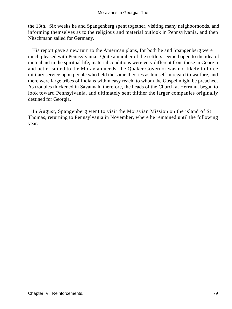the 13th. Six weeks he and Spangenberg spent together, visiting many neighborhoods, and informing themselves as to the religious and material outlook in Pennsylvania, and then Nitschmann sailed for Germany.

 His report gave a new turn to the American plans, for both he and Spangenberg were much pleased with Pennsylvania. Quite a number of the settlers seemed open to the idea of mutual aid in the spiritual life, material conditions were very different from those in Georgia and better suited to the Moravian needs, the Quaker Governor was not likely to force military service upon people who held the same theories as himself in regard to warfare, and there were large tribes of Indians within easy reach, to whom the Gospel might be preached. As troubles thickened in Savannah, therefore, the heads of the Church at Herrnhut began to look toward Pennsylvania, and ultimately sent thither the larger companies originally destined for Georgia.

 In August, Spangenberg went to visit the Moravian Mission on the island of St. Thomas, returning to Pennsylvania in November, where he remained until the following year.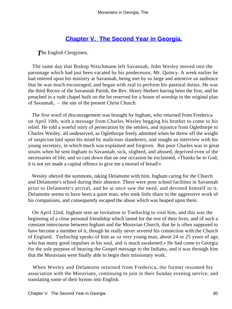## **[Chapter V. The Second Year in Georgia.](#page-130-0)**

**The English Clergymen.** 

 The same day that Bishop Nitschmann left Savannah, John Wesley moved into the parsonage which had just been vacated by his predecessor, Mr. Quincy. A week earlier he had entered upon his ministry at Savannah, being met by so large and attentive an audience that he was much encouraged, and began with zeal to perform his pastoral duties. He was the third Rector of the Savannah Parish, the Rev. Henry Herbert having been the first, and he preached in a rude chapel built on the lot reserved for a house of worship in the original plan of Savannah, – the site of the present Christ Church.

 The first word of discouragement was brought by Ingham, who returned from Frederica on April 10th, with a message from Charles Wesley begging his brother to come to his relief. He told a woeful story of persecution by the settlers, and injustice from Oglethorpe to Charles Wesley, all undeserved, as Oglethorpe freely admitted when he threw off the weight of suspicion laid upon his mind by malicious slanderers, and sought an interview with his young secretary, in which much was explained and forgiven. But poor Charles was in great straits when he sent Ingham to Savannah, sick, slighted, and abused, deprived even of the necessaries of life, and so cast down that on one occasion he exclaimed, «Thanks be to God, it is not yet made a capital offence to give me a morsel of bread!»

 Wesley obeyed the summons, taking Delamotte with him, Ingham caring for the Church and Delamotte's school during their absence. There were poor school facilities in Savannah prior to Delamotte's arrival, and he at once saw the need, and devoted himself to it. Delamotte seems to have been a quiet man, who took little share in the aggressive work of his companions, and consequently escaped the abuse which was heaped upon them.

 On April 22nd, Ingham sent an invitation to Toeltschig to visit him, and this was the beginning of a close personal friendship which lasted for the rest of their lives, and of such a constant intercourse between Ingham and the Moravian Church, that he is often supposed to have become a member of it, though he really never severed his connection with the Church of England. Toeltschig speaks of him as «a very young man, about 24 or 25 years of age, who has many good impulses in his soul, and is much awakened.» He had come to Georgia for the sole purpose of bearing the Gospel message to the Indians, and it was through him that the Moravians were finally able to begin their missionary work.

 When Wesley and Delamotte returned from Frederica, the former resumed his association with the Moravians, continuing to join in their Sunday evening service, and translating some of their hymns into English.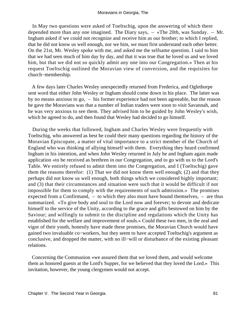In May two questions were asked of Toeltschig, upon the answering of which there depended more than any one imagined. The Diary says, – «The 20th, was Sunday. – Mr. Ingham asked if we could not recognize and receive him as our brother; to which I replied, that he did not know us well enough, nor we him, we must first understand each other better. On the 21st, Mr. Wesley spoke with me, and asked me the selfsame question. I said to him that we had seen much of him day by day, and that it was true that he loved us and we loved him, but that we did not so quickly admit any one into our Congregation.» Then at his request Toeltschig outlined the Moravian view of conversion, and the requisites for church−membership.

 A few days later Charles Wesley unexpectedly returned from Frederica, and Oglethorpe sent word that either John Wesley or Ingham should come down in his place. The latter was by no means anxious to go, – his former experience had not been agreeable, but the reason he gave the Moravians was that a number of Indian traders were soon to visit Savannah, and he was very anxious to see them. They advised him to be guided by John Wesley's wish, which he agreed to do, and then found that Wesley had decided to go himself.

 During the weeks that followed, Ingham and Charles Wesley were frequently with Toeltschig, who answered as best he could their many questions regarding the history of the Moravian Episcopate, a matter of vital importance to a strict member of the Church of England who was thinking of allying himself with them. Everything they heard confirmed Ingham in his intention, and when John Wesley returned in July he and Ingham again made application «to be received as brethren in our Congregation, and to go with us to the Lord's Table. We entirely refused to admit them into the Congregation, and I (Toeltschig) gave them the reasons therefor: (1) That we did not know them well enough; (2) and that they perhaps did not know us well enough, both things which we considered highly important; and (3) that their circumstances and situation were such that it would be difficult if not impossible for them to comply with the requirements of such admission.» The promises expected from a Confirmand, – to which they also must have bound themselves, – are thus summarized. «To give body and soul to the Lord now and forever; to devote and dedicate himself to the service of the Unity, according to the grace and gifts bestowed on him by the Saviour; and willingly to submit to the discipline and regulations which the Unity has established for the welfare and improvement of souls.» Could these two men, in the zeal and vigor of their youth, honestly have made these promises, the Moravian Church would have gained two invaluable co−workers, but they seem to have accepted Toeltschig's argument as conclusive, and dropped the matter, with no ill−will or disturbance of the existing pleasant relations.

 Concerning the Communion «we assured them that we loved them, and would welcome them as honored guests at the Lord's Supper, for we believed that they loved the Lord.» This invitation, however, the young clergymen would not accept.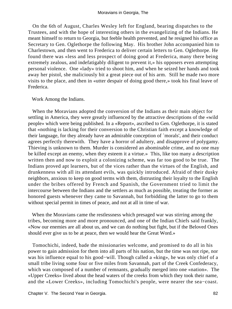On the 6th of August, Charles Wesley left for England, bearing dispatches to the Trustees, and with the hope of interesting others in the evangelizing of the Indians. He meant himself to return to Georgia, but feeble health prevented, and he resigned his office as Secretary to Gen. Oglethorpe the following May. His brother John accompanied him to Charlestown, and then went to Frederica to deliver certain letters to Gen. Oglethorpe. He found there was «less and less prospect of doing good at Frederica, many there being extremely zealous, and indefatigably diligent to prevent it,» his opposers even attempting personal violence. One «lady» tried to shoot him, and when he seized her hands and took away her pistol, she maliciously bit a great piece out of his arm. Still he made two more visits to the place, and then in «utter despair of doing good there,» took his final leave of Frederica.

## Work Among the Indians.

 When the Moravians adopted the conversion of the Indians as their main object for settling in America, they were greatly influenced by the attractive descriptions of the «wild people» which were being published. In a «Report», ascribed to Gen. Oglethorpe, it is stated that «nothing is lacking for their conversion to the Christian faith except a knowledge of their language, for they already have an admirable conception of `morals', and their conduct agrees perfectly therewith. They have a horror of adultery, and disapprove of polygamy. Thieving is unknown to them. Murder is considered an abominable crime, and no one may be killed except an enemy, when they esteem it a virtue.» This, like too many a description written then and now to exploit a colonizing scheme, was far too good to be true. The Indians proved apt learners, but of the vices rather than the virtues of the English, and drunkenness with all its attendant evils, was quickly introduced. Afraid of their dusky neighbors, anxious to keep on good terms with them, distrusting their loyalty to the English under the bribes offered by French and Spanish, the Government tried to limit the intercourse between the Indians and the settlers as much as possible, treating the former as honored guests whenever they came to Savannah, but forbidding the latter to go to them without special permit in times of peace, and not at all in time of war.

 When the Moravians came the restlessness which presaged war was stirring among the tribes, becoming more and more pronounced, and one of the Indian Chiefs said frankly, «Now our enemies are all about us, and we can do nothing but fight, but if the Beloved Ones should ever give us to be at peace, then we would hear the Great Word.»

 Tomochichi, indeed, bade the missionaries welcome, and promised to do all in his power to gain admission for them into all parts of his nation, but the time was not ripe, nor was his influence equal to his good−will. Though called a «king», he was only chief of a small tribe living some four or five miles from Savannah, part of the Creek Confederacy, which was composed of a number of remnants, gradually merged into one «nation». The «Upper Creeks» lived about the head waters of the creeks from which they took their name, and the «Lower Creeks», including Tomochichi's people, were nearer the sea−coast.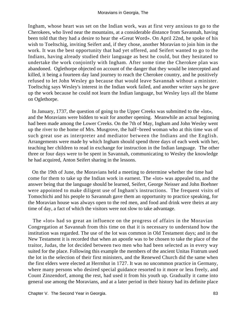Ingham, whose heart was set on the Indian work, was at first very anxious to go to the Cherokees, who lived near the mountains, at a considerable distance from Savannah, having been told that they had a desire to hear the «Great Word». On April 22nd, he spoke of his wish to Toeltschig, inviting Seifert and, if they chose, another Moravian to join him in the work. It was the best opportunity that had yet offered, and Seifert wanted to go to the Indians, having already studied their language as best he could, but they hesitated to undertake the work conjointly with Ingham. After some time the Cherokee plan was abandoned. Oglethorpe objected on account of the danger that they would be intercepted and killed, it being a fourteen day land journey to reach the Cherokee country, and he positively refused to let John Wesley go because that would leave Savannah without a minister. Toeltschig says Wesley's interest in the Indian work failed, and another writer says he gave up the work because he could not learn the Indian language, but Wesley lays all the blame on Oglethorpe.

 In January, 1737, the question of going to the Upper Creeks was submitted to the «lot», and the Moravians were bidden to wait for another opening. Meanwhile an actual beginning had been made among the Lower Creeks. On the 7th of May, Ingham and John Wesley went up the river to the home of Mrs. Musgrove, the half−breed woman who at this time was of such great use as interpreter and mediator between the Indians and the English. Arrangements were made by which Ingham should spend three days of each week with her, teaching her children to read in exchange for instruction in the Indian language. The other three or four days were to be spent in Savannah, communicating to Wesley the knowledge he had acquired, Anton Seifert sharing in the lessons.

 On the 19th of June, the Moravians held a meeting to determine whether the time had come for them to take up the Indian work in earnest. The «lot» was appealed to, and the answer being that the language should be learned, Seifert, George Neisser and John Boehner were appointed to make diligent use of Ingham's instructions. The frequent visits of Tomochichi and his people to Savannah gave them an opportunity to practice speaking, for the Moravian house was always open to the red men, and food and drink were theirs at any time of day, a fact of which the visitors were not slow to take advantage.

 The «lot» had so great an influence on the progress of affairs in the Moravian Congregation at Savannah from this time on that it is necessary to understand how the institution was regarded. The use of the lot was common in Old Testament days; and in the New Testament it is recorded that when an apostle was to be chosen to take the place of the traitor, Judas, the lot decided between two men who had been selected as in every way suited for the place. Following this example the members of the ancient Unitas Fratrum used the lot in the selection of their first ministers, and the Renewed Church did the same when the first elders were elected at Herrnhut in 1727. It was no uncommon practice in Germany, where many persons who desired special guidance resorted to it more or less freely, and Count Zinzendorf, among the rest, had used it from his youth up. Gradually it came into general use among the Moravians, and at a later period in their history had its definite place

Chapter V. The Second Year in Georgia. **83** and the second Second Year in Georgia.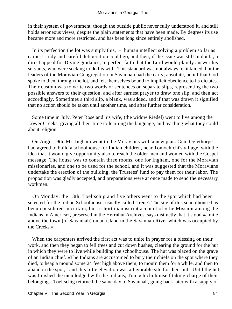in their system of government, though the outside public never fully understood it, and still holds erroneous views, despite the plain statements that have been made. By degrees its use became more and more restricted, and has been long since entirely abolished.

 In its perfection the lot was simply this, – human intellect solving a problem so far as earnest study and careful deliberation could go, and then, if the issue was still in doubt, a direct appeal for Divine guidance, in perfect faith that the Lord would plainly answer his servants, who were seeking to do his will. This standard was not always maintained, but the leaders of the Moravian Congregation in Savannah had the early, absolute, belief that God spoke to them through the lot, and felt themselves bound to implicit obedience to its dictates. Their custom was to write two words or sentences on separate slips, representing the two possible answers to their question, and after earnest prayer to draw one slip, and then act accordingly. Sometimes a third slip, a blank, was added, and if that was drawn it signified that no action should be taken until another time, and after further consideration.

 Some time in July, Peter Rose and his wife, (the widow Riedel) went to live among the Lower Creeks, giving all their time to learning the language, and teaching what they could about religion.

 On August 9th, Mr. Ingham went to the Moravians with a new plan. Gen. Oglethorpe had agreed to build a schoolhouse for Indian children, near Tomochichi's village, with the idea that it would give opportunity also to reach the older men and women with the Gospel message. The house was to contain three rooms, one for Ingham, one for the Moravian missionaries, and one to be used for the school, and it was suggested that the Moravians undertake the erection of the building, the Trustees' fund to pay them for their labor. The proposition was gladly accepted, and preparations were at once made to send the necessary workmen.

 On Monday, the 13th, Toeltschig and five others went to the spot which had been selected for the Indian Schoolhouse, usually called `Irene'. The site of this schoolhouse has been considered uncertain, but a short manuscript account of «the Mission among the Indians in America», preserved in the Herrnhut Archives, says distinctly that it stood «a mile above the town (of Savannah) on an island in the Savannah River which was occupied by the Creeks.»

 When the carpenters arrived the first act was to unite in prayer for a blessing on their work, and then they began to fell trees and cut down bushes, clearing the ground for the hut in which they were to live while building the schoolhouse. The hut was placed on the grave of an Indian chief. «The Indians are accustomed to bury their chiefs on the spot where they died, to heap a mound some 24 feet high above them, to mourn them for a while, and then to abandon the spot,» and this little elevation was a favorable site for their hut. Until the hut was finished the men lodged with the Indians, Tomochichi himself taking charge of their belongings. Toeltschig returned the same day to Savannah, going back later with a supply of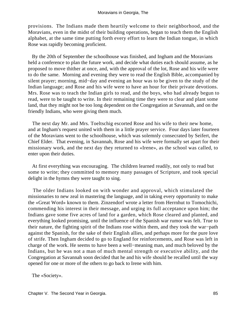provisions. The Indians made them heartily welcome to their neighborhood, and the Moravians, even in the midst of their building operations, began to teach them the English alphabet, at the same time putting forth every effort to learn the Indian tongue, in which Rose was rapidly becoming proficient.

 By the 20th of September the schoolhouse was finished, and Ingham and the Moravians held a conference to plan the future work, and decide what duties each should assume, as he proposed to move thither at once, and, with the approval of the lot, Rose and his wife were to do the same. Morning and evening they were to read the English Bible, accompanied by silent prayer; morning, mid−day and evening an hour was to be given to the study of the Indian language; and Rose and his wife were to have an hour for their private devotions. Mrs. Rose was to teach the Indian girls to read, and the boys, who had already begun to read, were to be taught to write. In their remaining time they were to clear and plant some land, that they might not be too long dependent on the Congregation at Savannah, and on the friendly Indians, who were giving them much.

 The next day Mr. and Mrs. Toeltschig escorted Rose and his wife to their new home, and at Ingham's request united with them in a little prayer service. Four days later fourteen of the Moravians went to the schoolhouse, which was solemnly consecrated by Seifert, the Chief Elder. That evening, in Savannah, Rose and his wife were formally set apart for their missionary work, and the next day they returned to «Irene», as the school was called, to enter upon their duties.

 At first everything was encouraging. The children learned readily, not only to read but some to write; they committed to memory many passages of Scripture, and took special delight in the hymns they were taught to sing.

 The older Indians looked on with wonder and approval, which stimulated the missionaries to new zeal in mastering the language, and in taking every opportunity to make the «Great Word» known to them. Zinzendorf wrote a letter from Herrnhut to Tomochichi, commending his interest in their message, and urging its full acceptance upon him; the Indians gave some five acres of land for a garden, which Rose cleared and planted, and everything looked promising, until the influence of the Spanish war rumor was felt. True to their nature, the fighting spirit of the Indians rose within them, and they took the war−path against the Spanish, for the sake of their English allies, and perhaps more for the pure love of strife. Then Ingham decided to go to England for reinforcements, and Rose was left in charge of the work. He seems to have been a well−meaning man, and much beloved by the Indians, but he was not a man of much mental strength or executive ability, and the Congregation at Savannah soon decided that he and his wife should be recalled until the way opened for one or more of the others to go back to Irene with him.

The «Society».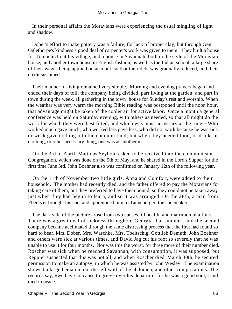In their personal affairs the Moravians were experiencing the usual mingling of light and shadow.

 Dober's effort to make pottery was a failure, for lack of proper clay, but through Gen. Oglethorpe's kindness a good deal of carpenter's work was given to them. They built a house for Tomochichi at his village, and a house in Savannah, both in the style of the Moravian house, and another town house in English fashion, as well as the Indian school, a large share of their wages being applied on account, so that their debt was gradually reduced, and their credit sustained.

 Their manner of living remained very simple. Morning and evening prayers began and ended their days of toil, the company being divided, part living at the garden, and part in town during the week, all gathering in the town−house for Sunday's rest and worship. When the weather was very warm the morning Bible reading was postponed until the noon hour, that advantage might be taken of the cooler air for active labor. Once a month a general conference was held on Saturday evening, with others as needed, so that all might do the work for which they were best fitted, and which was most necessary at the time. «Who worked much gave much, who worked less gave less, who did not work because he was sick or weak gave nothing into the common fund; but when they needed food, or drink, or clothing, or other necessary thing, one was as another.»

 On the 3rd of April, Matthias Seybold asked to be received into the communicant Congregation, which was done on the 5th of May, and he shared in the Lord's Supper for the first time June 3rd. John Boehner also was confirmed on January 12th of the following year.

 On the 11th of November two little girls, Anna and Comfort, were added to their household. The mother had recently died, and the father offered to pay the Moravians for taking care of them, but they preferred to have them bound, so they could not be taken away just when they had begun to learn, and so it was arranged. On the 28th, a man from Ebenezer brought his son, and apprenticed him to Tanneberger, the shoemaker.

 The dark side of the picture arose from two causes, ill health, and matrimonial affairs. There was a great deal of sickness throughout Georgia that summer, and the second company became acclimated through the same distressing process that the first had found so hard to bear. Mrs. Dober, Mrs. Waschke, Mrs. Toeltschig, Gottlieb Demuth, John Boehner and others were sick at various times, and David Jag cut his foot so severely that he was unable to use it for four months. Nor was this the worst, for three more of their number died. Roscher was sick when he reached Savannah, with consumption, it was supposed, but Regnier suspected that this was not all, and when Roscher died, March 30th, he secured permission to make an autopsy, in which he was assisted by John Wesley. The examination showed a large hematoma in the left wall of the abdomen, and other complications. The records say, «we have no cause to grieve over his departure, for he was a good soul,» and died in peace.

Chapter V. The Second Year in Georgia. **86** November 2014 12:30 No. 2014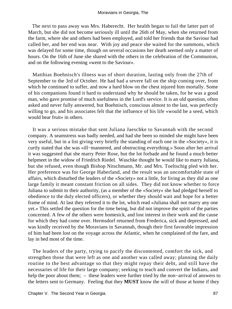The next to pass away was Mrs. Haberecht. Her health began to fail the latter part of March, but she did not become seriously ill until the 26th of May, when she returned from the farm, where she and others had been employed, and told her friends that the Saviour had called her, and her end was near. With joy and peace she waited for the summons, which was delayed for some time, though on several occasions her death seemed only a matter of hours. On the 16th of June she shared with the others in the celebration of the Communion, and on the following evening «went to the Saviour».

 Matthias Boehnisch's illness was of short duration, lasting only from the 27th of September to the 3rd of October. He had had a severe fall on the ship coming over, from which he continued to suffer, and now a hard blow on the chest injured him mortally. Some of his companions found it hard to understand why he should be taken, for he was a good man, who gave promise of much usefulness in the Lord's service. It is an old question, often asked and never fully answered, but Boehnisch, conscious almost to the last, was perfectly willing to go, and his associates felt that the influence of his life «would be a seed, which would bear fruit» in others.

 It was a serious mistake that sent Juliana Jaeschke to Savannah with the second company. A seamstress was badly needed, and had she been so minded she might have been very useful, but in a list giving very briefly the standing of each one in the «Society», it is curtly stated that she was «ill−mannered, and obstructing everything.» Soon after her arrival it was suggested that she marry Peter Rose, but the lot forbade and he found a much better helpmeet in the widow of Friedrich Riedel. Waschke thought he would like to marry Juliana, but she refused, even though Bishop Nitschmann, Mr. and Mrs. Toeltschig pled with her. Her preference was for George Haberland, and the result was an uncomfortable state of affairs, which disturbed the leaders of the «Society» not a little, for living as they did as one large family it meant constant friction on all sides. They did not know whether to force Juliana to submit to their authority, (as a member of the «Society» she had pledged herself to obedience to the duly elected officers), or whether they should wait and hope for a better frame of mind. At last they referred it to the lot, which read «Juliana shall not marry any one yet.» This settled the question for the time being, but did not improve the spirit of the parties concerned. A few of the others were homesick, and lost interest in their work and the cause for which they had come over. Hermsdorf returned from Frederica, sick and depressed, and was kindly received by the Moravians in Savannah, though their first favorable impression of him had been lost on the voyage across the Atlantic, when he complained of the fare, and lay in bed most of the time.

 The leaders of the party, trying to pacify the discontented, comfort the sick, and strengthen those that were left as one and another was called away; planning the daily routine to the best advantage so that they might repay their debt, and still have the necessaries of life for their large company; seeking to teach and convert the Indians, and help the poor about them; – these leaders were further tried by the non−arrival of answers to the letters sent to Germany. Feeling that they **MUST** know the will of those at home if they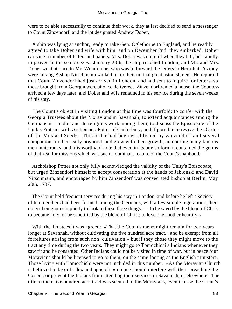were to be able successfully to continue their work, they at last decided to send a messenger to Count Zinzendorf, and the lot designated Andrew Dober.

 A ship was lying at anchor, ready to take Gen. Oglethorpe to England, and he readily agreed to take Dober and wife with him, and on December 2nd, they embarked, Dober carrying a number of letters and papers. Mrs. Dober was quite ill when they left, but rapidly improved in the sea breezes. January 20th, the ship reached London, and Mr. and Mrs. Dober went at once to Mr. Weintraube, who was to forward the letters to Herrnhut. As they were talking Bishop Nitschmann walked in, to their mutual great astonishment. He reported that Count Zinzendorf had just arrived in London, and had sent to inquire for letters, so those brought from Georgia were at once delivered. Zinzendorf rented a house, the Countess arrived a few days later, and Dober and wife remained in his service during the seven weeks of his stay.

 The Count's object in visiting London at this time was fourfold: to confer with the Georgia Trustees about the Moravians in Savannah; to extend acquaintances among the Germans in London and do religious work among them; to discuss the Episcopate of the Unitas Fratrum with Archbishop Potter of Canterbury; and if possible to revive the «Order of the Mustard Seed». This order had been established by Zinzendorf and several companions in their early boyhood, and grew with their growth, numbering many famous men in its ranks, and it is worthy of note that even in its boyish form it contained the germs of that zeal for missions which was such a dominant feature of the Count's manhood.

 Archbishop Potter not only fully acknowledged the validity of the Unity's Episcopate, but urged Zinzendorf himself to accept consecration at the hands of Jablonski and David Nitschmann, and encouraged by him Zinzendorf was consecrated bishop at Berlin, May 20th, 1737.

 The Count held frequent services during his stay in London, and before he left a society of ten members had been formed among the Germans, with a few simple regulations, their object being «in simplicity to look to these three things: – to be saved by the blood of Christ; to become holy, or be sanctified by the blood of Christ; to love one another heartily.»

With the Trustees it was agreed: «That the Count's men» might remain for two years longer at Savannah, without cultivating the five hundred acre tract, «and be exempt from all forfeitures arising from such non−cultivation;» but if they chose they might move to the tract any time during the two years. They might go to Tomochichi's Indians whenever they saw fit and he consented. Other Indians could not be visited in time of war, but in peace four Moravians should be licensed to go to them, on the same footing as the English ministers. Those living with Tomochichi were not included in this number. «As the Moravian Church is believed to be orthodox and apostolic» no one should interfere with their preaching the Gospel, or prevent the Indians from attending their services in Savannah, or elsewhere. The title to their five hundred acre tract was secured to the Moravians, even in case the Count's

Chapter V. The Second Year in Georgia. **88** and the second Second Year in Georgia.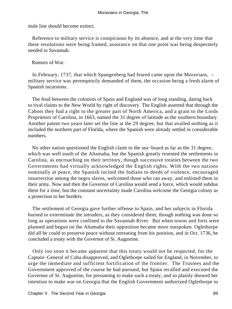male line should become extinct.

 Reference to military service is conspicuous by its absence, and at the very time that these resolutions were being framed, assurance on that one point was being desperately needed in Savannah.

Rumors of War.

 In February, 1737, that which Spangenberg had feared came upon the Moravians, – military service was peremptorily demanded of them, the occasion being a fresh alarm of Spanish incursions.

 The feud between the colonists of Spain and England was of long standing, dating back to rival claims to the New World by right of discovery. The English asserted that through the Cabots they had a right to the greater part of North America, and a grant to the Lords Proprietors of Carolina, in 1663, named the 31 degree of latitude as the southern boundary. Another patent two years later set the line at the 29 degree, but that availed nothing as it included the northern part of Florida, where the Spanish were already settled in considerable numbers.

 No other nation questioned the English claim to the sea−board as far as the 31 degree, which was well south of the Altamaha, but the Spanish greatly resented the settlements in Carolina, as encroaching on their territory, though successive treaties between the two Governments had virtually acknowledged the English rights. With the two nations nominally at peace, the Spanish incited the Indians to deeds of violence, encouraged insurrection among the negro slaves, welcomed those who ran away, and enlisted them in their army. Now and then the Governor of Carolina would send a force, which would subdue them for a time, but the constant uncertainty made Carolina welcome the Georgia colony as a protection to her borders.

 The settlement of Georgia gave further offense to Spain, and her subjects in Florida burned to exterminate the intruders, as they considered them, though nothing was done so long as operations were confined to the Savannah River. But when towns and forts were planned and begun on the Altamaha their opposition became more outspoken. Oglethorpe did all he could to preserve peace without retreating from his position, and in Oct. 1736, he concluded a treaty with the Governor of St. Augustine.

 Only too soon it became apparent that this treaty would not be respected, for the Captain−General of Cuba disapproved, and Oglethorpe sailed for England, in November, to urge the immediate and sufficient fortification of the frontier. The Trustees and the Government approved of the course he had pursued, but Spain recalled and executed the Governor of St. Augustine, for presuming to make such a treaty, and so plainly showed her intention to make war on Georgia that the English Government authorized Oglethorpe to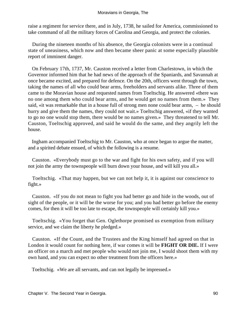raise a regiment for service there, and in July, 1738, he sailed for America, commissioned to take command of all the military forces of Carolina and Georgia, and protect the colonies.

 During the nineteen months of his absence, the Georgia colonists were in a continual state of uneasiness, which now and then became sheer panic at some especially plausible report of imminent danger.

 On February 17th, 1737, Mr. Causton received a letter from Charlestown, in which the Governor informed him that he had news of the approach of the Spaniards, and Savannah at once became excited, and prepared for defence. On the 20th, officers went through the town, taking the names of all who could bear arms, freeholders and servants alike. Three of them came to the Moravian house and requested names from Toeltschig. He answered «there was no one among them who could bear arms, and he would get no names from them.» They said, «it was remarkable that in a house full of strong men none could bear arms, – he should hurry and give them the names, they could not wait.» Toeltschig answered, «if they wanted to go no one would stop them, there would be no names given.» They threatened to tell Mr. Causton, Toeltschig approved, and said he would do the same, and they angrily left the house.

 Ingham accompanied Toeltschig to Mr. Causton, who at once began to argue the matter, and a spirited debate ensued, of which the following is a resume.

 Causton. «Everybody must go to the war and fight for his own safety, and if you will not join the army the townspeople will burn down your house, and will kill you all.»

 Toeltschig. «That may happen, but we can not help it, it is against our conscience to fight.»

 Causton. «If you do not mean to fight you had better go and hide in the woods, out of sight of the people, or it will be the worse for you; and you had better go before the enemy comes, for then it will be too late to escape, the townspeople will certainly kill you.»

 Toeltschig. «You forget that Gen. Oglethorpe promised us exemption from military service, and we claim the liberty he pledged.»

 Causton. «If the Count, and the Trustees and the King himself had agreed on that in London it would count for nothing here, if war comes it will be **FIGHT OR DIE.** If I were an officer on a march and met people who would not join me, I would shoot them with my own hand, and you can expect no other treatment from the officers here.»

Toeltschig. «We are all servants, and can not legally be impressed.»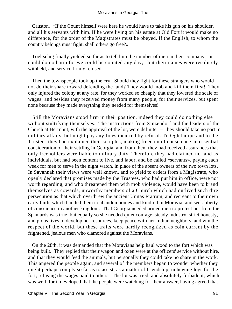Causton. «If the Count himself were here he would have to take his gun on his shoulder, and all his servants with him. If he were living on his estate at Old Fort it would make no difference, for the order of the Magistrates must be obeyed. If the English, to whom the country belongs must fight, shall others go free?»

 Toeltschig finally yielded so far as to tell him the number of men in their company, «it could do no harm for we could be counted any day,» but their names were resolutely withheld, and service firmly refused.

 Then the townspeople took up the cry. Should they fight for these strangers who would not do their share toward defending the land? They would mob and kill them first! They only injured the colony at any rate, for they worked so cheaply that they lowered the scale of wages; and besides they received money from many people, for their services, but spent none because they made everything they needed for themselves!

 Still the Moravians stood firm in their position, indeed they could do nothing else without stultifying themselves. The instructions from Zinzendorf and the leaders of the Church at Herrnhut, with the approval of the lot, were definite, – they should take no part in military affairs, but might pay any fines incurred by refusal. To Oglethorpe and to the Trustees they had explained their scruples, making freedom of conscience an essential consideration of their settling in Georgia, and from them they had received assurances that only freeholders were liable to military duty. Therefore they had claimed no land as individuals, but had been content to live, and labor, and be called «servants», paying each week for men to serve in the night watch, in place of the absent owners of the two town lots. In Savannah their views were well known, and to yield to orders from a Magistrate, who openly declared that promises made by the Trustees, who had put him in office, were not worth regarding, and who threatened them with mob violence, would have been to brand themselves as cowards, unworthy members of a Church which had outlived such dire persecution as that which overthrew the ancient Unitas Fratrum, and recreant to their own early faith, which had led them to abandon homes and kindred in Moravia, and seek liberty of conscience in another kingdom. That Georgia needed armed men to protect her from the Spaniards was true, but equally so she needed quiet courage, steady industry, strict honesty, and pious lives to develop her resources, keep peace with her Indian neighbors, and win the respect of the world, but these traits were hardly recognized as coin current by the frightened, jealous men who clamored against the Moravians.

 On the 28th, it was demanded that the Moravians help haul wood to the fort which was being built. They replied that their wagon and oxen were at the officers' service without hire, and that they would feed the animals, but personally they could take no share in the work. This angered the people again, and several of the members began to wonder whether they might perhaps comply so far as to assist, as a matter of friendship, in hewing logs for the fort, refusing the wages paid to others. The lot was tried, and absolutely forbade it, which was well, for it developed that the people were watching for their answer, having agreed that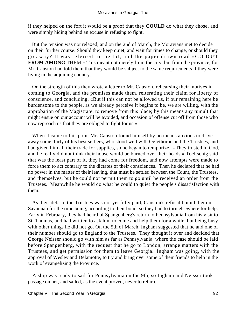if they helped on the fort it would be a proof that they **COULD** do what they chose, and were simply hiding behind an excuse in refusing to fight.

 But the tension was not relaxed, and on the 2nd of March, the Moravians met to decide on their further course. Should they keep quiet, and wait for times to change, or should they go away? It was referred to the lot, and the paper drawn read «GO **OUT FROM AMONG** THEM.» This meant not merely from the city, but from the province, for Mr. Causton had told them that they would be subject to the same requirements if they were living in the adjoining country.

 On the strength of this they wrote a letter to Mr. Causton, rehearsing their motives in coming to Georgia, and the promises made them, reiterating their claim for liberty of conscience, and concluding, «But if this can not be allowed us, if our remaining here be burdensome to the people, as we already perceive it begins to be, we are willing, with the approbation of the Magistrate, to remove from this place; by this means any tumult that might ensue on our account will be avoided, and occasion of offense cut off from those who now reproach us that they are obliged to fight for us.»

When it came to this point Mr. Causton found himself by no means anxious to drive away some thirty of his best settlers, who stood well with Oglethorpe and the Trustees, and had given him all their trade for supplies, so he began to temporize. «They trusted in God, and he really did not think their house would be burned over their heads.» Toeltschig said that was the least part of it, they had come for freedom, and now attempts were made to force them to act contrary to the dictates of their consciences. Then he declared that he had no power in the matter of their leaving, that must be settled between the Count, the Trustees, and themselves, but he could not permit them to go until he received an order from the Trustees. Meanwhile he would do what he could to quiet the people's dissatisfaction with them.

 As their debt to the Trustees was not yet fully paid, Causton's refusal bound them in Savannah for the time being, according to their bond, so they had to turn elsewhere for help. Early in February, they had heard of Spangenberg's return to Pennsylvania from his visit to St. Thomas, and had written to ask him to come and help them for a while, but being busy with other things he did not go. On the 5th of March, Ingham suggested that he and one of their number should go to England to the Trustees. They thought it over and decided that George Neisser should go with him as far as Pennsylvania, where the case should be laid before Spangenberg, with the request that he go to London, arrange matters with the Trustees, and get permission for them to leave Georgia. Ingham was going, with the approval of Wesley and Delamotte, to try and bring over some of their friends to help in the work of evangelizing the Province.

 A ship was ready to sail for Pennsylvania on the 9th, so Ingham and Neisser took passage on her, and sailed, as the event proved, never to return.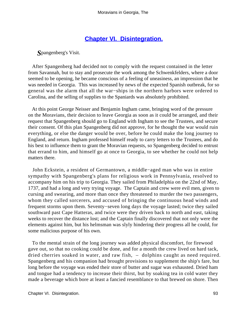## **[Chapter VI. Disintegration.](#page-130-0)**

*S*pangenberg's Visit.

 After Spangenberg had decided not to comply with the request contained in the letter from Savannah, but to stay and prosecute the work among the Schwenkfelders, where a door seemed to be opening, he became conscious of a feeling of uneasiness, an impression that he was needed in Georgia. This was increased by news of the expected Spanish outbreak, for so general was the alarm that all the war−ships in the northern harbors were ordered to Carolina, and the selling of supplies to the Spaniards was absolutely prohibited.

 At this point George Neisser and Benjamin Ingham came, bringing word of the pressure on the Moravians, their decision to leave Georgia as soon as it could be arranged, and their request that Spangenberg should go to England with Ingham to see the Trustees, and secure their consent. Of this plan Spangenberg did not approve, for he thought the war would ruin everything, or else the danger would be over, before he could make the long journey to England, and return. Ingham professed himself ready to carry letters to the Trustees, and do his best to influence them to grant the Moravian requests, so Spangenberg decided to entrust that errand to him, and himself go at once to Georgia, to see whether he could not help matters there.

 John Eckstein, a resident of Germantown, a middle−aged man who was in entire sympathy with Spangenberg's plans for religious work in Pennsylvania, resolved to accompany him on his trip to Georgia. They sailed from Philadelphia on the 22nd of May, 1737, and had a long and very trying voyage. The Captain and crew were evil men, given to cursing and swearing, and more than once they threatened to murder the two passengers, whom they called sorcerers, and accused of bringing the continuous head winds and frequent storms upon them. Seventy−seven long days the voyage lasted; twice they sailed southward past Cape Hatteras, and twice were they driven back to north and east, taking weeks to recover the distance lost; and the Captain finally discovered that not only were the elements against him, but his helmsman was slyly hindering their progress all he could, for some malicious purpose of his own.

 To the mental strain of the long journey was added physical discomfort, for firewood gave out, so that no cooking could be done, and for a month the crew lived on hard tack, dried cherries soaked in water, and raw fish, – dolphins caught as need required. Spangenberg and his companion had brought provisions to supplement the ship's fare, but long before the voyage was ended their store of butter and sugar was exhausted. Dried ham and tongue had a tendency to increase their thirst, but by soaking tea in cold water they made a beverage which bore at least a fancied resemblance to that brewed on shore. Then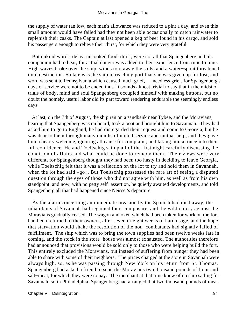the supply of water ran low, each man's allowance was reduced to a pint a day, and even this small amount would have failed had they not been able occasionally to catch rainwater to replenish their casks. The Captain at last opened a keg of beer found in his cargo, and sold his passengers enough to relieve their thirst, for which they were very grateful.

 But unkind words, delay, uncooked food, thirst, were not all that Spangenberg and his companion had to bear, for actual danger was added to their experience from time to time. High waves broke over the ship, winds tore away the sails, and a water−spout threatened total destruction. So late was the ship in reaching port that she was given up for lost, and word was sent to Pennsylvania which caused much grief, – needless grief, for Spangenberg's days of service were not to be ended thus. It sounds almost trivial to say that in the midst of trials of body, mind and soul Spangenberg occupied himself with making buttons, but no doubt the homely, useful labor did its part toward rendering endurable the seemingly endless days.

 At last, on the 7th of August, the ship ran on a sandbank near Tybee, and the Moravians, hearing that Spangenberg was on board, took a boat and brought him to Savannah. They had asked him to go to England, he had disregarded their request and come to Georgia, but he was dear to them through many months of united service and mutual help, and they gave him a hearty welcome, ignoring all cause for complaint, and taking him at once into their full confidence. He and Toeltschig sat up all of the first night carefully discussing the condition of affairs and what could be done to remedy them. Their views were very different, for Spangenberg thought they had been too hasty in deciding to leave Georgia, while Toeltschig felt that it was a reflection on the lot to try and hold them in Savannah, when the lot had said «go». But Toeltschig possessed the rare art of seeing a disputed question through the eyes of those who did not agree with him, as well as from his own standpoint, and now, with no petty self−assertion, he quietly awaited developments, and told Spangenberg all that had happened since Neisser's departure.

 As the alarm concerning an immediate invasion by the Spanish had died away, the inhabitants of Savannah had regained their composure, and the wild outcry against the Moravians gradually ceased. The wagon and oxen which had been taken for work on the fort had been returned to their owners, after seven or eight weeks of hard usage, and the hope that starvation would shake the resolution of the non−combatants had signally failed of fulfillment. The ship which was to bring the town supplies had been twelve weeks late in coming, and the stock in the store−house was almost exhausted. The authorities therefore had announced that provisions would be sold only to those who were helping build the fort. This entirely excluded the Moravians, but instead of suffering from hunger they had been able to share with some of their neighbors. The prices charged at the store in Savannah were always high, so, as he was passing through New York on his return from St. Thomas, Spangenberg had asked a friend to send the Moravians two thousand pounds of flour and salt−meat, for which they were to pay. The merchant at that time knew of no ship sailing for Savannah, so in Philadelphia, Spangenberg had arranged that two thousand pounds of meat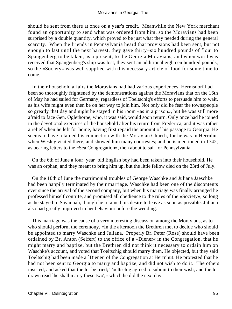should be sent from there at once on a year's credit. Meanwhile the New York merchant found an opportunity to send what was ordered from him, so the Moravians had been surprised by a double quantity, which proved to be just what they needed during the general scarcity. When the friends in Pennsylvania heard that provisions had been sent, but not enough to last until the next harvest, they gave thirty−six hundred pounds of flour to Spangenberg to be taken, as a present, to the Georgia Moravians, and when word was received that Spangenberg's ship was lost, they sent an additional eighteen hundred pounds, so the «Society» was well supplied with this necessary article of food for some time to come.

 In their household affairs the Moravians had had various experiences. Hermsdorf had been so thoroughly frightened by the demonstrations against the Moravians that on the 16th of May he had sailed for Germany, regardless of Toeltschig's efforts to persuade him to wait, as his wife might even then be on her way to join him. Not only did he fear the townspeople so greatly that day and night he stayed in his room «as in a prison», but he was still more afraid to face Gen. Oglethorpe, who, it was said, would soon return. Only once had he joined in the devotional exercises of the household after his return from Frederica, and it was rather a relief when he left for home, having first repaid the amount of his passage to Georgia. He seems to have retained his connection with the Moravian Church, for he was in Herrnhut when Wesley visited there, and showed him many courtesies; and he is mentioned in 1742, as bearing letters to the «Sea Congregation», then about to sail for Pennsylvania.

 On the 6th of June a four−year−old English boy had been taken into their household. He was an orphan, and they meant to bring him up, but the little fellow died on the 23rd of July.

 On the 10th of June the matrimonial troubles of George Waschke and Juliana Jaeschke had been happily terminated by their marriage. Waschke had been one of the discontents ever since the arrival of the second company, but when his marriage was finally arranged he professed himself contrite, and promised all obedience to the rules of the «Society», so long as he stayed in Savannah, though he retained his desire to leave as soon as possible. Juliana also had greatly improved in her behaviour before the wedding.

 This marriage was the cause of a very interesting discussion among the Moravians, as to who should perform the ceremony. «In the afternoon the Brethren met to decide who should be appointed to marry Waschke and Juliana. Properly Br. Peter (Rose) should have been ordained by Br. Anton (Seifert) to the office of a »Diener« in the Congregation, that he might marry and baptize, but the Brethren did not think it necessary to ordain him on Waschke's account, and voted that Toeltschig should marry them. He objected, but they said Toeltschig had been made a `Diener' of the Congregation at Herrnhut. He protested that he had not been sent to Georgia to marry and baptize, and did not wish to do it. The others insisted, and asked that the lot be tried; Toeltschig agreed to submit to their wish, and the lot drawn read `he shall marry these two',» which he did the next day.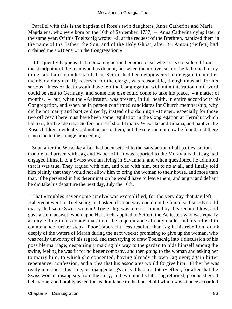Parallel with this is the baptism of Rose's twin daughters, Anna Catherina and Maria Magdalena, who were born on the 16th of September, 1737, – Anna Catherina dying later in the same year. Of this Toeltschig wrote: «I, at the request of the Brethren, baptized them in the name of the Father, the Son, and of the Holy Ghost, after Br. Anton (Seifert) had ordained me a »Diener« in the Congregation.»

 It frequently happens that a puzzling action becomes clear when it is considered from the standpoint of the man who has done it, but when the motive can not be fathomed many things are hard to understand. That Seifert had been empowered to delegate to another member a duty usually reserved for the clergy, was reasonable, though unusual, for his serious illness or death would have left the Congregation without ministration until word could be sent to Germany, and some one else could come to take his place, – a matter of months, – but, when the «Aeltester» was present, in full health, in entire accord with his Congregation, and when he in person confirmed candidates for Church membership, why did he not marry and baptize directly, instead of ordaining a «Diener» especially for those two offices? There must have been some regulation in the Congregation at Herrnhut which led to it, for the idea that Seifert himself should marry Waschke and Juliana, and baptize the Rose children, evidently did not occur to them, but the rule can not now be found, and there is no clue to the strange proceeding.

 Soon after the Waschke affair had been settled to the satisfaction of all parties, serious trouble had arisen with Jag and Haberecht. It was reported to the Moravians that Jag had engaged himself to a Swiss woman living in Savannah, and when questioned he admitted that it was true. They argued with him, and pled with him, but to no avail, and finally told him plainly that they would not allow him to bring the woman to their house, and more than that, if he persisted in his determination he would have to leave them; and angry and defiant he did take his departure the next day, July the 10th.

 That «troubles never come singly» was exemplified, for the very day that Jag left, Haberecht went to Toeltschig, and asked if some way could not be found so that HE could marry that same Swiss woman! Toeltschig was almost stunned by this second blow, and gave a stern answer, whereupon Haberecht applied to Seifert, the Aeltester, who was equally as unyielding in his condemnation of the acquaintance already made, and his refusal to countenance further steps. Poor Haberecht, less resolute than Jag in his rebellion, drank deeply of the waters of Marah during the next weeks; promising to give up the woman, who was really unworthy of his regard, and then trying to draw Toeltschig into a discussion of his possible marriage; despairingly making his way to the garden to hide himself among the swine, feeling he was fit for no better company, and then going to the woman and asking her to marry him, to which she consented, having already thrown Jag over; again bitter repentance, confession, and a plea that his associates would forgive him. Either he was really in earnest this time, or Spangenberg's arrival had a salutary effect, for after that the Swiss woman disappears from the story, and two months later Jag returned, promised good behaviour, and humbly asked for readmittance to the household which was at once accorded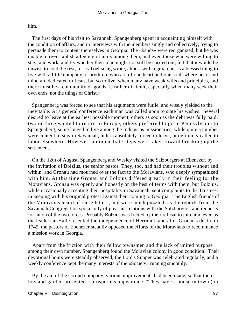him.

 The first days of his visit to Savannah, Spangenberg spent in acquainting himself with the condition of affairs, and in interviews with the members singly and collectively, trying to persuade them to content themselves in Georgia. The «bands» were reorganized, but he was unable to re−establish a feeling of unity among them, and even those who were willing to stay, and work, and try whether their plan might not still be carried out, felt that it would be unwise to hold the rest, for as Toeltschig wrote, almost with a groan, «it is a blessed thing to live with a little company of brethren, who are of one heart and one soul, where heart and mind are dedicated to Jesus, but so to live, when many have weak wills and principles, and there must be a community of goods, is rather difficult, especially when many seek their own ends, not the things of Christ.»

 Spangenberg was forced to see that his arguments were futile, and wisely yielded to the inevitable. At a general conference each man was called upon to state his wishes. Several desired to leave at the earliest possible moment, others as soon as the debt was fully paid; two or three wanted to return to Europe, others preferred to go to Pennsylvania to Spangenberg; some longed to live among the Indians as missionaries, while quite a number were content to stay in Savannah, unless absolutely forced to leave, or definitely called to labor elsewhere. However, no immediate steps were taken toward breaking up the settlement.

 On the 12th of August, Spangenberg and Wesley visited the Salzburgers at Ebenezer, by the invitation of Bolzius, the senior pastor. They, too, had had their troubles without and within, and Gronau had mourned over the fact to the Moravians, who deeply sympathized with him. At this time Gronau and Bolzius differed greatly in their feeling for the Moravians. Gronau was openly and honestly on the best of terms with them, but Bolzius, while occasionally accepting their hospitality in Savannah, sent complaints to the Trustees, in keeping with his original protest against their coming to Georgia. The English friends of the Moravians heard of these letters, and were much puzzled, as the reports from the Savannah Congregation spoke only of pleasant relations with the Salzburgers, and requests for union of the two forces. Probably Bolzius was fretted by their refusal to join him, even as the leaders at Halle resented the independence of Herrnhut, and after Gronau's death, in 1745, the pastors of Ebenezer steadily opposed the efforts of the Moravians to recommence a mission work in Georgia.

 Apart from the friction with their fellow townsmen and the lack of united purpose among their own number, Spangenberg found the Moravian colony in good condition. Their devotional hours were steadily observed, the Lord's Supper was celebrated regularly, and a weekly conference kept the many interests of the «Society» running smoothly.

 By the aid of the second company, various improvements had been made, so that their lots and garden presented a prosperous appearance. "They have a house in town (on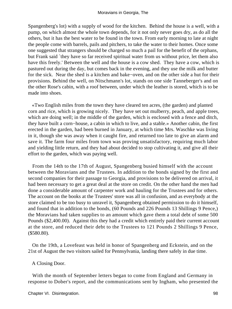Spangenberg's lot) with a supply of wood for the kitchen. Behind the house is a well, with a pump, on which almost the whole town depends, for it not only never goes dry, as do all the others, but it has the best water to be found in the town. From early morning to late at night the people come with barrels, pails and pitchers, to take the water to their homes. Once some one suggested that strangers should be charged so much a pail for the benefit of the orphans, but Frank said `they have so far received spiritual water from us without price, let them also have this freely.' Between the well and the house is a cow shed. They have a cow, which is pastured out during the day, but comes back in the evening, and they use the milk and butter for the sick. Near the shed is a kitchen and bake−oven, and on the other side a hut for their provisions. Behind the well, on Nitschmann's lot, stands on one side Tanneberger's and on the other Rose's cabin, with a roof between, under which the leather is stored, which is to be made into shoes.

 «Two English miles from the town they have cleared ten acres, (the garden) and planted corn and rice, which is growing nicely. They have set out mulberry, peach, and apple trees, which are doing well; in the middle of the garden, which is enclosed with a fence and ditch, they have built a corn−house, a cabin in which to live, and a stable.» Another cabin, the first erected in the garden, had been burned in January, at which time Mrs. Waschke was living in it, though she was away when it caught fire, and returned too late to give an alarm and save it. The farm four miles from town was proving unsatisfactory, requiring much labor and yielding little return, and they had about decided to stop cultivating it, and give all their effort to the garden, which was paying well.

 From the 14th to the 17th of August, Spangenberg busied himself with the account between the Moravians and the Trustees. In addition to the bonds signed by the first and second companies for their passage to Georgia, and provisions to be delivered on arrival, it had been necessary to get a great deal at the store on credit. On the other hand the men had done a considerable amount of carpenter work and hauling for the Trustees and for others. The account on the books at the Trustees' store was all in confusion, and as everybody at the store claimed to be too busy to unravel it, Spangenberg obtained permission to do it himself, and found that in addition to the bonds, (60 Pounds and 226 Pounds 13 Shillings 9 Pence,) the Moravians had taken supplies to an amount which gave them a total debt of some 500 Pounds (\$2,400.00). Against this they had a credit which entirely paid their current account at the store, and reduced their debt to the Trustees to 121 Pounds 2 Shillings 9 Pence, (\$580.80).

 On the 19th, a Lovefeast was held in honor of Spangenberg and Eckstein, and on the 21st of August the two visitors sailed for Pennsylvania, landing there safely in due time.

## A Closing Door.

 With the month of September letters began to come from England and Germany in response to Dober's report, and the communications sent by Ingham, who presented the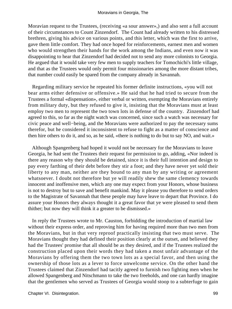Moravian request to the Trustees, (receiving «a sour answer»,) and also sent a full account of their circumstances to Count Zinzendorf. The Count had already written to his distressed brethren, giving his advice on various points, and this letter, which was the first to arrive, gave them little comfort. They had once hoped for reinforcements, earnest men and women who would strengthen their hands for the work among the Indians, and even now it was disappointing to hear that Zinzendorf had decided not to send any more colonists to Georgia. He argued that it would take very few men to supply teachers for Tomochichi's little village, and that as the Trustees would only permit four missionaries among the more distant tribes, that number could easily be spared from the company already in Savannah.

 Regarding military service he repeated his former definite instructions, «you will not bear arms either defensive or offensive.» He said that he had tried to secure from the Trustees a formal «dispensation», either verbal or written, exempting the Moravians entirely from military duty, but they refused to give it, insisting that the Moravians must at least employ two men to represent the two town lots in defense of the country. Zinzendorf had agreed to this, so far as the night watch was concerned, since such a watch was necessary for civic peace and well−being, and the Moravians were authorized to pay the necessary sums therefor, but he considered it inconsistent to refuse to fight as a matter of conscience and then hire others to do it, and so, as he said, «there is nothing to do but to say NO, and wait.»

 Although Spangenberg had hoped it would not be necessary for the Moravians to leave Georgia, he had sent the Trustees their request for permission to go, adding, «Nor indeed is there any reason why they should be detained, since it is their full intention and design to pay every farthing of their debt before they stir a foot; and they have never yet sold their liberty to any man, neither are they bound to any man by any writing or agreement whatsoever. I doubt not therefore but ye will readily shew the same clemency towards innocent and inoffensive men, which any one may expect from your Honors, whose business is not to destroy but to save and benefit mankind. May it please you therefore to send orders to the Magistrate of Savannah that these people may have leave to depart that Province. I do assure your Honors they always thought it a great favor that ye were pleased to send them thither; but now they will think it a greater to be dismissed.»

 In reply the Trustees wrote to Mr. Causton, forbidding the introduction of martial law without their express order, and reproving him for having required more than two men from the Moravians, but in that very reproof practically insisting that two must serve. The Moravians thought they had defined their position clearly at the outset, and believed they had the Trustees' promise that all should be as they desired, and if the Trustees realized the construction placed upon their words they had taken a most unfair advantage of the Moravians by offering them the two town lots as a special favor, and then using the ownership of those lots as a lever to force unwelcome service. On the other hand the Trustees claimed that Zinzendorf had tacitly agreed to furnish two fighting men when he allowed Spangenberg and Nitschmann to take the two freeholds, and one can hardly imagine that the gentlemen who served as Trustees of Georgia would stoop to a subterfuge to gain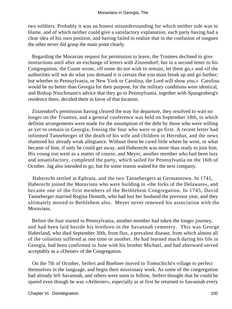two soldiers. Probably it was an honest misunderstanding for which neither side was to blame, and of which neither could give a satisfactory explanation, each party having had a clear idea of his own position, and having failed to realize that in the confusion of tongues the other never did grasp the main point clearly.

 Regarding the Moravian request for permission to leave, the Trustees declined to give instructions until after an exchange of letters with Zinzendorf; but in a second letter to his Congregation, the Count wrote, «If some do not wish to remain, let them go,» and «if the authorities will not do what you demand it is certain that you must break up and go further; but whether to Pennsylvania, or New York or Carolina, the Lord will show you.» Carolina would be no better than Georgia for their purpose, for the military conditions were identical, and Bishop Nitschmann's advice that they go to Pennsylvania, together with Spangenberg's residence there, decided them in favor of that location.

 Zinzendorf's permission having cleared the way for departure, they resolved to wait no longer on the Trustees, and a general conference was held on September 18th, in which definite arrangements were made for the assumption of the debt by those who were willing as yet to remain in Georgia, freeing the four who were to go first. A recent letter had informed Tanneberger of the death of his wife and children in Herrnhut, and the news shattered his already weak allegiance. Without them he cared little where he went, or what became of him, if only he could get away, and Haberecht was more than ready to join him. His young son went as a matter of course, and Meyer, another member who had been lazy and unsatisfactory, completed the party, which sailed for Pennsylvania on the 16th of October. Jag also intended to go, but for some reason waited for the next company.

 Haberecht settled at Ephrata, and the two Tannebergers at Germantown. In 1741, Haberecht joined the Moravians who were building in «the forks of the Delaware», and became one of the first members of the Bethlehem Congregation. In 1745, David Tanneberger married Regina Demuth, who had lost her husband the previous year, and they ultimately moved to Bethlehem also. Meyer never renewed his association with the Moravians.

 Before the four started to Pennsylvania, another member had taken the longer journey, and had been laid beside his brethren in the Savannah cemetery. This was George Haberland, who died September 30th, from flux, a prevalent disease, from which almost all of the colonists suffered at one time or another. He had learned much during his life in Georgia, had been confirmed in June with his brother Michael, and had afterward served acceptably as a «Diener» of the Congregation.

 On the 7th of October, Seifert and Boehner moved to Tomochichi's village to perfect themselves in the language, and begin their missionary work. As some of the congregation had already left Savannah, and others were soon to follow, Seifert thought that he could be spared even though he was «Aeltester», especially as at first he returned to Savannah every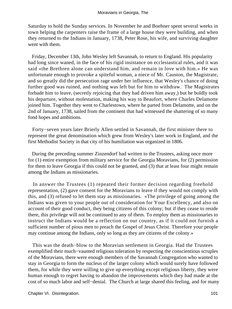Saturday to hold the Sunday services. In November he and Boehner spent several weeks in town helping the carpenters raise the frame of a large house they were building, and when they returned to the Indians in January, 1738, Peter Rose, his wife, and surviving daughter went with them.

 Friday, December 13th, John Wesley left Savannah, to return to England. His popularity had long since waned, in the face of his rigid insistance on ecclesiastical rules, and it was said «the Brethren alone can understand him, and remain in love with him.» He was unfortunate enough to provoke a spiteful woman, a niece of Mr. Causton, the Magistrate, and so greatly did the persecution rage under her influence, that Wesley's chance of doing further good was ruined, and nothing was left but for him to withdraw. The Magistrates forbade him to leave, (secretly rejoicing that they had driven him away,) but he boldly took his departure, without molestation, making his way to Beaufort, where Charles Delamotte joined him. Together they went to Charlestown, where he parted from Delamotte, and on the 2nd of January, 1738, sailed from the continent that had witnessed the shattering of so many fond hopes and ambitions.

 Forty−seven years later Brierly Allen settled in Savannah, the first minister there to represent the great denomination which grew from Wesley's later work in England, and the first Methodist Society in that city of his humiliation was organized in 1806.

 During the preceding summer Zinzendorf had written to the Trustees, asking once more for (1) entire exemption from military service for the Georgia Moravians, for (2) permission for them to leave Georgia if this could not be granted, and (3) that at least four might remain among the Indians as missionaries.

 In answer the Trustees (1) repeated their former decision regarding freehold representation, (2) gave consent for the Moravians to leave if they would not comply with this, and (3) refused to let them stay as missionaries. «The privilege of going among the Indians was given to your people out of consideration for Your Excellency, and also on account of their good conduct, they being citizens of this colony; but if they cease to reside there, this privilege will not be continued to any of them. To employ them as missionaries to instruct the Indians would be a reflection on our country, as if it could not furnish a sufficient number of pious men to preach the Gospel of Jesus Christ. Therefore your people may continue among the Indians, only so long as they are citizens of the colony.»

 This was the death−blow to the Moravian settlement in Georgia. Had the Trustees exemplified their much−vaunted religious toleration by respecting the conscientious scruples of the Moravians, there were enough members of the Savannah Congregation who wanted to stay in Georgia to form the nucleus of the larger colony which would surely have followed them, for while they were willing to give up everything except religious liberty, they were human enough to regret having to abandon the improvements which they had made at the cost of so much labor and self−denial. The Church at large shared this feeling, and for many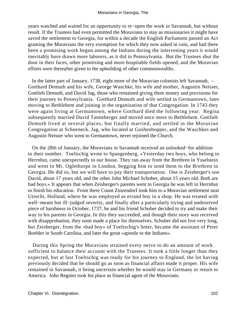years watched and waited for an opportunity to re−open the work in Savannah, but without result. If the Trustees had even permitted the Moravians to stay as missionaries it might have saved the settlement to Georgia, for within a decade the English Parliament passed an Act granting the Moravians the very exemption for which they now asked in vain, and had there been a promising work begun among the Indians during the intervening years it would inevitably have drawn more laborers, as it did in Pennsylvania. But the Trustees shut the door in their faces, other promising and more hospitable fields opened, and the Moravian efforts were thereafter given to the upbuilding of other commonwealths.

 In the latter part of January, 1738, eight more of the Moravian colonists left Savannah, – Gotthard Demuth and his wife, George Waschke, his wife and mother, Augustin Neisser, Gottlieb Demuth, and David Jag, those who remained giving them money and provisions for their journey to Pennsylvania. Gotthard Demuth and wife settled in Germantown, later moving to Bethlehem and joining in the organization of that Congregation. In 1743 they were again living at Germantown, where Gotthard died the following year. Regina subsequently married David Tanneberger and moved once more to Bethlehem. Gottlieb Demuth lived at several places, but finally married, and settled in the Moravian Congregation at Schoeneck. Jag, who located at Goshenhopper, and the Waschkes and Augustin Neisser who went to Germantown, never rejoined the Church.

 On the 28th of January, the Moravians in Savannah received an unlooked−for addition to their number. Toeltschig wrote to Spangenberg, «Yesterday two boys, who belong to Herrnhut, came unexpectedly to our house. They ran away from the Brethren in Ysselstein and went to Mr. Oglethorpe in London, begging him to send them to the Brethren in Georgia. He did so, but we will have to pay their transportation. One is Zeisberger's son David, about 17 years old, and the other John Michael Schober, about 15 years old. Both are bad boys.» It appears that when Zeisberger's parents went to Georgia he was left in Herrnhut to finish his education. From there Count Zinzendorf took him to a Moravian settlement near Utrecht, Holland, where he was employed as errand boy in a shop. He was treated with well−meant but ill−judged severity, and finally after a particularly trying and undeserved piece of harshness in October, 1737, he and his friend Schober decided to try and make their way to his parents in Georgia. In this they succeeded, and though their story was received with disapprobation, they soon made a place for themselves. Schober did not live very long, but Zeisberger, from the «bad boy» of Toeltschig's letter, became the assistant of Peter Boehler in South Carolina, and later the great «apostle to the Indians».

 During this Spring the Moravians strained every nerve to do an amount of work sufficient to balance their account with the Trustees. It took a little longer than they expected, but at last Toeltschig was ready for his journey to England, the lot having previously decided that he should go as soon as financial affairs made it proper. His wife remained in Savannah, it being uncertain whether he would stay in Germany or return to America. John Regnier took his place as financial agent of the Moravians.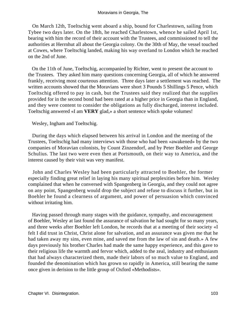On March 12th, Toeltschig went aboard a ship, bound for Charlestown, sailing from Tybee two days later. On the 18th, he reached Charlestown, whence he sailed April 1st, bearing with him the record of their account with the Trustees, and commissioned to tell the authorities at Herrnhut all about the Georgia colony. On the 30th of May, the vessel touched at Cowes, where Toeltschig landed, making his way overland to London which he reached on the 2nd of June.

 On the 11th of June, Toeltschig, accompanied by Richter, went to present the account to the Trustees. They asked him many questions concerning Georgia, all of which he answered frankly, receiving most courteous attention. Three days later a settlement was reached. The written accounts showed that the Moravians were short 3 Pounds 5 Shillings 5 Pence, which Toeltschig offered to pay in cash, but the Trustees said they realized that the supplies provided for in the second bond had been rated at a higher price in Georgia than in England, and they were content to consider the obligations as fully discharged, interest included. Toeltschig answered «I am **VERY** glad,» a short sentence which spoke volumes!

Wesley, Ingham and Toeltschig.

 During the days which elapsed between his arrival in London and the meeting of the Trustees, Toeltschig had many interviews with those who had been «awakened» by the two companies of Moravian colonists, by Count Zinzendorf, and by Peter Boehler and George Schulius. The last two were even then at Portsmouth, on their way to America, and the interest caused by their visit was very manifest.

 John and Charles Wesley had been particularly attracted to Boehler, the former especially finding great relief in laying his many spiritual perplexities before him. Wesley complained that when he conversed with Spangenberg in Georgia, and they could not agree on any point, Spangenberg would drop the subject and refuse to discuss it further, but in Boehler he found a clearness of argument, and power of persuasion which convinced without irritating him.

 Having passed through many stages with the guidance, sympathy, and encouragement of Boehler, Wesley at last found the assurance of salvation he had sought for so many years, and three weeks after Boehler left London, he records that at a meeting of their society «I felt I did trust in Christ, Christ alone for salvation, and an assurance was given me that he had taken away my sins, even mine, and saved me from the law of sin and death.» A few days previously his brother Charles had made the same happy experience, and this gave to their religious life the warmth and fervor which, added to the zeal, industry and enthusiasm that had always characterized them, made their labors of so much value to England, and founded the denomination which has grown so rapidly in America, still bearing the name once given in derision to the little group of Oxford «Methodists».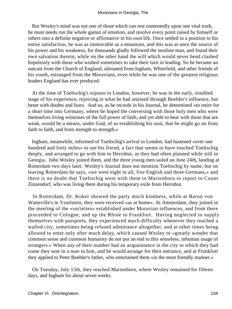But Wesley's mind was not one of those which can rest contentedly upon one vital truth, he must needs run the whole gamut of emotion, and resolve every point raised by himself or others into a definite negative or affirmative in his own life. Once settled in a position to his entire satisfaction, he was as immovable as a mountain, and this was at once the source of his power and his weakness, for thousands gladly followed the resolute man, and found their own salvation therein, while on the other hand the will which would never bend clashed hopelessly with those who wished sometimes to take their turn in leading. So he became an outcast from the Church of England, alienated from Ingham, Whitefield, and other friends of his youth, estranged from the Moravians, even while he was one of the greatest religious leaders England has ever produced.

 At the time of Toeltschig's sojourn in London, however, he was in the early, troubled stage of his experience, rejoicing in what he had attained through Boehler's influence, but beset with doubts and fears. And so, as he records in his Journal, he determined «to retire for a short time into Germany, where he hoped the conversing with those holy men who were themselves living witnesses of the full power of faith, and yet able to bear with those that are weak, would be a means, under God, of so establishing his soul, that he might go on from faith to faith, and from strength to strength.»

 Ingham, meanwhile, informed of Toeltschig's arrival in London, had hastened «over one hundred and forty miles» to see his friend, a fact that seems to have touched Toeltschig deeply, and arranged to go with him to Herrnhut, as they had often planned while still in Georgia. John Wesley joined them, and the three young men sailed on June 24th, landing at Rotterdam two days later. Wesley's Journal does not mention Toeltschig by name, but on leaving Rotterdam he says, «we were eight in all, five English and three Germans,» and there is no doubt that Toeltschig went with them to Marienborn to report to Count Zinzendorf, who was living there during his temporary exile from Herrnhut.

 In Rotterdam, Dr. Koker showed the party much kindness, while at Baron von Watteville's in Ysselstein, they were received «as at home». At Amsterdam, they joined in the meeting of the «societies» established under Moravian influences, and from there proceeded to Cologne, and up the Rhine to Frankfort. Having neglected to supply themselves with passports, they experienced much difficulty whenever they reached a walled city, sometimes being refused admittance altogether, and at other times being allowed to enter only after much delay, which caused Wesley to «greatly wonder that common sense and common humanity do not put an end to this senseless, inhuman usage of strangers.» When any of their number had an acquaintance in the city to which they had come they sent in a note to him, and he would arrange for their entrance, and at Frankfort they applied to Peter Boehler's father, who entertained them «in the most friendly manner.»

 On Tuesday, July 15th, they reached Marienborn, where Wesley remained for fifteen days, and Ingham for about seven weeks.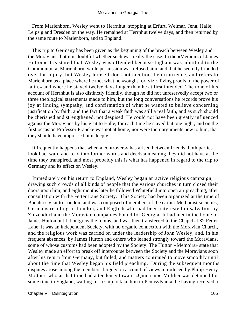From Marienborn, Wesley went to Herrnhut, stopping at Erfurt, Weimar, Jena, Halle, Leipsig and Dresden on the way. He remained at Herrnhut twelve days, and then returned by the same route to Marienborn, and to England.

 This trip to Germany has been given as the beginning of the breach between Wesley and the Moravians, but it is doubtful whether such was really the case. In the «Memoirs of James Hutton» it is stated that Wesley was offended because Ingham was admitted to the Communion at Marienborn, while permission was refused him, and that he secretly brooded over the injury, but Wesley himself does not mention the occurrence, and refers to Marienborn as a place where he met what he «sought for, viz.: living proofs of the power of faith,» and where he stayed twelve days longer than he at first intended. The tone of his account of Herrnhut is also distinctly friendly, though he did not unreservedly accept two or three theological statements made to him, but the long conversations he records prove his joy at finding sympathy, and confirmation of what he wanted to believe concerning justification by faith, and the fact that a weak faith was still a real faith, and as such should be cherished and strengthened, not despised. He could not have been greatly influenced against the Moravians by his visit to Halle, for each time he stayed but one night, and on the first occasion Professor Francke was not at home, nor were their arguments new to him, that they should have impressed him deeply.

 It frequently happens that when a controversy has arisen between friends, both parties look backward and read into former words and deeds a meaning they did not have at the time they transpired, and most probably this is what has happened in regard to the trip to Germany and its effect on Wesley.

 Immediately on his return to England, Wesley began an active religious campaign, drawing such crowds of all kinds of people that the various churches in turn closed their doors upon him, and eight months later he followed Whitefield into open air preaching, after consultation with the Fetter Lane Society. This Society had been organized at the time of Boehler's visit to London, and was composed of members of the earlier Methodist societies, Germans residing in London, and English who had been interested in salvation by Zinzendorf and the Moravian companies bound for Georgia. It had met in the home of James Hutton until it outgrew the rooms, and was then transferred to the Chapel at 32 Fetter Lane. It was an independent Society, with no organic connection with the Moravian Church, and the religious work was carried on under the leadership of John Wesley, and, in his frequent absences, by James Hutton and others who leaned strongly toward the Moravians, some of whose customs had been adopted by the Society. The Hutton «Memoirs» state that Wesley made an effort to break off intercourse between the Society and the Moravians soon after his return from Germany, but failed, and matters continued to move smoothly until about the time that Wesley began his field preaching. During the subsequent months disputes arose among the members, largely on account of views introduced by Philip Henry Molther, who at that time had a tendency toward «Quietism». Molther was detained for some time in England, waiting for a ship to take him to Pennsylvania, he having received a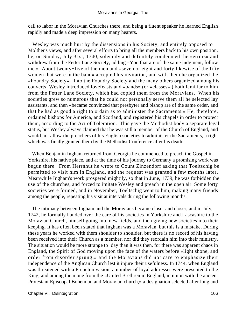call to labor in the Moravian Churches there, and being a fluent speaker he learned English rapidly and made a deep impression on many hearers.

 Wesley was much hurt by the dissensions in his Society, and entirely opposed to Molther's views, and after several efforts to bring all the members back to his own position, he, on Sunday, July 31st, 1740, solemnly and definitely condemned the «errors» and withdrew from the Fetter Lane Society, adding «You that are of the same judgment, follow me.» About twenty−five of the men and «seven or eight and forty likewise of the fifty women that were in the band» accepted his invitation, and with them he organized the «Foundry Society». Into the Foundry Society and the many others organized among his converts, Wesley introduced lovefeasts and «bands» (or «classes»,) both familiar to him from the Fetter Lane Society, which had copied them from the Moravians. When his societies grew so numerous that he could not personally serve them all he selected lay assistants, and then «became convinced that presbyter and bishop are of the same order, and that he had as good a right to ordain as to administer the Sacraments.» He, therefore, ordained bishops for America, and Scotland, and registered his chapels in order to protect them, according to the Act of Toleration. This gave the Methodist body a separate legal status, but Wesley always claimed that he was still a member of the Church of England, and would not allow the preachers of his English societies to administer the Sacraments, a right which was finally granted them by the Methodist Conference after his death.

 When Benjamin Ingham returned from Georgia he commenced to preach the Gospel in Yorkshire, his native place, and at the time of his journey to Germany a promising work was begun there. From Herrnhut he wrote to Count Zinzendorf asking that Toeltschig be permitted to visit him in England, and the request was granted a few months later. Meanwhile Ingham's work prospered mightily, so that in June, 1739, he was forbidden the use of the churches, and forced to imitate Wesley and preach in the open air. Some forty societies were formed, and in November, Toeltschig went to him, making many friends among the people, repeating his visit at intervals during the following months.

 The intimacy between Ingham and the Moravians became closer and closer, and in July, 1742, he formally handed over the care of his societies in Yorkshire and Lascashire to the Moravian Church, himself going into new fields, and then giving new societies into their keeping. It has often been stated that Ingham was a Moravian, but this is a mistake. During these years he worked with them shoulder to shoulder, but there is no record of his having been received into their Church as a member, nor did they reordain him into their ministry. The situation would be more strange to−day than it was then, for there was apparent chaos in England, the Spirit of God moving upon the face of the waters before «light shone, and order from disorder sprung,» and the Moravians did not care to emphasize their independence of the Anglican Church lest it injure their usefulness. In 1744, when England was threatened with a French invasion, a number of loyal addresses were presented to the King, and among them one from the «United Brethren in England, in union with the ancient Protestant Episcopal Bohemian and Moravian church,» a designation selected after long and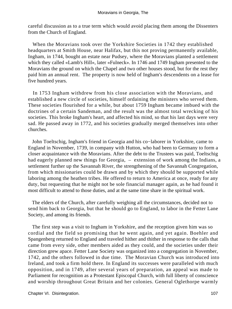careful discussion as to a true term which would avoid placing them among the Dissenters from the Church of England.

 When the Moravians took over the Yorkshire Societies in 1742 they established headquarters at Smith House, near Halifax, but this not proving permanently available, Ingham, in 1744, bought an estate near Pudsey, where the Moravians planted a settlement which they called «Lamb's Hill», later «Fulneck». In 1746 and 1749 Ingham presented to the Moravians the ground on which the Chapel and two other houses stood, but for the rest they paid him an annual rent. The property is now held of Ingham's descendents on a lease for five hundred years.

 In 1753 Ingham withdrew from his close association with the Moravians, and established a new circle of societies, himself ordaining the ministers who served them. These societies flourished for a while, but about 1759 Ingham became imbued with the doctrines of a certain Sandeman, and the result was the almost total wrecking of his societies. This broke Ingham's heart, and affected his mind, so that his last days were very sad. He passed away in 1772, and his societies gradually merged themselves into other churches.

 John Toeltschig, Ingham's friend in Georgia and his co−laborer in Yorkshire, came to England in November, 1739, in company with Hutton, who had been to Germany to form a closer acquaintance with the Moravians. After the debt to the Trustees was paid, Toeltschig had eagerly planned new things for Georgia,  $-$  extension of work among the Indians, a settlement further up the Savannah River, the strengthening of the Savannah Congregation, from which missionaries could be drawn and by which they should be supported while laboring among the heathen tribes. He offered to return to America at once, ready for any duty, but requesting that he might not be sole financial manager again, as he had found it most difficult to attend to those duties, and at the same time share in the spiritual work.

 The elders of the Church, after carefully weighing all the circumstances, decided not to send him back to Georgia, but that he should go to England, to labor in the Fetter Lane Society, and among its friends.

 The first step was a visit to Ingham in Yorkshire, and the reception given him was so cordial and the field so promising that he went again, and yet again. Boehler and Spangenberg returned to England and traveled hither and thither in response to the calls that came from every side, other members aided as they could, and the societies under their direction grew apace. Fetter Lane Society was organized into a congregation in November, 1742, and the others followed in due time. The Moravian Church was introduced into Ireland, and took a firm hold there. In England its successes were paralleled with much opposition, and in 1749, after several years of preparation, an appeal was made to Parliament for recognition as a Protestant Episcopal Church, with full liberty of conscience and worship throughout Great Britain and her colonies. General Oglethorpe warmly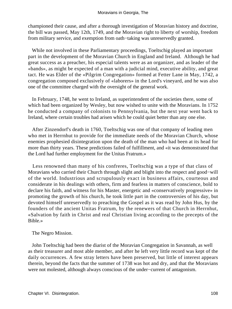championed their cause, and after a thorough investigation of Moravian history and doctrine, the bill was passed, May 12th, 1749, and the Moravian right to liberty of worship, freedom from military service, and exemption from oath−taking was unreservedly granted.

 While not involved in these Parliamentary proceedings, Toeltschig played an important part in the development of the Moravian Church in England and Ireland. Although he had great success as a preacher, his especial talents were as an organizer, and as leader of the «bands», as might be expected of a man with a judicial mind, executive ability, and great tact. He was Elder of the «Pilgrim Congregation» formed at Fetter Lane in May, 1742, a congregation composed exclusively of «laborers» in the Lord's vineyard, and he was also one of the committee charged with the oversight of the general work.

 In February, 1748, he went to Ireland, as superintendent of the societies there, some of which had been organized by Wesley, but now wished to unite with the Moravians. In 1752 he conducted a company of colonists to Pennsylvania, but the next year went back to Ireland, where certain troubles had arisen which he could quiet better than any one else.

 After Zinzendorf's death in 1760, Toeltschig was one of that company of leading men who met in Herrnhut to provide for the immediate needs of the Moravian Church, whose enemies prophesied disintegration upon the death of the man who had been at its head for more than thirty years. These predictions failed of fulfillment, and «it was demonstrated that the Lord had further employment for the Unitas Fratrum.»

 Less renowned than many of his confreres, Toeltschig was a type of that class of Moravians who carried their Church through slight and blight into the respect and good−will of the world. Industrious and scrupulously exact in business affairs, courteous and considerate in his dealings with others, firm and fearless in matters of conscience, bold to declare his faith, and witness for his Master, energetic and «conservatively progressive» in promoting the growth of his church, he took little part in the controversies of his day, but devoted himself unreservedly to preaching the Gospel as it was read by John Hus, by the founders of the ancient Unitas Fratrum, by the renewers of that Church in Herrnhut, «Salvation by faith in Christ and real Christian living according to the precepts of the Bible.»

### The Negro Mission.

 John Toeltschig had been the diarist of the Moravian Congregation in Savannah, as well as their treasurer and most able member, and after he left very little record was kept of the daily occurrences. A few stray letters have been preserved, but little of interest appears therein, beyond the facts that the summer of 1738 was hot and dry, and that the Moravians were not molested, although always conscious of the under−current of antagonism.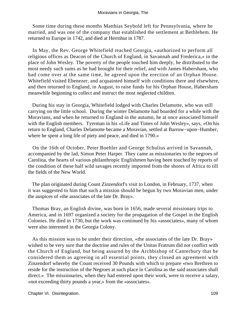Some time during these months Matthias Seybold left for Pennsylvania, where he married, and was one of the company that established the settlement at Bethlehem. He returned to Europe in 1742, and died at Herrnhut in 1787.

 In May, the Rev. George Whitefield reached Georgia, «authorized to perform all religious offices as Deacon of the Church of England, in Savannah and Frederica,» in the place of John Wesley. The poverty of the people touched him deeply, he distributed to the most needy such sums as he had brought for their relief, and with James Habersham, who had come over at the same time, he agreed upon the erection of an Orphan House. Whitefield visited Ebenezer, and acquainted himself with conditions there and elsewhere, and then returned to England, in August, to raise funds for his Orphan House, Habersham meanwhile beginning to collect and instruct the most neglected children.

 During his stay in Georgia, Whitefield lodged with Charles Delamotte, who was still carrying on the little school. During the winter Delamotte had boarded for a while with the Moravians, and when he returned to England in the autumn, he at once associated himself with the English members. Tyerman in his «Life and Times of John Wesley», says, «On his return to England, Charles Delamotte became a Moravian, settled at Barrow−upon−Humber, where he spent a long life of piety and peace, and died in 1790.»

 On the 16th of October, Peter Boehler and George Schulius arrived in Savannah, accompanied by the lad, Simon Peter Harper. They came as missionaries to the negroes of Carolina, the hearts of various philanthropic Englishmen having been touched by reports of the condition of these half wild savages recently imported from the shores of Africa to till the fields of the New World.

 The plan originated during Count Zinzendorf's visit to London, in February, 1737, when it was suggested to him that such a mission should be begun by two Moravian men, under the auspices of «the associates of the late Dr. Bray».

 Thomas Bray, an English divine, was born in 1656, made several missionary trips to America, and in 1697 organized a society for the propagation of the Gospel in the English Colonies. He died in 1730, but the work was continued by his «associates», many of whom were also interested in the Georgia Colony.

 As this mission was to be under their direction, «the associates of the late Dr. Bray» wished to be very sure that the doctrine and rules of the Unitas Fratrum did not conflict with the Church of England, but being assured by the Archbishop of Canterbury that he considered them as agreeing in all essential points, they closed an agreement with Zinzendorf whereby the Count received 30 Pounds with which to prepare «two Brethren to reside for the instruction of the Negroes at such place in Carolina as the said associates shall direct.» The missionaries, when they had entered upon their work, were to receive a salary, «not exceeding thirty pounds a year,» from the «associates».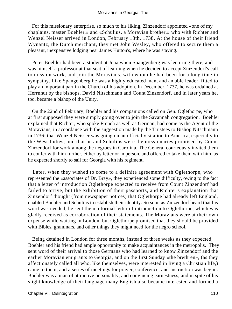For this missionary enterprise, so much to his liking, Zinzendorf appointed «one of my chaplains, master Boehler,» and «Schulius, a Moravian brother,» who with Richter and Wenzel Neisser arrived in London, February 18th, 1738. At the house of their friend Wynantz, the Dutch merchant, they met John Wesley, who offered to secure them a pleasant, inexpensive lodging near James Hutton's, where he was staying.

 Peter Boehler had been a student at Jena when Spangenberg was lecturing there, and was himself a professor at that seat of learning when he decided to accept Zinzendorf's call to mission work, and join the Moravians, with whom he had been for a long time in sympathy. Like Spangenberg he was a highly educated man, and an able leader, fitted to play an important part in the Church of his adoption. In December, 1737, he was ordained at Herrnhut by the bishops, David Nitschmann and Count Zinzendorf, and in later years he, too, became a bishop of the Unity.

 On the 22nd of February, Boehler and his companions called on Gen. Oglethorpe, who at first supposed they were simply going over to join the Savannah congregation. Boehler explained that Richter, who spoke French as well as German, had come as the Agent of the Moravians, in accordance with the suggestion made by the Trustees to Bishop Nitschmann in 1736; that Wenzel Neisser was going on an official visitation to America, especially to the West Indies; and that he and Schulius were the missionaries promised by Count Zinzendorf for work among the negroes in Carolina. The General courteously invited them to confer with him further, either by letter or in person, and offered to take them with him, as he expected shortly to sail for Georgia with his regiment.

 Later, when they wished to come to a definite agreement with Oglethorpe, who represented the «associates of Dr. Bray», they experienced some difficulty, owing to the fact that a letter of introduction Oglethorpe expected to receive from Count Zinzendorf had failed to arrive, but the exhibition of their passports, and Richter's explanation that Zinzendorf thought (from newspaper notices) that Oglethorpe had already left England, enabled Boehler and Schulius to establish their identity. So soon as Zinzendorf heard that his word was needed, he sent them a formal letter of introduction to Oglethorpe, which was gladly received as corroboration of their statements. The Moravians were at their own expense while waiting in London, but Oglethorpe promised that they should be provided with Bibles, grammars, and other things they might need for the negro school.

 Being detained in London for three months, instead of three weeks as they expected, Boehler and his friend had ample opportunity to make acquaintances in the metropolis. They sent word of their arrival to those Germans who had learned to know Zinzendorf and the earlier Moravian emigrants to Georgia, and on the first Sunday «the brethren», (as they affectionately called all who, like themselves, were interested in living a Christian life,) came to them, and a series of meetings for prayer, conference, and instruction was begun. Boehler was a man of attractive personality, and convincing earnestness, and in spite of his slight knowledge of their language many English also became interested and formed a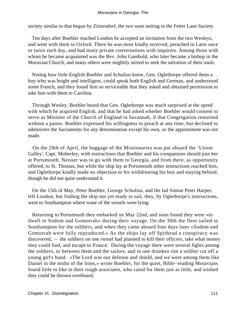society similar to that begun by Zinzendorf, the two soon uniting in the Fetter Lane Society.

 Ten days after Boehler reached London he accepted an invitation from the two Wesleys, and went with them to Oxford. There he was most kindly received, preached in Latin once or twice each day, and had many private conversations with inquirers. Among those with whom he became acquainted was the Rev. John Gambold, who later became a bishop in the Moravian Church, and many others were mightily stirred to seek the salvation of their souls.

 Noting how little English Boehler and Schulius knew, Gen. Oglethorpe offered them a boy who was bright and intelligent, could speak both English and German, and understood some French, and they found him so serviceable that they asked and obtained permission to take him with them to Carolina.

 Through Wesley, Boehler heard that Gen. Oglethorpe was much surprised at the speed with which he acquired English, and that he had asked whether Boehler would consent to serve as Minister of the Church of England in Savannah, if that Congregation remained without a pastor. Boehler expressed his willingness to preach at any time, but declined to administer the Sacraments for any denomination except his own, so the appointment was not made.

 On the 28th of April, the baggage of the Missionaries was put aboard the `Union Galley', Capt. Moberley, with instructions that Boehler and his companions should join her at Portsmouth. Neisser was to go with them to Georgia, and from there, as opportunity offered, to St. Thomas, but while the ship lay at Portsmouth other instructions reached him, and Oglethorpe kindly made no objection to his withdrawing his box and staying behind, though he did not quite understand it.

 On the 15th of May, Peter Boehler, George Schulius, and the lad Simon Peter Harper, left London, but finding the ship not yet ready to sail, they, by Oglethorpe's instructions, went to Southampton where some of the vessels were lying.

 Returning to Portsmouth they embarked on May 22nd, and soon found they were «to dwell in Sodom and Gomorrah» during their voyage. On the 30th the fleet sailed to Southampton for the soldiers, and when they came aboard four days later «Sodom and Gomorrah were fully reproduced.» As the ships lay off Spithead a conspiracy was discovered, – the soldiers on one vessel had planned to kill their officers, take what money they could find, and escape to France. During the voyage there were several fights among the soldiers, or between them and the sailors, and in one drunken riot a soldier cut off a young girl's hand. «The Lord was our defense and shield, and we were among them like Daniel in the midst of the lions,» wrote Boehler, for the quiet, Bible−reading Moravians found little to like in their rough associates, who cared for them just as little, and wished they could be thrown overboard.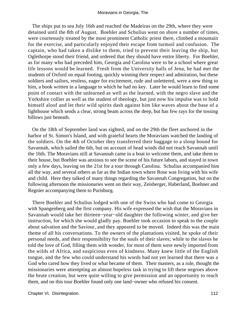The ships put to sea July 16th and reached the Madeiras on the 29th, where they were detained until the 8th of August. Boehler and Schulius went on shore a number of times, were courteously treated by the most prominent Catholic priest there, climbed a mountain for the exercise, and particularly enjoyed their escape from turmoil and confusion. The captain, who had taken a dislike to them, tried to prevent their leaving the ship, but Oglethorpe stood their friend, and ordered that they should have entire liberty. For Boehler, as for many who had preceded him, Georgia and Carolina were to be a school where great life lessons would be learned. Fresh from the University halls of Jena, he had met the students of Oxford on equal footing, quickly winning their respect and admiration, but these soldiers and sailors, restless, eager for excitement, rude and unlettered, were a new thing to him, a book written in a language to which he had no key. Later he would learn to find some point of contact with the unlearned as well as the learned, with the negro slave and the Yorkshire collier as well as the student of theology, but just now his impulse was to hold himself aloof and let their wild spirits dash against him like waves about the base of a lighthouse which sends a clear, strong beam across the deep, but has few rays for the tossing billows just beneath.

 On the 18th of September land was sighted, and on the 29th the fleet anchored in the harbor of St. Simon's Island, and with grateful hearts the Moravians watched the landing of the soldiers. On the 4th of October they transferred their baggage to a sloop bound for Savannah, which sailed the 6th, but on account of head winds did not reach Savannah until the 16th. The Moravians still at Savannah came in a boat to welcome them, and take them to their house, but Boehler was anxious to see the scene of his future labors, and stayed in town only a few days, leaving on the 21st for a tour through Carolina. Schulius accompanied him all the way, and several others as far as the Indian town where Rose was living with his wife and child. Here they talked of many things regarding the Savannah Congregation, but on the following afternoon the missionaries went on their way, Zeisberger, Haberland, Boehner and Regnier accompanying them to Purisburg.

 There Boehler and Schulius lodged with one of the Swiss who had come to Georgia with Spangenberg and the first company. His wife expressed the wish that the Moravians in Savannah would take her thirteen−year−old daughter the following winter, and give her instruction, for which she would gladly pay. Boehler took occasion to speak to the couple about salvation and the Saviour, and they appeared to be moved. Indeed this was the main theme of all his conversations. To the owners of the plantations visited, he spoke of their personal needs, and their responsibility for the souls of their slaves; while to the slaves he told the love of God, filling them with wonder, for most of them were newly imported from the wilds of Africa, and suspicious even of kindness. Many knew little of the English tongue, and the few who could understand his words had not yet learned that there was a God who cared how they lived or what became of them. Their masters, as a rule, thought the missionaries were attempting an almost hopeless task in trying to lift these negroes above the brute creation, but were quite willing to give permission and an opportunity to reach them, and on this tour Boehler found only one land−owner who refused his consent.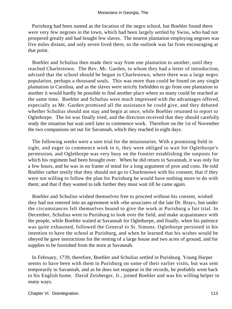Purisburg had been named as the location of the negro school, but Boehler found there were very few negroes in the town, which had been largely settled by Swiss, who had not prospered greatly and had bought few slaves. The nearest plantation employing negroes was five miles distant, and only seven lived there, so the outlook was far from encouraging at that point.

 Boehler and Schulius then made their way from one plantation to another, until they reached Charlestown. The Rev. Mr. Garden, to whom they had a letter of introduction, advised that the school should be begun in Charlestown, where there was a large negro population, perhaps a thousand souls. This was more than could be found on any single plantation in Carolina, and as the slaves were strictly forbidden to go from one plantation to another it would hardly be possible to find another place where so many could be reached at the same time. Boehler and Schulius were much impressed with the advantages offered, especially as Mr. Garden promised all the assistance he could give, and they debated whether Schulius should not stay and begin at once, while Boehler returned to report to Oglethorpe. The lot was finally tried, and the direction received that they should carefully study the situation but wait until later to commence work. Therefore on the 1st of November the two companions set out for Savannah, which they reached in eight days.

 The following weeks were a sore trial for the missionaries. With a promising field in sight, and eager to commence work in it, they were obliged to wait for Oglethorpe's permission, and Oglethorpe was very busy on the frontier establishing the outposts for which his regiment had been brought over. When he did return to Savannah, it was only for a few hours, and he was in no frame of mind for a long argument of pros and cons. He told Boehler rather testily that they should not go to Charlestown with his consent; that if they were not willing to follow the plan for Purisburg he would have nothing more to do with them; and that if they wanted to talk further they must wait till he came again.

 Boehler and Schulius wished themselves free to proceed without his consent, wished they had not entered into an agreement with «the associates of the late Dr. Bray», but under the circumstances felt themselves bound to give the work at Purisburg a fair trial. In December, Schulius went to Purisburg to look over the field, and make acquaintance with the people, while Boehler waited at Savannah for Oglethorpe, and finally, when his patience was quite exhausted, followed the General to St. Simons. Oglethorpe persisted in his intention to have the school at Purisburg, and when he learned that his wishes would be obeyed he gave instructions for the renting of a large house and two acres of ground, and for supplies to be furnished from the store at Savannah.

 In February, 1739, therefore, Boehler and Schulius settled in Purisburg. Young Harper seems to have been with them in Purisburg on some of their earlier visits, but was sent temporarily to Savannah, and as he does not reappear in the records, he probably went back to his English home. David Zeisberger, Jr., joined Boehler and was his willing helper in many ways.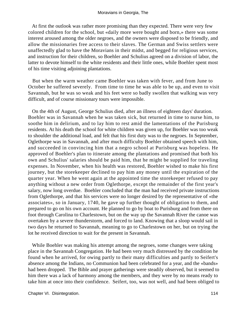At first the outlook was rather more promising than they expected. There were very few colored children for the school, but «daily more were bought and born,» there was some interest aroused among the older negroes, and the owners were disposed to be friendly, and allow the missionaries free access to their slaves. The German and Swiss settlers were unaffectedly glad to have the Moravians in their midst, and begged for religious services, and instruction for their children, so Boehler and Schulius agreed on a division of labor, the latter to devote himself to the white residents and their little ones, while Boehler spent most of his time visiting adjoining plantations.

 But when the warm weather came Boehler was taken with fever, and from June to October he suffered severely. From time to time he was able to be up, and even to visit Savannah, but he was so weak and his feet were so badly swollen that walking was very difficult, and of course missionary tours were impossible.

 On the 4th of August, George Schulius died, after an illness of eighteen days' duration. Boehler was in Savannah when he was taken sick, but returned in time to nurse him, to soothe him in delirium, and to lay him to rest amid the lamentations of the Purisburg residents. At his death the school for white children was given up, for Boehler was too weak to shoulder the additional load, and felt that his first duty was to the negroes. In September, Oglethorpe was in Savannah, and after much difficulty Boehler obtained speech with him, and succeeded in convincing him that a negro school at Purisburg was hopeless. He approved of Boehler's plan to itinerate among the plantations and promised that both his own and Schulius' salaries should be paid him, that he might be supplied for traveling expenses. In November, when his health was restored, Boehler wished to make his first journey, but the storekeeper declined to pay him any money until the expiration of the quarter year. When he went again at the appointed time the storekeeper refused to pay anything without a new order from Oglethorpe, except the remainder of the first year's salary, now long overdue. Boehler concluded that the man had received private instructions from Oglethorpe, and that his services were no longer desired by the representative of «the associates», so in January, 1740, he gave up further thought of obligation to them, and prepared to go on his own account. He planned to go by boat to Purisburg and from there on foot through Carolina to Charlestown, but on the way up the Savannah River the canoe was overtaken by a severe thunderstorm, and forced to land. Knowing that a sloop would sail in two days he returned to Savannah, meaning to go to Charlestown on her, but on trying the lot he received direction to wait for the present in Savannah.

 While Boehler was making his attempt among the negroes, some changes were taking place in the Savannah Congregation. He had been very much distressed by the condition he found when he arrived, for owing partly to their many difficulties and partly to Seifert's absence among the Indians, no Communion had been celebrated for a year, and the «bands» had been dropped. The Bible and prayer gatherings were steadily observed, but it seemed to him there was a lack of harmony among the members, and they were by no means ready to take him at once into their confidence. Seifert, too, was not well, and had been obliged to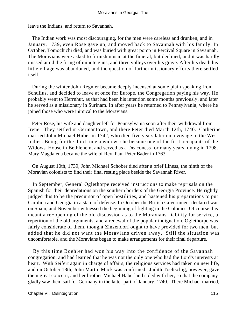leave the Indians, and return to Savannah.

 The Indian work was most discouraging, for the men were careless and drunken, and in January, 1739, even Rose gave up, and moved back to Savannah with his family. In October, Tomochichi died, and was buried with great pomp in Percival Square in Savannah. The Moravians were asked to furnish music at the funeral, but declined, and it was hardly missed amid the firing of minute guns, and three volleys over his grave. After his death his little village was abandoned, and the question of further missionary efforts there settled itself.

 During the winter John Regnier became deeply incensed at some plain speaking from Schulius, and decided to leave at once for Europe, the Congregation paying his way. He probably went to Herrnhut, as that had been his intention some months previously, and later he served as a missionary in Surinam. In after years he returned to Pennsylvania, where he joined those who were inimical to the Moravians.

 Peter Rose, his wife and daughter left for Pennsylvania soon after their withdrawal from Irene. They settled in Germantown, and there Peter died March 12th, 1740. Catherine married John Michael Huber in 1742, who died five years later on a voyage to the West Indies. Being for the third time a widow, she became one of the first occupants of the Widows' House in Bethlehem, and served as a Deaconess for many years, dying in 1798. Mary Magdalena became the wife of Rev. Paul Peter Bader in 1763.

 On August 10th, 1739, John Michael Schober died after a brief illness, the ninth of the Moravian colonists to find their final resting place beside the Savannah River.

 In September, General Oglethorpe received instructions to make reprisals on the Spanish for their depredations on the southern borders of the Georgia Province. He rightly judged this to be the precursor of open hostilities, and hastened his preparations to put Carolina and Georgia in a state of defense. In October the British Government declared war on Spain, and November witnessed the beginning of fighting in the Colonies. Of course this meant a re−opening of the old discussion as to the Moravians' liability for service, a repetition of the old arguments, and a renewal of the popular indignation. Oglethorpe was fairly considerate of them, thought Zinzendorf ought to have provided for two men, but added that he did not want the Moravians driven away. Still the situation was uncomfortable, and the Moravians began to make arrangements for their final departure.

 By this time Boehler had won his way into the confidence of the Savannah congregation, and had learned that he was not the only one who had the Lord's interests at heart. With Seifert again in charge of affairs, the religious services had taken on new life, and on October 18th, John Martin Mack was confirmed. Judith Toeltschig, however, gave them great concern, and her brother Michael Haberland sided with her, so that the company gladly saw them sail for Germany in the latter part of January, 1740. There Michael married,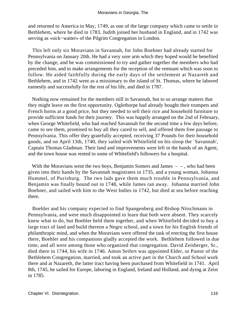and returned to America in May, 1749, as one of the large company which came to settle in Bethlehem, where he died in 1783. Judith joined her husband in England, and in 1742 was serving as «sick−waiter» of the Pilgrim Congregation in London.

 This left only six Moravians in Savannah, for John Boehner had already started for Pennsylvania on January 20th. He had a very sore arm which they hoped would be benefited by the change, and he was commissioned to try and gather together the members who had preceded him, and to make arrangements for the reception of the remnant which was soon to follow. He aided faithfully during the early days of the settlement at Nazareth and Bethlehem, and in 1742 went as a missionary to the island of St. Thomas, where he labored earnestly and successfully for the rest of his life, and died in 1787.

 Nothing now remained for the members still in Savannah, but to so arrange matters that they might leave on the first opportunity. Oglethorpe had already bought their trumpets and French horns at a good price, but they needed to sell their rice and household furniture to provide sufficient funds for their journey. This was happily arranged on the 2nd of February, when George Whitefield, who had reached Savannah for the second time a few days before, came to see them, promised to buy all they cared to sell, and offered them free passage to Pennsylvania. This offer they gratefully accepted, receiving 37 Pounds for their household goods, and on April 13th, 1740, they sailed with Whitefield on his sloop the `Savannah', Captain Thomas Gladman. Their land and improvements were left in the hands of an Agent, and the town house was rented to some of Whitefield's followers for a hospital.

With the Moravians went the two boys, Benjamin Somers and James  $-$ , who had been given into their hands by the Savannah magistrates in 1735, and a young woman, Johanna Hummel, of Purisburg. The two lads gave them much trouble in Pennsylvania, and Benjamin was finally bound out in 1748, while James ran away. Johanna married John Boehner, and sailed with him to the West Indies in 1742, but died at sea before reaching there.

 Boehler and his company expected to find Spangenberg and Bishop Nitschmann in Pennsylvania, and were much disappointed to learn that both were absent. They scarcely knew what to do, but Boehler held them together, and when Whitefield decided to buy a large tract of land and build thereon a Negro school, and a town for his English friends of philanthropic mind, and when the Moravians were offered the task of erecting the first house there, Boehler and his companions gladly accepted the work. Bethlehem followed in due time, and all were among those who organized that congregation. David Zeisberger, Sr., died there in 1744, his wife in 1746. Anton Seifert was appointed Elder, or Pastor of the Bethlehem Congregation, married, and took an active part in the Church and School work there and at Nazareth, the latter tract having been purchased from Whitefield in 1741. April 8th, 1745, he sailed for Europe, laboring in England, Ireland and Holland, and dying at Zeist in 1785.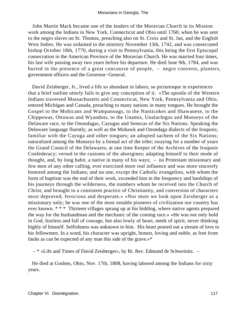John Martin Mack became one of the leaders of the Moravian Church in its Mission work among the Indians in New York, Connecticut and Ohio until 1760, when he was sent to the negro slaves on St. Thomas, preaching also on St. Croix and St. Jan, and the English West Indies. He was ordained to the ministry November 13th, 1742, and was consecrated bishop October 18th, 1770, during a visit to Pennsylvania, this being the first Episcopal consecration in the American Province of the Moravian Church. He was married four times, his last wife passing away two years before his departure. He died June 9th, 1784, and was buried in the presence of a great concourse of people, – negro converts, planters, government officers and the Governor−General.

 David Zeisberger, Jr., lived a life so abundant in labors, so picturesque in experiences that a brief outline utterly fails to give any conception of it. «The apostle of the Western Indians traversed Massachusetts and Connecticut, New York, Pennsylvania and Ohio, entered Michigan and Canada, preaching to many nations in many tongues. He brought the Gospel to the Mohicans and Wampanoags, to the Nanticokes and Shawanese, to the Chippewas, Ottowas and Wyandots, to the Unamis, Unalachtgos and Monseys of the Delaware race, to the Onondagas, Cayugas and Senecas of the Six Nations. Speaking the Delaware language fluently, as well as the Mohawk and Onondaga dialects of the Iroquois; familiar with the Cayuga and other tongues; an adopted sachem of the Six Nations; naturalized among the Monseys by a formal act of the tribe; swaying for a number of years the Grand Council of the Delawares; at one time Keeper of the Archives of the Iroquois Confederacy; versed in the customs of the aborigines; adapting himself to their mode of thought, and, by long habit, a native in many of his ways; – no Protestant missionary and few men of any other calling, ever exercised more real influence and was more sincerely honored among the Indians; and no one, except the Catholic evangelists, with whom the form of baptism was the end of their work, exceeded him in the frequency and hardships of his journeys through the wilderness, the numbers whom he received into the Church of Christ, and brought to a consistent practice of Christianity, and conversion of characters most depraved, ferocious and desperate.» «Nor must we look upon Zeisberger as a missionary only; he was one of the most notable pioneers of civilization our country has ever known. \* \* \* Thirteen villages sprang up at his bidding, where native agents prepared the way for the husbandman and the mechanic of the coming race.» «He was not only bold in God, fearless and full of courage, but also lowly of heart, meek of spirit, never thinking highly of himself. Selfishness was unknown to him. His heart poured out a stream of love to his fellowmen. In a word, his character was upright, honest, loving and noble, as free from faults as can be expected of any man this side of the grave.»\*

– \* «Life and Times of David Zeisberger», by Rt. Rev. Edmund de Schweinitz. –

 He died at Goshen, Ohio, Nov. 17th, 1808, having labored among the Indians for sixty years.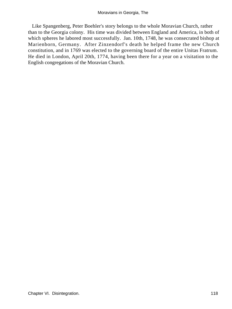Like Spangenberg, Peter Boehler's story belongs to the whole Moravian Church, rather than to the Georgia colony. His time was divided between England and America, in both of which spheres he labored most successfully. Jan. 10th, 1748, he was consecrated bishop at Marienborn, Germany. After Zinzendorf's death he helped frame the new Church constitution, and in 1769 was elected to the governing board of the entire Unitas Fratrum. He died in London, April 20th, 1774, having been there for a year on a visitation to the English congregations of the Moravian Church.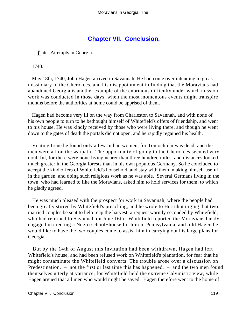## **[Chapter VII. Conclusion.](#page-130-0)**

<span id="page-119-0"></span>*L*ater Attempts in Georgia.

1740.

 May 18th, 1740, John Hagen arrived in Savannah. He had come over intending to go as missionary to the Cherokees, and his disappointment in finding that the Moravians had abandoned Georgia is another example of the enormous difficulty under which mission work was conducted in those days, when the most momentous events might transpire months before the authorities at home could be apprised of them.

 Hagen had become very ill on the way from Charleston to Savannah, and with none of his own people to turn to he bethought himself of Whitefield's offers of friendship, and went to his house. He was kindly received by those who were living there, and though he went down to the gates of death the portals did not open, and he rapidly regained his health.

 Visiting Irene he found only a few Indian women, for Tomochichi was dead, and the men were all on the warpath. The opportunity of going to the Cherokees seemed very doubtful, for there were none living nearer than three hundred miles, and distances looked much greater in the Georgia forests than in his own populous Germany. So he concluded to accept the kind offers of Whitefield's household, and stay with them, making himself useful in the garden, and doing such religious work as he was able. Several Germans living in the town, who had learned to like the Moravians, asked him to hold services for them, to which he gladly agreed.

 He was much pleased with the prospect for work in Savannah, where the people had been greatly stirred by Whitefield's preaching, and he wrote to Herrnhut urging that two married couples be sent to help reap the harvest, a request warmly seconded by Whitefield, who had returned to Savannah on June 16th. Whitefield reported the Moravians busily engaged in erecting a Negro school−house for him in Pennsylvania, and told Hagen he would like to have the two couples come to assist him in carrying out his large plans for Georgia.

 But by the 14th of August this invitation had been withdrawn, Hagen had left Whitefield's house, and had been refused work on Whitefield's plantation, for fear that he might contaminate the Whitefield converts. The trouble arose over a discussion on Predestination, – not the first or last time this has happened, – and the two men found themselves utterly at variance, for Whitefield held the extreme Calvinistic view, while Hagen argued that all men who would might be saved. Hagen therefore went to the home of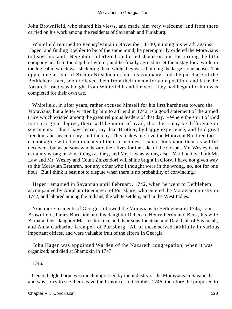John Brownfield, who shared his views, and made him very welcome, and from there carried on his work among the residents of Savannah and Purisburg.

 Whitefield returned to Pennsylvania in November, 1740, nursing his wrath against Hagen, and finding Boehler to be of the same mind, he peremptorily ordered the Moravians to leave his land. Neighbors interfered, and cried shame on him for turning the little company adrift in the depth of winter, and he finally agreed to let them stay for a while in the log cabin which was sheltering them while they were building the large stone house. The opportune arrival of Bishop Nitschmann and his company, and the purchase of the Bethlehem tract, soon relieved them from their uncomfortable position, and later the Nazareth tract was bought from Whitefield, and the work they had begun for him was completed for their own use.

 Whitefield, in after years, rather excused himself for his first harshness toward the Moravians, but a letter written by him to a friend in 1742, is a good statement of the armed truce which existed among the great religious leaders of that day. «Where the spirit of God is in any great degree, there will be union of avail, tho' there may be difference in sentiments. This I have learnt, my dear Brother, by happy experience, and find great freedom and peace in my soul thereby. This makes me love the Moravian Brethren tho' I cannot agree with them in many of their principles. I cannot look upon them as willful deceivers, but as persons who hazard their lives for the sake of the Gospel. Mr. Wesley is as certainly wrong in some things as they, and Mr. Law as wrong also. Yet I believe both Mr. Law and Mr. Wesley and Count Zinzendorf will shine bright in Glory. I have not given way to the Moravian Brethren, nor any other who I thought were in the wrong, no, not for one hour. But I think it best not to dispute when there is no probability of convincing.»

 Hagen remained in Savannah until February, 1742, when he went to Bethlehem, accompanied by Abraham Bueninger, of Purisburg, who entered the Moravian ministry in 1742, and labored among the Indians, the white settlers, and in the West Indies.

 Nine more residents of Georgia followed the Moravians to Bethlehem in 1745, John Brownfield, James Burnside and his daughter Rebecca, Henry Ferdinand Beck, his wife Barbara, their daughter Maria Christina, and their sons Jonathan and David, all of Savannah, and Anna Catharine Kremper, of Purisburg. All of these served faithfully in various important offices, and were valuable fruit of the efforts in Georgia.

 John Hagen was appointed Warden of the Nazareth congregation, when it was organized; and died at Shamokin in 1747.

1746.

 General Oglethorpe was much impressed by the industry of the Moravians in Savannah, and was sorry to see them leave the Province. In October, 1746, therefore, he proposed to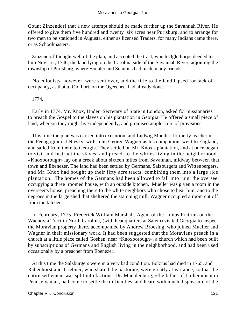Count Zinzendorf that a new attempt should be made further up the Savannah River. He offered to give them five hundred and twenty−six acres near Purisburg, and to arrange for two men to be stationed in Augusta, either as licensed Traders, for many Indians came there, or as Schoolmasters.

 Zinzendorf thought well of the plan, and accepted the tract, which Oglethorpe deeded to him Nov. 1st, 1746, the land lying on the Carolina side of the Savannah River, adjoining the township of Purisburg, where Boehler and Schulius had made many friends.

 No colonists, however, were sent over, and the title to the land lapsed for lack of occupancy, as that to Old Fort, on the Ogeechee, had already done.

#### 1774.

 Early in 1774, Mr. Knox, Under−Secretary of State in London, asked for missionaries to preach the Gospel to the slaves on his plantation in Georgia. He offered a small piece of land, whereon they might live independently, and promised ample store of provisions.

 This time the plan was carried into execution, and Ludwig Mueller, formerly teacher in the Pedagogium at Niesky, with John George Wagner as his companion, went to England, and sailed from there to Georgia. They settled on Mr. Knox's plantation, and at once began to visit and instruct the slaves, and preach to the whites living in the neighborhood. «Knoxborough» lay on a creek about sixteen miles from Savannah, midway between that town and Ebenezer. The land had been settled by Germans, Salzburgers and Wittenbergers, and Mr. Knox had bought up their fifty acre tracts, combining them into a large rice plantation. The homes of the Germans had been allowed to fall into ruin, the overseer occupying a three−roomed house, with an outside kitchen. Mueller was given a room in the overseer's house, preaching there to the white neighbors who chose to hear him, and to the negroes in the large shed that sheltered the stamping mill. Wagner occupied a room cut off from the kitchen.

 In February, 1775, Frederick William Marshall, Agent of the Unitas Fratrum on the Wachovia Tract in North Carolina, (with headquarters at Salem) visited Georgia to inspect the Moravian property there, accompanied by Andrew Broesing, who joined Mueller and Wagner in their missionary work. It had been suggested that the Moravians preach in a church at a little place called Goshen, near «Knoxborough», a church which had been built by subscriptions of Germans and English living in the neighborhood, and had been used occasionally by a preacher from Ebenezer.

 At this time the Salzburgers were in a very bad condition. Bolzius had died in 1765, and Rabenhorst and Triebner, who shared the pastorate, were greatly at variance, so that the entire settlement was split into factions. Dr. Muehlenberg, «the father of Lutheranism in Pennsylvania», had come to settle the difficulties, and heard with much displeasure of the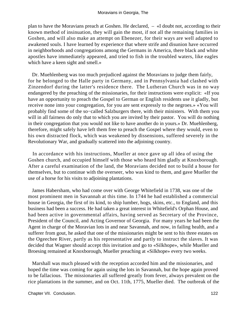plan to have the Moravians preach at Goshen. He declared, – «I doubt not, according to their known method of insinuation, they will gain the most, if not all the remaining families in Goshen, and will also make an attempt on Ebenezer, for their ways are well adapted to awakened souls. I have learned by experience that where strife and disunion have occurred in neighborhoods and congregations among the Germans in America, there black and white apostles have immediately appeared, and tried to fish in the troubled waters, like eagles which have a keen sight and smell.»

 Dr. Muehlenberg was too much prejudiced against the Moravians to judge them fairly, for he belonged to the Halle party in Germany, and in Pennsylvania had clashed with Zinzendorf during the latter's residence there. The Lutheran Church was in no way endangered by the preaching of the missionaries, for their instructions were explicit: «If you have an opportunity to preach the Gospel to German or English residents use it gladly, but receive none into your congregation, for you are sent expressly to the negroes.» «You will probably find some of the so−called Salzburgers there, with their ministers. With them you will in all fairness do only that to which you are invited by their pastor. You will do nothing in their congregation that you would not like to have another do in yours.» Dr. Muehlenberg, therefore, might safely have left them free to preach the Gospel where they would, even to his own distracted flock, which was weakened by dissensions, suffered severely in the Revolutionary War, and gradually scattered into the adjoining country.

 In accordance with his instructions, Mueller at once gave up all idea of using the Goshen church, and occupied himself with those who heard him gladly at Knoxborough. After a careful examination of the land, the Moravians decided not to build a house for themselves, but to continue with the overseer, who was kind to them, and gave Mueller the use of a horse for his visits to adjoining plantations.

 James Habersham, who had come over with George Whitefield in 1738, was one of the most prominent men in Savannah at this time. In 1744 he had established a commercial house in Georgia, the first of its kind, to ship lumber, hogs, skins, etc., to England, and this business had been a success. He had taken a great interest in Whitefield's Orphan House, and had been active in governmental affairs, having served as Secretary of the Province, President of the Council, and Acting Governor of Georgia. For many years he had been the Agent in charge of the Moravian lots in and near Savannah, and now, in failing health, and a sufferer from gout, he asked that one of the missionaries might be sent to his three estates on the Ogeechee River, partly as his representative and partly to instruct the slaves. It was decided that Wagner should accept this invitation and go to «Silkhope», while Mueller and Broesing remained at Knoxborough, Mueller preaching at «Silkhope» every two weeks.

 Marshall was much pleased with the reception accorded him and the missionaries, and hoped the time was coming for again using the lots in Savannah, but the hope again proved to be fallacious. The missionaries all suffered greatly from fever, always prevalent on the rice plantations in the summer, and on Oct. 11th, 1775, Mueller died. The outbreak of the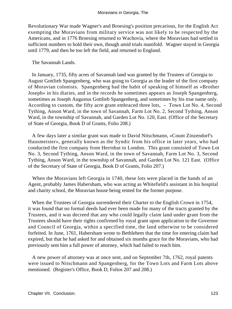Revolutionary War made Wagner's and Broesing's position precarious, for the English Act exempting the Moravians from military service was not likely to be respected by the Americans, and in 1776 Broesing returned to Wachovia, where the Moravians had settled in sufficient numbers to hold their own, though amid trials manifold. Wagner stayed in Georgia until 1779, and then he too left the field, and returned to England.

The Savannah Lands.

 In January, 1735, fifty acres of Savannah land was granted by the Trustees of Georgia to August Gottlieb Spangenberg, who was going to Georgia as the leader of the first company of Moravian colonists. Spangenberg had the habit of speaking of himself as «Brother Joseph» in his diaries, and in the records he sometimes appears as Joseph Spangenberg, sometimes as Joseph Augustus Gottlieb Spangenberg, and sometimes by his true name only. According to custom, the fifty acre grant embraced three lots, – Town Lot No. 4, Second Tything, Anson Ward, in the town of Savannah, Farm Lot No. 2, Second Tything, Anson Ward, in the township of Savannah, and Garden Lot No. 120, East. (Office of the Secretary of State of Georgia, Book D of Grants, Folio 208.)

 A few days later a similar grant was made to David Nitschmann, «Count Zinzendorf's Hausmeister», generally known as the Syndic from his office in later years, who had conducted the first company from Herrnhut to London. This grant consisted of Town Lot No. 3, Second Tything, Anson Ward, in the town of Savannah, Farm Lot No. 3, Second Tything, Anson Ward, in the township of Savannah, and Garden Lot No. 121 East. (Office of the Secretary of State of Georgia, Book D of Grants, Folio 207.)

 When the Moravians left Georgia in 1740, these lots were placed in the hands of an Agent, probably James Habersham, who was acting as Whitefield's assistant in his hospital and charity school, the Moravian house being rented for the former purpose.

 When the Trustees of Georgia surrendered their Charter to the English Crown in 1754, it was found that no formal deeds had ever been made for many of the tracts granted by the Trustees, and it was decreed that any who could legally claim land under grant from the Trustees should have their rights confirmed by royal grant upon application to the Governor and Council of Georgia, within a specified time, the land otherwise to be considered forfeited. In June, 1761, Habersham wrote to Bethlehem that the time for entering claim had expired, but that he had asked for and obtained six months grace for the Moravians, who had previously sent him a full power of attorney, which had failed to reach him.

 A new power of attorney was at once sent, and on September 7th, 1762, royal patents were issued to Nitschmann and Spangenberg, for the Town Lots and Farm Lots above mentioned. (Register's Office, Book D, Folios 207 and 208.)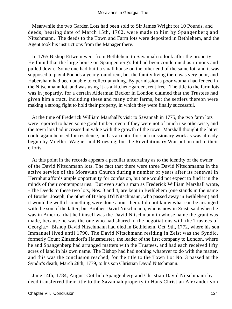Meanwhile the two Garden Lots had been sold to Sir James Wright for 10 Pounds, and deeds, bearing date of March 15th, 1762, were made to him by Spangenberg and Nitschmann. The deeds to the Town and Farm lots were deposited in Bethlehem, and the Agent took his instructions from the Manager there.

 In 1765 Bishop Ettwein went from Bethlehem to Savannah to look after the property. He found that the large house on Spangenberg's lot had been condemned as ruinous and pulled down. Some one had built a small house on the other end of the same lot, and it was supposed to pay 4 Pounds a year ground rent, but the family living there was very poor, and Habersham had been unable to collect anything. By permission a poor woman had fenced in the Nitschmann lot, and was using it as a kitchen−garden, rent free. The title to the farm lots was in jeopardy, for a certain Alderman Becker in London claimed that the Trustees had given him a tract, including these and many other farms, but the settlers thereon were making a strong fight to hold their property, in which they were finally successful.

 At the time of Frederick William Marshall's visit to Savannah in 1775, the two farm lots were reported to have some good timber, even if they were not of much use otherwise, and the town lots had increased in value with the growth of the town. Marshall thought the latter could again be used for residence, and as a centre for such missionary work as was already begun by Mueller, Wagner and Broesing, but the Revolutionary War put an end to their efforts.

 At this point in the records appears a peculiar uncertainty as to the identity of the owner of the David Nitschmann lots. The fact that there were three David Nitschmanns in the active service of the Moravian Church during a number of years after its renewal in Herrnhut affords ample opportunity for confusion, but one would not expect to find it in the minds of their contemporaries. But even such a man as Frederick William Marshall wrote, «The Deeds to these two lots, Nos. 3 and 4, are kept in Bethlehem (one stands in the name of Brother Joseph, the other of Bishop D'd Nitschmann, who passed away in Bethlehem) and it would be well if something were done about them. I do not know what can be arranged with the son of the latter; but Brother David Nitschmann, who is now in Zeist, said when he was in America that he himself was the David Nitschmann in whose name the grant was made, because he was the one who had shared in the negotiations with the Trustees of Georgia.» Bishop David Nitschmann had died in Bethlehem, Oct. 9th, 1772, where his son Immanuel lived until 1790. The David Nitschmann residing in Zeist was the Syndic, formerly Count Zinzendorf's Hausmeister, the leader of the first company to London, where he and Spangenberg had arranged matters with the Trustees, and had each received fifty acres of land in his own name. The Bishop had had nothing whatever to do with the matter, and this was the conclusion reached, for the title to the Town Lot No. 3 passed at the Syndic's death, March 28th, 1779, to his son Christian David Nitschmann.

 June 14th, 1784, August Gottlieb Spangenberg and Christian David Nitschmann by deed transferred their title to the Savannah property to Hans Christian Alexander von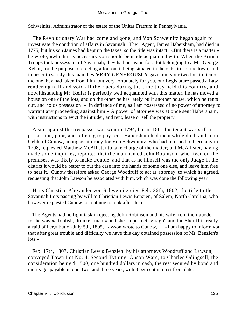Schweinitz, Administrator of the estate of the Unitas Fratrum in Pennsylvania.

 The Revolutionary War had come and gone, and Von Schweinitz began again to investigate the condition of affairs in Savannah. Their Agent, James Habersham, had died in 1775, but his son James had kept up the taxes, so the title was intact. «But there is a matter,» he wrote, «which it is necessary you should be made acquainted with. When the British Troops took possession of Savannah, they had occasion for a lot belonging to a Mr. George Kellar, for the purpose of erecting a fort on, it being situated in the outskirts of the town, and in order to satisfy this man they **VERY GENEROUSLY** gave him your two lots in lieu of the one they had taken from him, but very fortunately for you, our Legislature passed a Law rendering null and void all their acts during the time they held this country, and notwithstanding Mr. Kellar is perfectly well acquainted with this matter, he has moved a house on one of the lots, and on the other he has lately built another house, which he rents out, and holds possession – in defiance of me, as I am possessed of no power of attorney to warrant any proceeding against him.» A power of attorney was at once sent Habersham, with instructions to evict the intruder, and rent, lease or sell the property.

 A suit against the trespasser was won in 1794, but in 1801 his tenant was still in possession, poor, and refusing to pay rent. Habersham had meanwhile died, and John Gebhard Cunow, acting as attorney for Von Schweinitz, who had returned to Germany in 1798, requested Matthew McAllister to take charge of the matter; but McAllister, having made some inquiries, reported that the man named John Robinson, who lived on the premises, was likely to make trouble, and that as he himself was the only Judge in the district it would be better to put the case into the hands of some one else, and leave him free to hear it. Cunow therefore asked George Woodruff to act as attorney, to which he agreed, requesting that John Lawson be associated with him, which was done the following year.

 Hans Christian Alexander von Schweinitz died Feb. 26th, 1802, the title to the Savannah Lots passing by will to Christian Lewis Benzien, of Salem, North Carolina, who however requested Cunow to continue to look after them.

 The Agents had no light task in ejecting John Robinson and his wife from their abode, for he was «a foolish, drunken man,» and she «a perfect `virago', and the Sheriff is really afraid of her,» but on July 5th, 1805, Lawson wrote to Cunow, – «I am happy to inform you that after great trouble and difficulty we have this day obtained possession of Mr. Benzien's lots.»

 Feb. 17th, 1807, Christian Lewis Benzien, by his attorneys Woodruff and Lawson, conveyed Town Lot No. 4, Second Tything, Anson Ward, to Charles Odingsell, the consideration being \$1,500, one hundred dollars in cash, the rest secured by bond and mortgage, payable in one, two, and three years, with 8 per cent interest from date.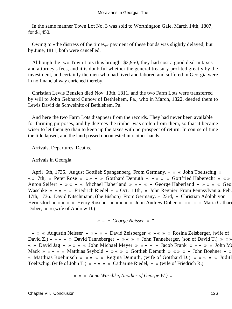In the same manner Town Lot No. 3 was sold to Worthington Gale, March 14th, 1807, for \$1,450.

 Owing to «the distress of the times,» payment of these bonds was slightly delayed, but by June, 1811, both were cancelled.

 Although the two Town Lots thus brought \$2,950, they had cost a good deal in taxes and attorney's fees, and it is doubtful whether the general treasury profited greatly by the investment, and certainly the men who had lived and labored and suffered in Georgia were in no financial way enriched thereby.

 Christian Lewis Benzien died Nov. 13th, 1811, and the two Farm Lots were transferred by will to John Gebhard Cunow of Bethlehem, Pa., who in March, 1822, deeded them to Lewis David de Schweinitz of Bethlehem, Pa.

 And here the two Farm Lots disappear from the records. They had never been available for farming purposes, and by degrees the timber was stolen from them, so that it became wiser to let them go than to keep up the taxes with no prospect of return. In course of time the title lapsed, and the land passed uncontested into other hands.

Arrivals, Departures, Deaths.

Arrivals in Georgia.

 April 6th, 1735. August Gottlieb Spangenberg From Germany. « » « John Toeltschig » « » 7th, « Peter Rose » « » « » Gotthard Demuth « » « » « Gottfried Haberecht » « » « » Anton Seifert « » « » « Michael Haberland » « » « » George Haberland « » « » « Geo Waschke » « » < » Friedrich Riedel « » Oct. 11th, « John Regnier From Pennsylvania. Feb. 17th, 1736. David Nitschmann, (the Bishop) From Germany. » 23rd, « Christian Adolph von Hermsdorf » « » « » Henry Roscher « » « » « John Andrew Dober » « » « » Maria Cathari Dober, « » (wife of Andrew D.)

*« » « George Neisser » "* 

 « » « Augustin Neisser » « » « » David Zeisberger « » « » « Rosina Zeisberger, (wife of David Z.) » « » « » David Tanneberger « » « » « John Tanneberger, (son of David T.) » « » « » David Jag « » « » « John Michael Meyer » « » « » Jacob Frank « » « » « John Ma Mack » « » « » Matthias Seybold « » « » « Gottlieb Demuth » « » « » John Boehner « » « Matthias Boehnisch » « » « » Regina Demuth, (wife of Gotthard D.) « » « » « Judith Toeltschig, (wife of John T.) » « » « » Catharine Riedel, « » (wife of Friedrich R.)

*« » « Anna Waschke, (mother of George W.) » "*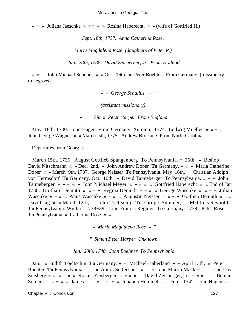« » « Juliana Jaeschke » « » « » Rosina Haberecht, « » (wife of Gottfried H.)

*Sept. 16th, 1737. Anna Catherina Rose,* 

*Maria Magdalena Rose, (daughters of Peter R.)*

*Jan. 28th, 1738. David Zeisberger, Jr. From Holland.* 

 « » « John Michael Schober » « Oct. 16th, » Peter Boehler, From Germany. (missionary to negroes)

*« » « George Schulius, » "* 

*(assistant missionary)*

*« » " Simon Peter Harper From England.* 

 May 18th, 1740. John Hagen From Germany. Autumn, 1774. Ludwig Mueller « » « » John George Wagner « » March 5th, 1775. Andrew Broesing From North Carolina.

Departures from Georgia.

 March 15th, 1736. August Gottlieb Spangenberg **To** Pennsylvania. « 26th, » Bishop David Nitschmann « » Dec. 2nd, « John Andrew Dober **To** Germany. » « » Maria Catherine Dober « » March 9th, 1737. George Neisser **To** Pennsylvania. May 16th, « Christian Adolph von Hermsdorf **To** Germany. Oct. 16th, » David Tanneberger **To** Pennsylvania. « » « John Tanneberger » « » « » John Michael Meyer « » « » « Gottfried Haberecht » « End of Jan. 1738. Gotthard Demuth » « » « Regina Demuth » « » « George Waschke » « » « Juliana Waschke » « » « Anna Waschke » « » « Augustin Neisser » « » « Gottlieb Demuth » « » David Jag » « March 12th, » John Toeltschig **To** Europe. Summer, « Matthias Seybold **To** Pennsylvania. Winter, 1738−39. John Francis Regnier **To** Germany. 1739. Peter Rose **To** Pennsylvania. » Catherine Rose « »

*« Maria Magdalena Rose » "* 

*" Simon Peter Harper Unknown.*

*Jan. 20th, 1740. John Boehner To Pennsylvania.* 

 Jan., « Judith Toeltschig **To** Germany. » « Michael Haberland » « April 13th, » Peter Boehler **To** Pennsylvania. « » « Anton Seifert » « » « » John Martin Mack « » « » « Dav Zeisberger » « » « » Rosina Zeisberger « » « » « David Zeisberger, Jr. » « » « » Benjam Somers « » « » « James – – » « » « » Johanna Hummel « » Feb., 1742. John Hagen « »

Chapter VII. Conclusion. 127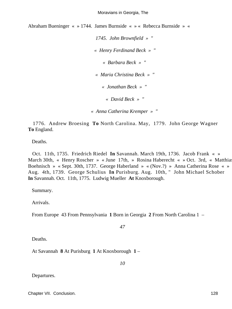Abraham Bueninger « » 1744. James Burnside « » « Rebecca Burnside » «

*1745. John Brownfield » " « Henry Ferdinand Beck » " « Barbara Beck » " « Maria Christina Beck » " « Jonathan Beck » " « David Beck » " « Anna Catherina Kremper » "* 

 1776. Andrew Broesing **To** North Carolina. May, 1779. John George Wagner **To** England.

Deaths.

 Oct. 11th, 1735. Friedrich Riedel **In** Savannah. March 19th, 1736. Jacob Frank « » March 30th, « Henry Roscher » « June 17th, » Rosina Haberecht « » Oct. 3rd, « Matthias Boehnisch » « Sept. 30th, 1737. George Haberland » « (Nov.?) » Anna Catherina Rose « » Aug. 4th, 1739. George Schulius **In** Purisburg. Aug. 10th, " John Michael Schober **In** Savannah. Oct. 11th, 1775. Ludwig Mueller **At** Knoxborough.

Summary.

Arrivals.

From Europe 43 From Pennsylvania **1** Born in Georgia **2** From North Carolina 1 –

*47* 

Deaths.

At Savannah **8** At Purisburg **1** At Knoxborough **1** –

*10* 

Departures.

Chapter VII. Conclusion. 128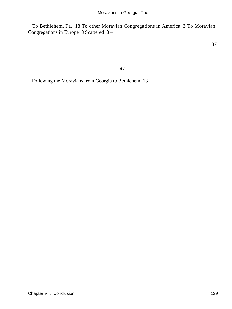To Bethlehem, Pa. 18 To other Moravian Congregations in America **3** To Moravian Congregations in Europe **8** Scattered **8** –

– – –

*47* 

Following the Moravians from Georgia to Bethlehem 13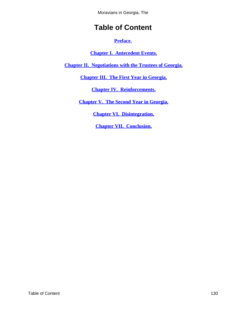Moravians in Georgia, The

# **Table of Content**

**[Preface.](#page-3-0)**

**[Chapter I. Antecedent Events.](#page-5-0)**

<span id="page-130-0"></span>**[Chapter II. Negotiations with the Trustees of Georgia.](#page-13-0)**

**[Chapter III. The First Year in Georgia.](#page-28-0)**

**[Chapter IV. Reinforcements.](#page-44-0)**

**[Chapter V. The Second Year in Georgia.](#page-80-0)**

**[Chapter VI. Disintegration.](#page-93-0)**

**[Chapter VII. Conclusion.](#page-119-0)**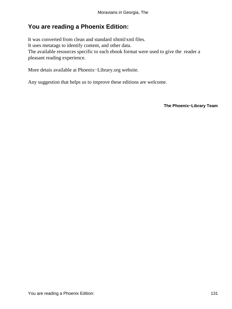## **You are reading a Phoenix Edition:**

It was converted from clean and standard xhtml/xml files. It uses metatags to identify content, and other data. The available resources specific to each ebook format were used to give the reader a pleasant reading experience.

More detais available at Phoenix−Library.org website.

Any suggestion that helps us to improve these editions are welcome.

**The Phoenix−Library Team**